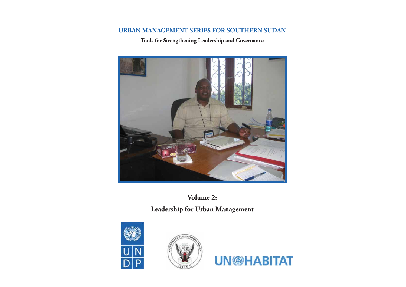# **URBAN MANAGEMENT SERIES FOR SOUTHERN SUDAN**

# **Tools for Strengthening Leadership and Governance**



# **Volume 2: Leadership for Urban Management**





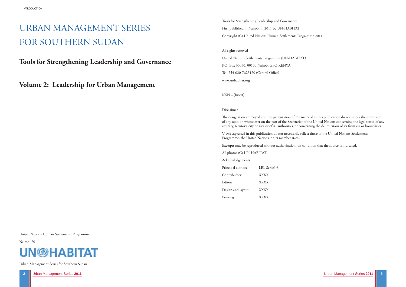# URBAN MANAGEMENT SERIES FOR SOUTHERN SUDAN

**Tools for Strengthening Leadership and Governance**

**Volume 2: Leadership for Urban Management** 

United Nations Human Settlements Programme

Nairobi 2011



Urban Management Series for Southern Sudan

Tools for Strengthening Leadership and Governance First published in Nairobi in 2011 by UN-HABITAT Copyright (C) United Nations Human Settlements Programme 2011

#### All rights reserved

United Nations Settlements Programme (UN-HABITAT) P.O. Box 30030, 00100 Nairobi GPO KENYA Tel: 254-020-7623120 (Central Office) www.unhabitat.org

ISSN – [Insert]

#### Disclaimer

The designation employed and the presentation of the material in this publication do not imply the expression of any opinion whatsoever on the part of the Secretariat of the United Nations concerning the legal status of any country, territory, city or area or of its authorities, or concerning the delimitation of its frontiers or boundaries.

Views expressed in this publication do not necessarily reflect those of the United Nations Settlements Programme, the United Nations, or its member states.

Excerpts may be reproduced without authorization, on condition that the source is indicated.

All photos (C) UN-HABITAT

Acknowledgements

| Principal authors: | LEL Series??? |
|--------------------|---------------|
| Contributors:      | <b>XXXX</b>   |
| Editors:           | <b>XXXX</b>   |
| Design and layout: | <b>XXXX</b>   |
| Printing:          | <b>XXXX</b>   |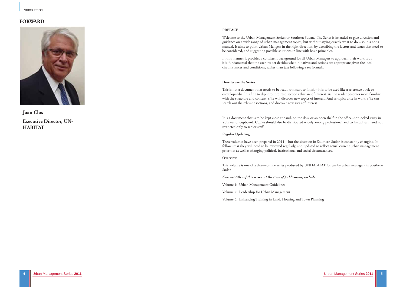# **FORWARD**



**Joan Clos Executive Director, UN-HABITAT**

#### **PREFACE**

Welcome to the Urban Management Series for Southern Sudan. The Series is intended to give direction and guidance on a wide range of urban management topics, but without saying exactly what to do – so it is not a manual. It aims to point Urban Mangers in the right direction, by describing the factors and issues that need to be considered, and suggesting possible solutions in line with basic principles.

In this manner it provides a consistent background for all Urban Managers to approach their work. But it is fundamental that the each reader decides what initiatives and actions are appropriate given the local circumstances and conditions, rather than just following a set formula.

#### **How to use the Series**

This is not a document that needs to be read from start to finish – it is to be used like a reference book or encyclopaedia. It is fine to dip into it to read sections that are of interest. As the reader becomes more familiar with the structure and content, s/he will discover new topics of interest. And as topics arise in work, s/he can search out the relevant sections, and discover new areas of interest.

It is a document that is to be kept close at hand, on the desk or an open shelf in the office -not locked away in a drawer or cupboard. Copies should also be distributed widely among professional and technical staff, and not restricted only to senior staff.

#### **Regular Updating**

These volumes have been prepared in 2011 – but the situation in Southern Sudan is constantly changing. It follows that they will need to be reviewed regularly, and updated to reflect actual current urban management priorities as well as changing political, institutional and social circumstances.

#### **Overview**

This volume is one of a three-volume series produced by UNHABITAT for use by urban managers in Southern Sudan.

#### *Current titles of this series, at the time of publication, include:*

Volume 1: Urban Management Guidelines

Volume 2: Leadership for Urban Management

Volume 3: Enhancing Training in Land, Housing and Town Planning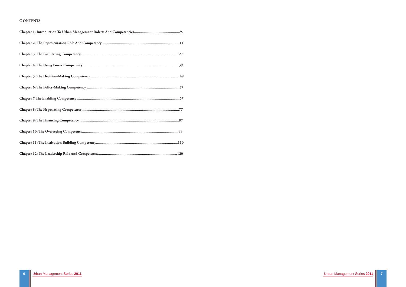#### **C ONTENTS**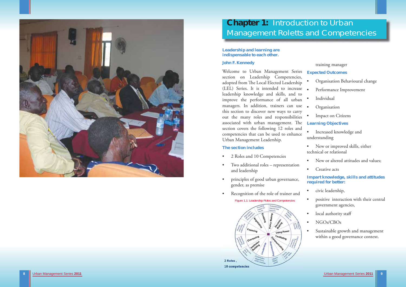

# **Chapter 1:** Introduction to Urban Management Roletts and Competencies

**Leadership and learning are indispensable to each other.** 

# **John F. Kennedy**

Welcome to Urban Management Series section on Leadership Competencies, adopted from The Local Elected Leadership (LEL) Series. It is intended to increase leadership knowledge and skills, and to improve the performance of all urban managers. In addition, trainers can use . this section to discover new ways to carry out the many roles and responsibilities associated with urban management. The **Learning Objectives** section covers the following 12 roles and competencies that can be used to enhance Urban Management Leadership.

- 2 Roles and 10 Competencies
- Two additional roles representation and leadership
- principles of good urban governance, gender, as premise
- Recognition of the role of trainer and
- Organisation Behavioural change
- Performance Improvement
- **Individual**
- **Organisation**
- **Impact on Citizens**

- Increased knowledge and understanding
- New or improved skills, either technical or relational
- New or altered attitudes and values;
- Creative acts

# **The section includes**

Figure 1.1: Leadership Roles and Competencies



# training manager

# **Expected Outcomes**

# **Impart knowledge, skills and attitudes required for better:**

- civic leadership,
- positive interaction with their central government agencies,
- local authority staff
- NGOs/CBOs
- Sustainable growth and management within a good governance context.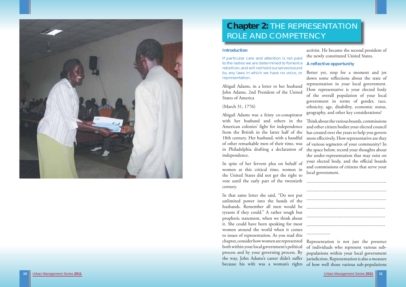Urban Management Series **2011** Urban Management Series **2011 11**



# **Chapter 2:** THE REPRESENTATION ROLE AND COMPETENCY

### **Introduction**

If particular care and attention is not paid to the ladies we are determined to foment a rebellion, and will not hold ourselves bound representation.

(March 31, 1776)

women at this critical time, women in the United States did not get the right to vote until the early part of the twentieth

by any laws in which we have no voice, or Abigail Adams, in a letter to her husband John Adams, 2nd President of the United States of America Better yet, stop for a moment and jot down some reflections about the state of representation in your local government. How representative is your elected body of the overall population of your local government in terms of gender, race, ethnicity, age, disability, economic status, geography, and other key considerations?

Abigail Adams was a feisty co-conspirator with her husband and others in the Think about the various boards, commissions American colonies' fight for independence from the British in the latter half of the has created over the years to help you govern 18th century. Her husband, with a handful more effectively. How representative are they of other remarkable men of their time, was in Philadelphia drafting a declaration of the space below, record your thoughts about independence. In spite of her fervent plea on behalf of and other citizen bodies your elected council of various segments of your community? In the under-representation that may exist on your elected body, and the official boards and commissions of citizens that serve your local government.

activist. He became the second president of the newly constituted United States.

# **A reflective opportunity**

century. In that same letter she said, "Do not put unlimited power into the hands of the husbands. Remember all men would be tyrants if they could." A rather tough but prophetic statement, when we think about it. She could have been speaking for most women around the world when it comes to issues of representation. As you read this chapter, consider how women are represented Representation is not just the presence both within your local government's political of individuals who represent various subprocess and by your governing process. By populations within your local government the way, John Adams's career didn't suffer jurisdiction. Representation is also a measure because his wife was a woman's rights of how well those various sub-populations ...................................................................................................................................................................................................................................................................................................................................................................................................................................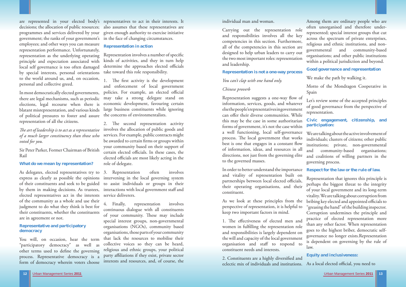

Urban Management Series **2011** Urban Management Series **2011 13**

### individual man and woman.

Carrying out the representation role and responsibilities involves all the key competencies in this section. Furthermore, all of the competencies in this section are designed to help urban leaders to carry out the two most important roles: representation and leadership.

### **Representation is not a one-way process**

### *You can't clap with one hand only.*

## *Chinese proverb*

In order to better understand the importance and vitality of representation built on partnerships between local elected officials, their operating organisations, and their constituent.

Representation suggests a one-way flow of information, services, goods, and whatever else the people's representatives in government can offer their diverse communities. While this may be the case in some authoritarian forms of government, it's not the case within a well functioning, local self-governance process. The local government that works best is one that engages in a constant flow of information, ideas, and resources in all directions, not just from the governing elite to the governed masses. Let's review some of the accepted principles of good governance from the perspective of representation. **Civic engagement, citizenship, and participation:**  We are talking about the active involvement of individuals; clusters of citizens; other public institutions; private, non-governmental and community-based organisations; and coalitions of willing partners in the governing process.

As we look at these principles from the perspective of representation, it is helpful to keep two important factors in mind. 1. The effectiveness of elected men and women in fulfilling the representation role and responsibilities is largely dependent on the will and capacity of the local government organisation and staff to respond to constituent needs and interests.

2. Constituents are a highly diversified and eclectic mix of individuals and institutions. As a local elected official, you need to

Among them are ordinary people who are often unorganised and therefore underrepresented; special interest groups that cut across the spectrum of private enterprises, religious and ethnic institutions, and nongovernmental and community-based organisations; and other public institutions within a political jurisdiction and beyond.

# **Good governance and representation**

# *The art of leadership is to act as a representative of a much larger constituency than those who voted for you.*

We make the path by walking it.

Motto of the Mondragon Cooperative in Spain

# **Respect for the law or the rule of law.**

Representation involves a number of specific kinds of activities, and they in turn help determine the approaches elected officials take toward this role responsibility.

1. The first activity is the development and enforcement of local government policies. For example, an elected official economic development, favouring certain large business constituents while ignoring

> Representation that ignores this principle is perhaps the biggest threat to the integrity of your local government and its long-term vitality. We are talking about corruption from bribing key elected and appointed officials to "greasing the hand" of the building inspector. Corruption undermines the principle and practice of elected representation more than any other factor. When representation goes to the highest briber, democratic selfgovernance no longer exists.Representation is dependent on governing by the rule of law.

2. The second representation activity involves the allocation of public goods and services. For example, public contracts might be awarded to certain firms or groups within your community based on their support of certain elected officials. In these cases, the elected officials are most likely acting in the role of delegate.

# **Equity and inclusiveness:**

decisions; the allocation of public resources; also assumes that these representatives are programmes and services delivered by your <sup>g</sup>iven enough authority to exercise initiative government; the ranks of your government's in the face of changing circumstances. employees; and other ways you can measure representation performance. Unfortunately, representation as the underlying operating principle and expectation associated with local self governance is too often damaged by special interests, personal orientations to the world around us, and, on occasion, personal and collective greed.

In most democratically elected governments, there are legal mechanisms, such as periodic may take a strong delegate stand on elections, legal recourse when there is blatant misrepresentation, and various kinds of political pressures to foster and assure the concerns of environmentalists. representation of all the citizens.

are represented in your elected body's representatives to act in their interests. It

Sir Peter Parker, Former Chairman of British Rail

### **What do we mean by representation?**

express as clearly as possible the opinions intervening in the local governing system of their constituents and seek to be guided to assist individuals or groups in their by them in making decisions. As trustees, interactions with local government staff and elected representatives act in the interests of the community as a whole and use their judgment to do what they think is best for their constituents, whether the constituents are in agreement or not.

### **Representative and participatory democracy**

You will, on occasion, hear the term "participatory democracy" as well as other terms used to define the governing process. Representative democracy is a form of democracy wherein voters choose

# **Representation in action**

As delegates, elected representatives try to 3. Representation often involves service deliverers.

> 4. Finally, representation involves continuous dialogue with all constituents of your community. These may include special interest groups, non-governmental organisations (NGOs), community based organisations, those parts of your community that lack the resources to mobilise their collective voices so they can be heard, religious and ethnic groups, your political party affiliations if they exist, private sector interests and resources, and, of course, the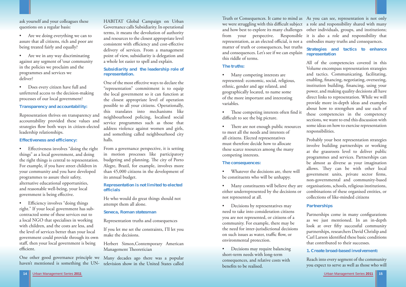

# **The truths:**

- Many competing interests are represented: economic, social, religious, ethnic, gender and age related, and geographically located, to name some of the more important and interesting variables.
- These competing interests often find it difficult to see the big picture.
- There are not enough public resources to meet all the needs and interests of all citizens. Elected representatives must therefore decide how to allocate these scarce resources among the many competing interests.

- Whatever the decisions are, there will be constituents who will be unhappy.
- Many constituents will believe they are either underrepresented by the decisions or not represented at all.
- Decisions by representatives may need to take into consideration citizens you are not represented, or citizens of a community. For example, there may be the need for inter-jurisdictional decisions on such issues as water, traffic flow, or environmental protection.
- Decisions may require balancing short-term needs with long-term consequences, and relative costs with benefits to be realised.

# **The consequences:**

Truth or Consequences. It came to mind as As you can see, representation is not only we were struggling with this difficult subject a role and responsibility shared with many and how best to explore its many challenges other individuals, groups, and institutions; from your perspective. Responsible it is also a role and responsibility that representation, as an elected official, is not a embodies many truths and consequences. matter of truth or consequences, but truths and consequences. Let's see if we can explain this riddle of terms. **Strategies and tactics to enhance representation** 

> Partnerships come in many configurations as we just mentioned. In an in-depth look at over fifty successful community partnerships, researchers David Chrislip and Carl Larson identified these basic conditions that contributed to their successes.

- Are we doing everything we can to assure that all citizens, rich and poor are being treated fairly and equally?
- Are we in any way discriminating against any segment of \our community in the policies we proclaim and the programmes and services we deliver?
- Does every citizen have full and unfettered access to the decision-making processes of our local government?

All of the competencies covered in this Volume encompass representation strategies and tactics. Communicating, facilitating, enabling, financing, negotiating, overseeing, institution building, financing, using your power, and making quality decisions all have direct links to representation. While we will provide more in-depth ideas and examples about how to strengthen and use each of these competencies in the competency sections, we want to end this discussion with some ideas on how to exercise representation responsibilities.

One other good governance principle we haven't mentioned is something the UN-<br>television show in the United States called

HABITAT Global Campaign on Urban<br>Governance calls Subsidiarity. In operational<br>terms, it means the devolution of authority<br>and resources to the closest appropriate level<br>consistent with efficiency and cost-effective<br>delive

Probably your best representation strategies involve building partnerships or working at the grassroots level to deliver public programmes and services. Partnerships can be almost as diverse as your imagination allows. They can be with other local government units, private sector firms, non-governmental and community-based organisations, schools, religious institutions, combinations of these organised entities, or collections of like-minded citizens

# **Partnerships**

# **1. Create broad-based involvement:**

Reach into every segment of the community you expect to serve as well as those who will

ask yourself and your colleagues these questions on a regular basis:

# **Transparency and accountability:**

Representation thrives on transparency and accountability provided these values and strategies flow both ways in citizen-elected leadership relationships.

# **Effectiveness and efficiency:**

• Effectiveness involves "doing the right" things" as a local government, and doing the right things is central to representation. For example, if you have street children in your community and you have developed programmes to assure their safety, alternative educational opportunities, and reasonable well-being, your local government is being effective.

Efficiency involves "doing things" right." If your local government has subcontracted some of these services out to a local NGO that specialises in working with children, and the costs are less, and the level of services better than your local government could provide through its own staff, then your local government is being efficient.

# **Subsidiarity and the leadership role of representation.**

One of the most effective ways to declare the<br>"representation" commitment is to equip<br>the local government so it can function at<br>the closest appropriate level of operationally,<br>this translates into mechanisms like<br>neighbou

# **Representation is not limited to elected officials**

He who would do great things should not attempt them all alone.

# **Seneca, Roman statesman**

Representation truths and consequences<br>If you let me set the constraints, I'll let you<br>make the decisions.<br>Herbert Simon,Contemporary American<br>Management Theoretician<br>Many decades ago there was a popular<br>television show in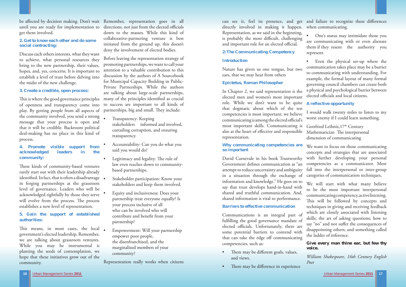

Nature has given us one tongue, but two ears, that we may hear from others **Epictetus, Roman Philosopher**  In Chapter 2, we said representation is the • Even the physical set-up where the communication takes place may be a barrier to communicating with understanding. For example, the formal layout of many formal governing council chambers can create both a physical and psychological barrier between elected officials and local citizens.

### **Introduction**

**Why communicating competencies are so important** 

can see it, feel its presence, and get and failure to recognize these differences directly involved in making it happen. when communicating. Representation, as we said in the beginning, is probably the most difficult, challenging and important role for an elected official. **2: The Communicating Competency** • One's status may intimidate those you are communicating with or even alienate them if they resent the authority you represent.

David Carnevale in his book Trustworthy Government defines communication as "an attempt to reduce uncertainty and ambiguity in a situation through the exchange of information and knowledge." He goes on to say that trust develops hand-in-hand with shared and truthful communication. And, shared information is vital to performance.

### **Barriers to effective communication**

Communications is an integral part of fulfilling the good governance mandate of elected officials. Unfortunately, there are some potential barriers to contend with that can take the edge off communicating competencies, such as:

- There may be different goals, values, and views.
- There may be difference in experience

elected men and women's most important role. While we don't want to be quite **A reflective opportunity**  that dogmatic about which of the ten competencies is most important, we believe communicating is among the elected official's most important skills. Communicating is also at the heart of effective and responsible representation. I would walk twenty miles to listen to my worst enemy if I could learn something. Gottfried Leibniz, 17<sup>th</sup> Century Mathematician The interpersonal dimension of communicating

This is where the good governance principles of openness and transparency come into <sup>p</sup>lay. By getting people from all aspects of the community involved, you send a strong message that your process is open and that it will be credible. Backroom political deal-making has no place in this kind of process.

These kinds of community-based ventures rarely start out with their leadership already identified. In fact, that is often a disadvantage in forging partnerships at the grassroots level of governance. Leaders who will be acknowledged rightfully by those they serve will evolve from the process. The process establishes a new level of representation.

This means, in most cases, the local government's elected leadership. Remember, we are talking about grassroots ventures. While you may be instrumental is <sup>p</sup>lanting the seeds of contemplation, we hope that these initiatives grow out of the community.

We want to focus on those communicating concepts and strategies that are associated with further developing your personal competencies as a communicator. Most fall into the interpersonal or inter-group categories of communication techniques,

until you are ready for implementation to directions, not just from the elected officials down to the masses. While this kind of collaborative-partnering venture is best initiated from the ground up, this doesn't deny the involvement of elected bodies.

> Before leaving the representation strategy of promoting partnerships, we want to call your attention to a valuable contribution to this discussion by the authors of A Sourcebook for Municipal Capacity Building in Public-Private Partnerships. While the authors are talking about large-scale partnerships, many of the principles identified as crucial to success are important to all kinds of partnerships, big and small. They include:

> > We will start with what many believe to be the most important interpersonal communicating competency, active listening. This will be followed by concepts and techniques in giving and receiving feedback which are closely associated with listening skills; the art of asking questions; how to say "no" and not suffer the consequences of disappointing others; and something called the ladder of inference.

# **Give every man thine ear, but few thy voice.**

*William Shakespeare, 16th Century English Poet* 

be aff ected by decision making. Don't wait Remember, representation goes in all get them involved.

## **2. Get to know each other and do some social contracting:**

Discuss each others interests, what they want to achieve, what personal resources they bring to the new partnership, their values, hopes, and, yes, concerns. It is important to establish a level of trust before delving into the midst of the new challenge.

# **3. Create a credible, open process:**

# **4. Promote visible support from acknowledged leaders in the community:**

# **5. Gain the support of established authorities:**

- Transparency: Keeping stakeholders informed and involved, curtailing corruption, and ensuring transparency.
- Accountability: Can you do what you said you would do?
- Legitimacy and legality: The rule of law even reaches down to community based partnerships.
- Stakeholder participation: Know your stakeholders and keep them involved.
- Equity and inclusiveness: Does your partnership treat everyone equally? Is your process inclusive of all who can be involved who will contribute and benefit from your partnership?
- Empowerment: Will your partnership empower poor people, the disenfranchised, and the marginalized members of your community?

Representation really works when citizens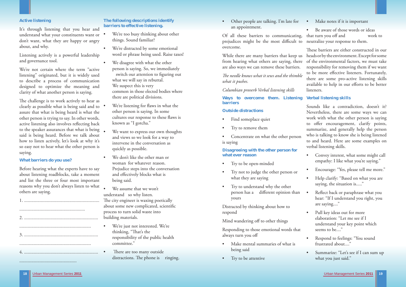• Other people are talking. I'm late for an appointment.

Of all these barriers to communicating, that turn you off and work to prejudices might be the most difficult to overcome.

- Find someplace quiet
- Try to remove them

from hearing what others are saying, there are also ways we can remove these barriers.

Concentrate on what the other person is saying

*Th e needle knows what it sews and the thimble what it pushes.* 

*Columbian proverb Verbal listening skills* 

**Ways to overcome them. Listening barriers** 

### **Outside distractions**

- Make mental summaries of what is being said
- Try to be attentive

Be aware of those words or ideas neutralize your response to them.

**Disagreeing with the other person for what ever reason** 

- Try to be open-minded
- Try not to judge the other person or what they are saying
- Try to understand why the other person has a different opinion than yours

Distracted by thinking about how to respond

While there are many barriers that keep us heads or by the environment. Except for some These barriers are either constructed in our of the environmental factors, we must take responsibility for removing them if we want to be more effective listeners. Fortunately, there are some pro-active listening skills available to help in our efforts to be better listeners.

Mind wandering off to other things

Responding to those emotional words that always turn you off

# **Verbal listening skills**

The challenge is to work actively to hear as clearly as possible what is being said and to assure that what is being heard is what the other person is trying to say. In other words, active listening also involves reflecting back to the speaker assurances that what is being said is being heard. Before we talk about how to listen actively, let's look at why it's so easy not to hear what the other person is saying.

Sounds like a contradiction, doesn't it? Nevertheless, there are some ways we can work with what the other person is saying to offer encouragement, clarify points, summarize, and generally help the person who is talking to know she is being listened to and heard. Here are some examples on verbal listening skills.

- Convey interest, what some might call empathy: I like what you're saying."
- Encourage: "Yes, please tell me more."
- Help clarify: "Based on what you are saying, the situation is....."
- Reflect back or paraphrase what you hear: "If I understand you right, you are saying...."
- Pull key ideas out for more elaboration: "Let me see if I understand your key point which seems to be...."
- Respond to feelings: "You sound frustrated about...."
- Summarize: "Let's see if I can sum up what you just said."

### **Active listening**

It's through listening that you hear and understand what your constituents want or don't want, what they are happy or angry about, and why.

Listening actively is a powerful leadership and governance tool.

We're not certain where the term "active listening" originated, but it is widely used to describe a process of communication designed to optimize the meaning and clarity of what another person is saying.

#### **What barriers do you use?**

Before hearing what the experts have to say about listening roadblocks, take a moment and list the three or four most important reasons why you don't always listen to what others are saying.

................................................

# • Make notes if it is important

# **The following descriptions identify barriers to effective listening.**

- We're too busy thinking about other things. Sound familiar?
- We're distracted by some emotional word or phrase being used. Raise taxes!
- We disagree with what the other person is saying. So, we immediately switch our attention to figuring out what we will say in rebuttal. We suspect this is very common in those elected bodies where there are political divisions.
- We're listening for flaws in what the other person is saying. In some cultures our response to these flaws is known as "I gotcha."
- We want to express our own thoughts and views so we look for a way to intervene in the conversation as quickly as possible.
- We don't like the other man or woman for whatever reason. Prejudice steps into the conversation and effectively blocks what is being said.
- We assume that we won't understand so why listen. The city engineer is waxing poetically about some new complicated, scientific process to turn solid waste into building materials.
- We're just not interested. We're thinking, "That's the responsibility of the public health committee."
- There are too many outside distractions. The phone is ringing.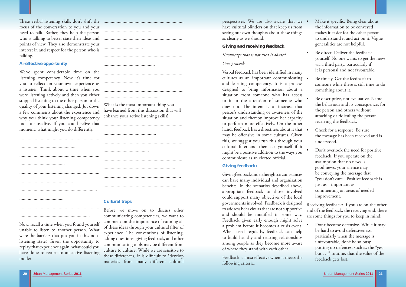These verbal listening skills don't shift the ... focus of the conversation to you and your need to talk. Rather, they help the person who is talking to better state their ideas and ... points of view. They also demonstrate your interest in and respect for the person who is talking.

We've spent considerable time on the listening competency. Now it's time for you to reflect on your own experience as a listener. Think about a time when you were listening actively and then you either stopped listening to the other person or the quality of your listening changed. Jot down a few comments about the experience and why you think your listening competency took a nosedive. If you could relive that moment, what might you do differently.

### **A reflective opportunity**

...................................................................

...................................................................

...........................................................

Before we move on to discuss other communicating competencies, we want to comment on the importance of running all of these ideas through your cultural filter of experience. The conventions of listening, asking questions, giving feedback, and other communicating tools may be different from culture to culture. While we are sensitive to these differences, it is difficult to  $\det$ materials from many different cultural

Now, recall a time when you found yourself unable to listen to another person. What were the barriers that put you in this nonlistening state? Given the opportunity to replay that experience again, what could you have done to return to an active listening mode?

| <b>Cultural traps</b> |
|-----------------------|

...................................................................

..............................................

What is the most important thing you have learned from this discussion that will enhance your active listening skills?

...................................................................

............................................

Feedback is most effective when it meets the following criteria.

..................................................................

...................................................................

............................................................

.................................................................

.............................................................

#### **Cultural traps**

- Make it specific. Being clear about the information to be conveyed makes it easier for the other person to understand it and act on it. Vague generalities are not helpful.
- Be direct. Deliver the feedback yourself. No one wants to get the news via a third party, particularly if it is personal and not favourable.
- Be timely. Get the feedback to someone while there is still time to do something about it.
- Be descriptive, not evaluative. Name the behaviour and its consequences for the person and others without attacking or ridiculing the person receiving the feedback.
- Check for a response. Be sure the message has been received and is understood.
- Don't overlook the need for positive feedback. If you operate on the assumption that no news is good news, your silence may be conveying the message that
- but . . ." routine, that the value of the feedback gets lost.

perspectives. We are also aware that we have cultural blinders on that keep us from seeing our own thoughts about these things as clearly as we should.

#### **Giving and receiving feedback**

### *Knowledge that is not used is abused.*

### *Cree proverb*

Verbal feedback has been identified in many cultures as an important communicating and learning competency. It is a process designed to bring information about a situation from someone who has access to it to the attention of someone who does not. The intent is to increase that person's understanding or awareness of the situation and thereby improve her capacity to perform more effectively. On the other hand, feedback has a directness about it that may be offensive in some cultures. Given this, we suggest you run this through your cultural filter and then ask yourself if it might be a positive addition to the ways you communicate as an elected official.

# **Giving feedback:**

Giving feedback under the right circumstances can have many individual and organisation benefits. In the scenarios described above, appropriate feedback to those involved could support many objectives of the local governments involved. Feedback is designed to address behaviours that are not supportive and should be modified in some way. Feedback given early enough might solve a problem before it becomes a crisis event. When used regularly, feedback can help to build healthy and trusting relationships among people as they become more aware of where they stand with each other. "you don't care." Positive feedback is just as important as commenting on areas of needed improvement. Receiving feedback: If you are on the other end of the feedback, the receiving end, there are some things for you to keep in mind: • Don't become defensive. While it may be hard to avoid defensiveness, particularly when the message is unfavourable, don't be so busy putting up defences, such as the "yes,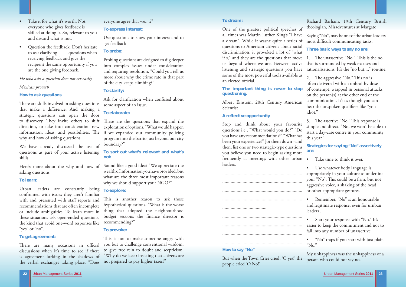

- Take it for what it's worth. Not everyone who gives feedback is skilled at doing it. So, relevant to you and discard what is not.
- Question the feedback. Don't hesitate to ask clarifying questions when receiving feedback and give the recipient the same opportunity if you are the one giving feedback.

There are skills involved in asking questions that make a difference. And making a strategic questions can open the door to discovery. They invite others to shift direction, to take into consideration new information, ideas, and possibilities. The if we expanded our community policing why and how of asking questions

# *He who asks a question does not err easily.*

### *Mexican proverb*

# **How to ask questions**

Urban leaders are constantly being confronted with issues they aren't familiar with and presented with staff reports and recommendations that are often incomplete or include ambiguities. To learn more in these situations ask open-ended questions, the kind that avoid one-word responses like "yes" or "no".

There are many occasions in official discussions when it's time to see if there is agreement lurking in the shadows of the verbal exchanges taking place. "Does

We have already discussed the use of questions as part of your active listening skills.

Here's more about the why and how of asking questions.

#### **To learn:**

Ask for clarification when confused about some aspect of an issue.

These are the questions that expand the exploration of options. "What would happen program into the barrio just beyond our city boundary?"

This is another reason to ask those hypothetical questions. "What is the worse thing that adopted the neighbourhood budget sessions the finance director is recommending?"

### **To get agreement:**

This is not to make someone angry with you but to challenge conventional wisdom, to give free rein to doubt and scepticism. "Why do we keep insisting that citizens are not prepared to pay higher taxes?"

One of the greatest political speeches of all times was Martin Luther King's "I have a dream". While it wasn't quite a series of questions to American citizens about racial discrimination, it provoked a lot of "what if's," and they are the questions that move us beyond where we are. Between active listening and strategic questions you have rationalisations. It's the "no but...." routine. some of the most powerful tools available as Saying "No", may be one of the urban leaders' most difficult communicating tasks. **Three basic ways to say no are:**  1. The unassertive "No.". This is the no that is surrounded by weak excuses and 2. The aggressive "No." This no is

everyone agree that we....?"

# **To express interest:**

Use questions to show your interest and to get feedback.

# **To probe:**

Stop and think about your favourite questions i.e., "What would you do?" "Do you have any recommendations?" "What has been your experience?" Jot them down - and then, list one or two strategic-type questions you believe you need to begin asking more frequently at meetings with other urban leaders. this year." **Strategies for saying "No" assertively are:** Take time to think it over.

Probing questions are designed to dig deeper into complex issues under consideration and requiring resolution. "Could you tell us more about why the crime rate in that part of the city keeps climbing?"

# **To clarify:**

# **To elaborate:**

# **To sort out what's relevant and what's not:**

Sound like a good idea? "We appreciate the wealth of information you have provided, but what are the three most important reasons why we should support your NGO?"

# **To explore:**

an elected official. **The important thing is never to stop questioning.**  often delivered with an unhealthy dose of contempt, wrapped in personal attacks on the person(s) at the other end of the communication. It's as though you can hear the unspoken qualifiers like "you idiot."

# **To provoke:**

3. The assertive "No." This response is simple and direct. "No, we won't be able to start a day-care centre in your community

Use whatever body language is appropriately in your culture to underline your "No". This could be a firm, but not aggressive voice, a shaking of the head, or other appropriate gestures.

# **To dream:**

Albert Einstein, 20th Century American Scientist

# **A reflective opportunity**



But when the Town Crier cried, 'O yes!' the people cried 'O No!'

Richard Barham, 19th Century British theologian, Misadventures at Margate

• Remember, "No" is an honourable and legitimate response, even for urnban leaders .

• Start your response with "No." It's easier to keep the commitment and not to fall into any number of unassertive

• "No" traps if you start with just plain "No."

My unhappiness was the unhappiness of a person who could not say no.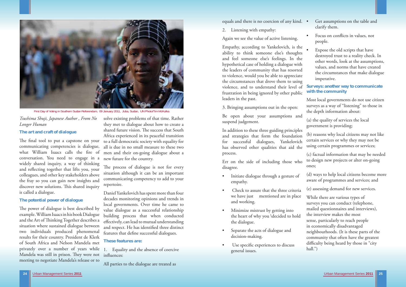# *Tsushima Shuji, Japanese Author , From No Longer Human*

#### **The art and craft of dialogue**

The final tool to put a capstone on your communicating competencies is dialogue, what William Isaacs calls the fire of conversation. You need to engage in a new future for the country. widely shared inquiry, a way of thinking and reflecting together that lifts you, your colleagues, and other key stakeholders above the fray so you can gain new insights and discover new solutions. This shared inquiry is called a dialogue.

The power of dialogue is best described by example. William Isaacs in his book Dialogue and the Art of Thinking Together describes a situation where sustained dialogue between two individuals produced phenomenal results for their country. President de Klerk of South Africa and Nelson Mandela met privately over a number of years while 1. Equality and the absence of coercive Mandela was still in prison. They were not influences: meeting to negotiate Mandela's release or to

## **The potential power of dialogue**

The process of dialogue is not for every situation although it can be an important communicating competency to add to your repertoire.

Daniel Yankelovich has spent more than four decades monitoring opinions and trends in local governments. Over time he came to value dialogue as a successful relationship building process that when conducted effectively, can lead to mutual understanding and respect. He has identified three distinct features that define successful dialogues.

solve existing problems of that time. Rather they met to dialogue about how to create a shared future vision. The success that South Africa experienced in its peaceful transition to a full democratic society with equality for all is due in no small measure to these two men and their on-going dialogue about a

- Get assumptions on the table and clarify them.
- Focus on conflicts in values, not people.
- Expose the old scripts that have destroyed trust to a reality check. In other words, look at the assumptions, values, and norms that have created the circumstances that make dialogue imperative.

#### **These features are:**

All parties to the dialogue are treated as

equals and there is no coercion of any kind. .

2. Listening with empathy:

Again we see the value of active listening.

Empathy, according to Yankelovich, is the ability to think someone else's thoughts and feel someone else's feelings. In the hypothetical case of holding a dialogue with the leaders of community that has resorted to violence, would you be able to appreciate the circumstances that drove them to using violence, and to understand their level of frustration in being ignored by other public leaders in the past.

3. Bringing assumptions out in the open:

Be open about your assumptions and suspend judgement.

Err on the side of including those who disagree.

- Initiate dialogue through a gesture of empathy.
- Check to assure that the three criteria we have just mentioned are in place and working.
- Minimize mistrust by getting into the heart of why you \decided to hold the dialogue.
- Separate the acts of dialogue and decision-making.
- Use specific experiences to discuss general issues.

In addition to these three guiding principles and strategies that form the foundation for successful dialogues, Yankelovich has observed other qualities that aid the process. (b) reasons why local citizens may not like certain services or why they may not be using certain programmes or services; (c) factual information that may be needed

# **Surveys: another way to communicate with the community**

Most local governments do not use citizen surveys as a way of "listening" to those in the depth information about:

(a) the quality of services the local government is providing;

to design new projects or alter on-going ones;

(d) ways to help local citizens become more aware of programmes and services; and

(e) assessing demand for new services.

While there are various types of surveys you can conduct (telephone, mailed questionnaires and interviews), the interview makes the most sense, particularly to reach people in economically disadvantaged neighbourhoods. (It is these parts of the community that often have the greatest difficulty being heard by those in "city hall.")



First Day of Voting in Southern Sudan Referendum, 09 January 2011, Juba, Sudan, UN Photo/Tim McKulka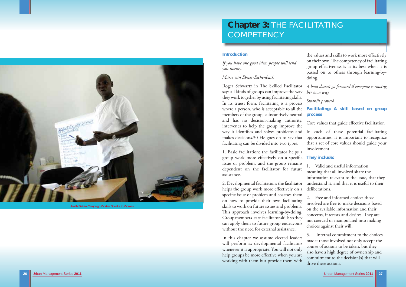# **Chapter 3:** THE FACILITATING **COMPETENCY**

# **Introduction**

*If you have one good idea, people will lend you twenty.* 

# *Marie van Ebner-Eschenbach*

1. Basic facilitation: the facilitator helps a group work more effectively on a specific They include: issue or problem, and the group remains dependent on the facilitator for future assistance.

the values and skills to work more effectively on their own. The competency of facilitating group effectiveness is at its best when it is passed on to others through learning-bydoing.

Roger Schwartz in The Skilled Facilitator says all kinds of groups can improve the way they work together by using facilitating skills. In its truest form, facilitating is a process where a person, who is acceptable to all the **Facilitating: A skill based on group**  members of the group, substantively neutral and has no decision-making authority, intervenes to help the group improve the way it identifies and solves problems and makes decisions.30 He goes on to say that facilitating can be divided into two types: *A boat doesn't go forward if everyone is rowing her own way. Swahili proverb*  **process**  Core values that guide effective facilitation In each of these potential facilitating opportunities, it is important to recognize that a set of core values should guide your involvement.

In this chapter we assume elected leaders will perform as developmental facilitators whenever it is appropriate. You will not only help groups be more effective when you are working with them but provide them with

2. Developmental facilitation: the facilitator helps the group work more effectively on a specific issue or problem and coaches them on how to provide their own facilitating skills to work on future issues and problems. This approach involves learning-by-doing. Group members learn facilitator skills so they can apply them to future group endeavours without the need for external assistance. deliberations. 2. Free and informed choice: those involved are free to make decisions based on the available information and their concerns, interests and desires. They are not coerced or manipulated into making choices against their will.

1. Valid and useful information: meaning that all involved share the information relevant to the issue, that they understand it, and that it is useful to their

3. Internal commitment to the choices made: those involved not only accept the course of actions to be taken, but they also have a high degree of ownership and commitment to the decision(s) that will drive these actions.



Health Fistula Campaign Worker Speaks to Women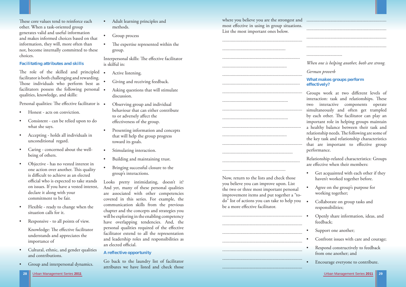where you believe you are the strongest and most effective in using in group situations. List the most important ones below.

the two or three most important personal improvement items and put together a "todo" list of actions you can take to help you be a more effective facilitator.

| Now, return to the lists and check those<br>you believe you can improve upon. List<br>والمتحالف بداعا الماليات<br>لتعميد المتعاط للمبار |
|-----------------------------------------------------------------------------------------------------------------------------------------|

Groups work at two different levels of interaction: task and relationships. These two interactive components operate simultaneously and often get trampled by each other. The facilitator can play an important role in helping groups maintain a healthy balance between their task and relationship needs. The following are some of the key task and relationship characteristics that are important to effective group performance.

Relationship-related characteristics: Groups are effective when their members:

- Get acquainted with each other if they haven't worked together before.
- Agree on the group's purpose for working together;
- Collaborate on group tasks and responsibilities;
- Openly share information, ideas, and feedback;
- Support one another;
- Confront issues with care and courage;
- Respond constructively to feedback from one another; and
- Encourage everyone to contribute.

These core values tend to reinforce each other. When a task-oriented group generates valid and useful information and makes informed choices based on that information, they will, more often than not, become internally committed to these choices.

The role of the skilled and principled . facilitator is both challenging and rewarding. Those individuals who perform best as facilitators possess the following personal . qualities, knowledge, and skills:

Personal qualities: The effective facilitator is •

- Honest acts on conviction.
- Consistent can be relied upon to do what she says.
- Accepting holds all individuals in unconditional regard.
- Caring concerned about the well being of others.
- Objective has no vested interest in one action over another. This quality is difficult to achieve as an elected official who is expected to take stands on issues. If you have a vested interest, declare it along with your commitment to be fair.
- Flexible ready to change when the situation calls for it.
- Responsive to all points of view.

*When one is helping another, both are strong.* 

Knowledge: The effective facilitator understands and appreciates the importance of

- Cultural, ethnic, and gender qualities and contributions.
- Group and interpersonal dynamics.

*German proverb* 

# **What makes groups perform effectively?**

Interpersonal skills: The effective facilitator is skilful in:

Looks pretty intimidating, doesn't it? And yet, many of these personal qualities are associated with other competencies covered in this series. For example, the communication skills from the previous chapter and the concepts and strategies you will be exploring in the enabling competency have overlapping tendencies. And, the personal qualities required of the effective facilitator extend to all the representation and leadership roles and responsibilities as an elected official.

# **Facilitating attributes and skills**

- Adult learning principles and methods.
- Group process
- The expertise represented within the group.

- Active listening.
- Giving and receiving feedback.
- Asking questions that will stimulate discussion.
- Observing group and individual behaviour that can either contribute to or adversely affect the effectiveness of the group.
- Presenting information and concepts that will help the group progress toward its goals.
- Stimulating interaction.
- Building and maintaining trust.
- Bringing successful closure to the group's interactions.

# **A reflective opportunity**

Go back to the laundry list of facilitator attributes we have listed and check those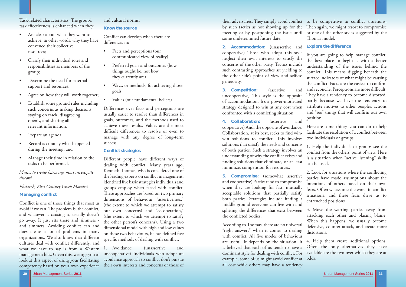

**2. Accommodation:** (unassertive and cooperative) Those who adopt this style neglect their own interests to satisfy the concerns of the other party. Tactics include such contrasting approaches as: yielding to the other side's point of view and selfless generosity.

**3. Competition:** (assertive and uncooperative) This style is the opposite of accommodation. It's a power-motivated strategy designed to win at any cost when confronted with a conflicting situation. If you are going to help manage conflict, the best place to begin is with a better understanding of the issues behind the conflict. This means digging beneath the surface indicators of what might be causing the conflict. Facts are the easiest to confirm and reconcile. Perceptions are more difficult. They have a tendency to become distorted, partly because we have the tendency to attribute motives to other people's actions and "see" things that will confirm our own position.

According to Thomas, there are no universal "right answers" when it comes to dealing with conflict. All five modes of behaviour are useful. It depends on the situation. It is believed that each of us tends to have a dominant style for dealing with conflict. For example, some of us might avoid conflict at odds. all cost while others may have a tendency defensive, counter attack, and create more distortions. 4. Help them create additional options. Often the only alternatives they have available are the two over which they are at

**4. Collaboration:** (assertive and cooperative) And, the opposite of avoidance. Collaboration, at its best, seeks to find winwin solutions to conflict. This involves solutions that satisfy the needs and concerns of both parties. Such a strategy involves an understanding of why the conflict exists and finding solutions that eliminate, or at least minimize, competition for resources. Here are some things you can do to help facilitate the resolution of a conflict between two individuals or groups. 1. Help the individuals or groups see the conflict from the others' point of view. Here is a situation when "active listening" skills can be used.

# **Explore the difference**

Task-related characteristics: The group's task effectiveness is enhanced when they:

- Are clear about what they want to achieve, in other words, why they have convened their collective resources;
- Clarify their individual roles and responsibilities as members of the group;
- Determine the need for external support and resources;
- Agree on how they will work together;
- Establish some ground rules including such concerns as making decisions, staying on track; disagreeing openly, and sharing all relevant information;
- Prepare an agenda;
- Record accurately what happened during the meeting; and
- Manage their time in relation to the tasks to be performed.

**5. Compromise:** (somewhat assertive and cooperative) Parties tend to compromise when they are looking for fast, mutually acceptable solutions that partially satisfy both parties. Strategies include finding a middle ground everyone can live with and splitting the differences that exist between the conflicted bodies. 2. Look for situations where the conflicting parties have made assumptions about the intentions of others based on their own fears. Often we assume the worst in conflict situations, and these fears drive us to entrenched positions. 3. Move the warring parties away from attacking each other and placing blame.

Conflict is one of those things that most us avoid if we can. The problem is, the conflict, and whatever is causing it, usually doesn't go away. It just sits there and simmers and simmers. Avoiding conflict can and does create a lot of problems in many organizations. We also know that different cultures deal with conflict differently, and what we have to say is from a Western management bias. Given this, we urge you to look at this aspect of using your facilitating competency based on your own experience

Differences over facts and perceptions are usually easier to resolve than differences in goals, outcomes, and the methods used to achieve these results. Values are the most difficult differences to resolve or even to manage with any degree of long-term success.

When this happens, we usually become

# *Music, to create harmony, must investigate discord.*

# *Plutarch, First Century Greek Moralist*

# **Managing conflict**

# and cultural norms.

# **Know the source**

Conflict can develop when there are differences in:

- Facts and perceptions (our communicated view of reality)
- Preferred goals and outcomes (how things ought be, not how they currently are)
- Ways, or methods, for achieving those goals
- Values (our fundamental beliefs)

# **Conflict strategies**

Different people have different ways of dealing with conflict. Many years ago, Kenneth Thomas, who is considered one of the leading experts on conflict management, identified five basic strategies individuals and groups employ when faced with conflict. These approaches are based on two primary dimensions of behaviour, "assertiveness," (the extent to which we attempt to satisfy our own concerns) and "co-operation," (the extent to which we attempt to satisfy the other person's concerns). Using a two dimensional model with high and low values on these two behaviours, he has defined five specific methods of dealing with conflict.

1. Avoidance: (unassertive and uncooperative) Individuals who adopt an avoidance approach to conflict don't pursue their own interests and concerns or those of

their adversaries. They simply avoid conflict to be competitive in conflict situations. by such tactics as not showing up for the Then again, we might resort to compromise meeting or by postponing the issue until or one of the other styles suggested by the some undetermined future date. Thomas model.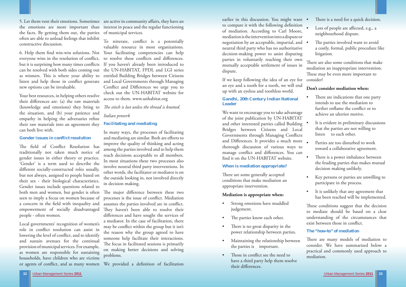earlier in this discussion. You might want to compare it with the following definition of mediation. According to Carl Moore, mediation is the intervention into a dispute or negotiation by an acceptable, impartial, and neutral third party who has no authoritative decision-making power to assist disputing parties in voluntarily reaching their own mutually acceptable settlement of issues in dispute.

We want to encourage you to take advantage of the joint publication by UN-HABITAT and other interested parties called Building Bridges between Citizens and Local Governments through Managing Conflicts and Differences. It provides a much more thorough discussion of various ways to manage conflict and differences. You can find it on the UN-HABITAT website.

If we keep following the idea of an eye for an eye and a tooth for a tooth, we will end up with an eyeless and toothless world.

There are some generally accepted conditions that make mediation an appropriate intervention.

# **Gandhi, 20th Century Indian National Leader**

- There is a need for a quick decision.
- Lots of people are affected, e.g., a neighbourhood dispute.
- The parties involved want to avoid a costly, formal, public procedure like litigation.

There are also some conditions that make mediation an inappropriate intervention. These may be even more important to consider!

# **When is mediation appropriate?**

#### **Mediation is appropriate when:**

- Strong emotions have muddled judgement.
- The parties know each other.
- There is no great disparity in the power relationship between parties.
- Maintaining the relationship between the parties is important.
- Those in conflict see the need to have a third party help them resolve their differences.
- There are indications that one party intends to use the mediation to further enflame the conflict or to achieve an ulterior motive.
- It is evident in preliminary discussions that the parties are not willing to listen to each other.
- Parties are too disturbed to work toward a collaborative agreement.
- There is a power imbalance between the feuding parties that makes mutual decision making unlikely.
- Key persons or parties are unwilling to participate in the process.
- It is unlikely that any agreement that has been reached will be implemented.

These conditions suggest that the decision to mediate should be based on a clear understanding of the circumstances that exist between those in conflict.

There are many models of mediation to consider. We have summarized below a practical and commonly used approach to mediation.

listen and help those in conflict generate and Local Governments through Managing new options can be invaluable.

# **Don't consider mediation when:**

The field of Conflict Resolution has traditionally not taken much notice of gender issues in either theory or practice. 'Gender' is a term used to describe the different socially-constructed roles usually, but not always, assigned to people based on their sex - their biological characteristics. Gender issues include questions related to both men and women, but gender is often seen to imply a focus on women because of a concern in the field with inequality and empowerment of socially disadvantaged people - often women.

6. Help them find win-win solutions. Not Your facilitating competencies can help everyone wins in the resolution of conflict, to resolve these conflicts and differences. but it is surprising how many times conflicts If you haven't already been introduced to can be resolved with both sides coming out the UN-HABITAT, FPDL and LGI series as winners. This is where your ability to entitled Building Bridges between Citizens To reiterate, conflict is a potentially valuable resource in most organizations. Conflict and Differences we urge you to check out the UN-HABITAT website for access to them. www.unhabitat.org

# **The "how-to" of mediation**

5. Let them vent their emotions. Sometimes are active in community aff airs, they have an the emotions are more important than interest in peace and the regular functioning the facts. By getting them out, the parties of municipal services. often are able to unload feelings that inhibit constructive discussion.

> The major difference between these two processes is the issue of conflict. Mediation assumes the parties involved are in conflict. They haven't been able to resolve their differences and have sought the services of a mediator. In the case of facilitation, there may be conflict within the group but it isn't the reason why the group agreed to have someone help facilitate their interactions. The focus in facilitated sessions is primarily on making better decisions and solving problems.

or agents of conflict, and as many women We provided a definition of facilitation

Your best resources, in helping others resolve their differences are: (a) the raw materials (knowledge and emotions) they bring to *The stitch is lost unless the thread is knotted*. the situation, and (b) your patience and empathy in helping the adversaries refine their raw materials into an agreement they can both live with.

#### **Gender issues in conflict resolution**

Local governments' recognition of women's role in conflict resolution can assist in lowering the level of conflict, and to identify and sustain avenues for the continual provision of municipal services. For example, as women are responsible for sustaining households, have children who are victims

# *Italian proverb*

### **Facilitating and mediating**

In many ways, the processes of facilitating and mediating are similar. Both are efforts to improve the quality of thinking and acting among the parties involved and to help them reach decisions acceptable to all members. In most situations these two processes also involve neutral third party interventions. In other words, the facilitator or mediator is on the outside looking in, not involved directly in decision making.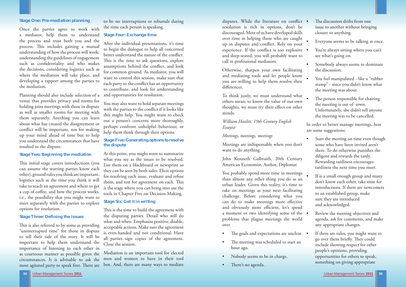# **Stage One: Pre-mediation planning**

Once the parties agree to work with a mediator, help them to understand **Stage Four: Exchange time**  the process and trust both you and the process. This includes gaining a mutual understanding of how the process will work; understanding the guidelines of engagement such as confidentiality and who makes the decisions, considering logistics such as where the mediation will take place, and developing a rapport among the parties to the mediation.

This initial stage covers introductions (you can assume the warring parties know each other), ground rules you think are important, logistics such as the time you think it will take to reach an agreement and where to get a cup of coffee, and how the process works, i.e., the possibility that you might want to meet separately with the parties to explore options for resolution.

Planning should also include selection of a venue that provides privacy and rooms for holding joint meetings with those in dispute as well as smaller rooms for meeting with them separately. Anything you can learn about what has created the disagreement or conflict will be important, not for making up your mind ahead of time but to help you understand the circumstances that have resulted in the dispute.

# **Stage Two: Beginning the mediation**

#### **Stage Three: Defining the issues**

This is also referred to by some as providing "uninterrupted time" for those in dispute to tell their side of the story. It will be important to help them understand the importance of listening to each other in as courteous manner as possible given the circumstances. It is advisable to ask the most agitated party to speak first. There are

This is the time to build the agreement with the disputing parties. Detail who will do what and when. Emphasize positive, doable, acceptable actions. Make sure the agreement is even-handed and not conditional. Have all parties sign copies of the agreement. Close the session.

to be no interruptions or rebuttals during the time each person is speaking.

disputes. While the literature on conflict . resolution is rich in options, don't be discouraged. Most of us have developed skills over time in helping those who are caught up in disputes and conflict. Rely on your experience. If the conflict is too explosive  $\bullet$ and deep-seated, you will probably want to call in professional mediators.

Otherwise, sharpen your own facilitating and mediating tools and let people know you are willing to help them resolve their differences.

After the individual presentations, it's time to begin the dialogue to help all concerned better understand the nature of the conflict. This is the time to ask questions, explore assumptions behind the conflict, and look for common ground. As mediator, you will want to control this session, make sure that each party to the conflict has an opportunity to contribute, and look for understanding and opportunities for resolution.

You may also want to hold separate meetings with the parties to the conflict if it looks like this might help. You might want to check out a person's concerns more thoroughly, perhaps confront unhelpful behaviour, or help them think through their options.

# **Stage Five: Generating options to resolve the dispute**

- The discussion drifts from one issue to another without bringing closure to anything.
- Everyone seems to be talking at once.
- You're always sitting where you can't see what's going on.
- Somebody always seems to dominate the discussion.
- You feel manipulated like a "rubber stamp" - since you didn't know what the meeting was about.
- The person responsible for chairing the meeting is out of town. Unfortunately, she didn't tell anyone the meeting was to be cancelled.

At this point, you might want to summarize what you see as the issues to be resolved. List them on a blackboard or newsprint so they can be seen by both sides. Elicit options for resolving each issue, evaluate and refine them, and test for agreement on each. This is the stage where you can bring into use the tools in Chapter Five on Decision Making.

- Start the meeting on time even though some who have been invited aren't there. To do otherwise punishes the diligent and rewards the tardy. Rewarding tardiness encourages tardiness the next time you meet.
- If is a small enough group and many don't know each other, take time for introductions. If there are newcomers to an established group, make sure they are introduced and acknowledged.
- Review the meeting objectives and agenda, ask for comments, and make any appropriate changes.

# **Stage Six: Get it in writing**

Mediation is an important tool for elected men and women to have in their tool box. And, there are many ways to mediate To think justly, we must understand what others mean; to know the value of our own thoughts, we must try their effect on other minds.

# *William Hazlitt, 19th Century English Essayist*

# *Meetings, meetings, meetings*

Meetings are indispensable when you don't want to do anything.

John Kenneth Galbraith, 20th Century American Economist, Author, Diplomat

You probably spend more time in meetings than almost any other thing you do as an urban leader. Given this reality, it's time to take on meetings as your next facilitating challenge. Before considering what you can do to make meetings more effective and obviously more efficient, let's spend a moment or two identifying some of the problems that plague meetings the world over.

- The goals and expectations are unclear.  $\bullet$ The meeting was scheduled to start an hour ago. Nobody seems to be in charge. If there are rules, you might want to go over them briefly. They could include showing respect for other people's opinions, providing opportunities for others to speak, something on giving appropriate
- 
- 
- There's no agenda.

In order to better manage meetings, here are some suggestions: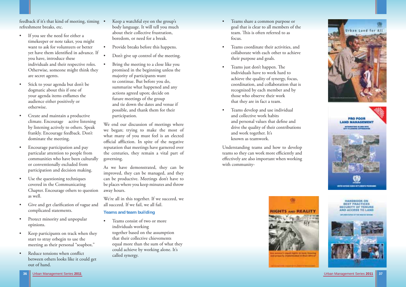



feedback if it's that kind of meeting, timing refreshment breaks, etc.

- If you see the need for either a timekeeper or note taker, you might want to ask for volunteers or better yet have them identified in advance. If you have, introduce these individuals and their respective roles. Otherwise, someone might think they are secret agents.
- Stick to your agenda but don't be dogmatic about this if one of your agenda items enflames the audience either positively or otherwise.
- Create and maintain a productive climate. Encourage active listening by listening actively to others. Speak frankly. Encourage feedback. Don't dominate the meeting.
- Encourage participation and pay particular attention to people from communities who have been culturally or conventionally excluded from participation and decision making.
- Use the questioning techniques covered in the Communicating Chapter. Encourage others to question as well.
- Give and get clarification of vague and complicated statements.
- Protect minority and unpopular opinions.
- Keep participants on track when they start to stray orbegin to use the meeting as their personal "soapbox."
- Reduce tensions when conflict between others looks like it could get out of hand.

We're all in this together. If we succeed, we all succeed. If we fail, we all fail.

- Keep a watchful eye on the group's body language. It will tell you much about their collective frustration, boredom, or need for a break.
- Provide breaks before this happens.
- Don't give up control of the meeting.
- Bring the meeting to a close like you promised in the beginning unless the majority of participants want to continue. But before you do, summarize what happened and any actions agreed upon; decide on future meetings of the group and tie down the dates and venue if possible, and thank them for their participation.
- We end our discussion of meetings where we began; trying to make the most of what many of you must feel is an elected official affliction. In spite of the negative reputation that meetings have garnered over the centuries, they remain a vital part of governing.

As we have demonstrated, they can be improved, they can be managed, and they can be productive. Meetings don't have to be places where you keep minutes and throw away hours.

# **Teams and team building**

• Teams consist of two or more individuals working together based on the assumption that their collective chievements equal more than the sum of what they could achieve by working alone. It's called synergy.

- Teams share a common purpose or goal that is clear to all members of the team. This is often referred to as focus.
- Teams coordinate their activities, and collaborate with each other to achieve their purpose and goals.
- Teams just don't happen. The individuals have to work hard to achieve the quality of synergy, focus, coordination, and collaboration that is recognized by each member and by those who observe their work that they are in fact a team.
- Teams develop and use individual and collective work habits and personal values that define and drive the quality of their contributions and work together. It's known as teamwork.

Understanding teams and how to develop teams so they can work more efficiently and effectively are also important when working with community-

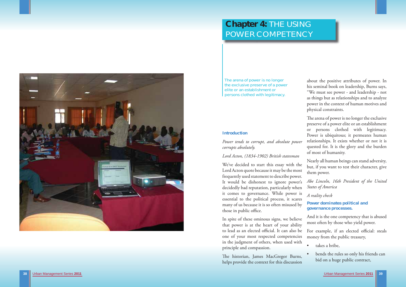# **Chapter 4:** THE USING POWER COMPETENCY



The arena of power is no longer the exclusive preserve of a power elite or an establishment or persons clothed with legitimacy.

about the positive attributes of power. In his seminal book on leadership, Burns says, "We must see power - and leadership - not as things but as relationships and to analyze power in the context of human motives and physical constraints.

The arena of power is no longer the exclusive preserve of a power elite or an establishment or persons clothed with legitimacy. Power is ubiquitous; it permeates human relationships. It exists whether or not it is quested for. It is the glory and the burden of most of humanity.

but, if you want to test their character, give them power. *Abe Lincoln, 16th President of the United States of America A reality check*  **Power dominates political and governance processes.**  We've decided to start this essay with the Lord Acton quote because it may be the most frequently used statement to describe power. It would be dishonest to ignore power's decidedly bad reputation, particularly when it comes to governance. While power is essential to the political process, it scares many of us because it is so often misused by those in public office.

Nearly all human beings can stand adversity,

And it is the one competency that is abused

The historian, James MacGregor Burns, helps provide the context for this discussion

- 
- bends the rules so only his friends can bid on a huge public contract,

#### **Introduction**

*Power tends to corrupt, and absolute power corrupts absolutely.*

# *Lord Acton, (1834-1902) British statesman*

most often by those who yield power. For example, if an elected official: steals money from the public treasury, takes a bribe. In spite of these ominous signs, we believe that power is at the heart of your ability to lead as an elected official. It can also be one of your most respected competencies in the judgment of others, when used with principle and compassion.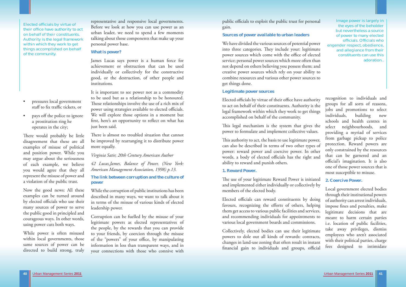public officials to exploit the public trust for personal gain.

#### **Sources of power available to urban leaders**

We have divided the various sources of potential power into three categories. They include your: legitimate power sources which come with the office of elected service; personal power sources which more often than not depend on others believing you possess them; and creative power sources which rely on your ability to combine resources and various other power sources to get things done.

Elected officials by virtue of their office have authority to act on behalf of their constituents. Authority is the legal framework within which they work to get things accomplished on behalf of the community.

This legal mechanism is the system that gives the power to formulate and implement collective values.

### **Legitimate power sources**

This authority to act, the basis to use legitimate power, can also be described in terms of two other types of power: reward power and coercive power. In other words, a body of elected officials has the right and ability to reward and punish others.

The use of your legitimate Reward Power is initiated and implemented either individually or collectively by members of the elected body.

Elected officials can reward constituents by doing favours, recognizing the efforts of others, helping them get access to various public facilities and services, and recommending individuals for appointments to various local government boards and commissions.

Collectively, elected bodies can use their legitimate powers to dole out all kinds of rewards: contracts, changes in land-use zoning that often result in instant financial gain to individuals and groups, official

### **1. Reward Power.**

It is important to see power not as a commodity to be used but as a relationship to be honoured. Those relationships involve the use of a rich mix of power using strategies available to elected officials. We will explore those options in a moment but first, here's an opportunity to reflect on what has just been said.

There is almost no troubled situation that cannot be improved by rearranging it to distribute power more equally.

Image power is largely in the eyes of the beholder but nevertheless a source of power to many elected officials. Officials who engender respect, obedience, and allegiance from their constituents can use this adoration..

There would probably be little disagreement that these are all examples of misuse of political and position power. While you may argue about the seriousness of each example, we believe you would agree that they all represent the misuse of power and a violation of the public trust.

representative and responsive local governments. Before we look at how you can use power as an urban leader, we need to spend a few moments talking about those components that make up your personal power base.

## **What is power?**

James Lucas says power is a human force for achievement or obstruction that can be used individually or collectively for the constructive good, or the destruction, of other people and institutions.

# *Virginia Satir, 20th Century American Author*

*42 Lucas,James, Balance of Power, (New York: American Management Association, 1998) p.13.* 

# **The link between corruption and the culture of power**

While the corruption of public institutions has been described in many ways, we want to talk about it in terms of the misuse of various kinds of elected leadership power.

Corruption can be fuelled by the misuse of your legitimate powers as elected representatives of the people, by the rewards that you can provide to your friends, by coercion through the misuse of the "powers" of your office, by manipulating information in less than transparent ways, and in your connections with those who connive with

Elected officials by virtue of their office have authority to act on behalf of their constituents. Authority is the legal framework within which they work to get things accomplished on behalf of the community.

- pressures local government staff to fix traffic tickets, or
- pays off the police to ignore a prostitution ring he operates in the city;

Now the good news: All these examples can be turned around by elected officials who use their many sources of power to serve the public good in principled and courageous ways. In other words, using power cuts both ways.

While power is often misused within local governments, those same sources of power can be directed to build strong, truly

recognition to individuals and groups for all sorts of reasons, jobs and promotions to select individuals, building new schools and health centres in select neighbourhoods, and providing a myriad of services from garbage pickup to police protection. Reward powers are only constrained by the resources that can be garnered and an official's imagination. It is also one of those power sources that is most susceptible to misuse.

**2. Coercive Power.** 

Local government elected bodies through their institutional powers of authority can arrest individuals, impose fines and penalties, make legitimate decisions that are meant to harm certain parties i.e. location of public facilities, take away privileges, dismiss employees who aren't associated with their political parties, charge fees designed to intimidate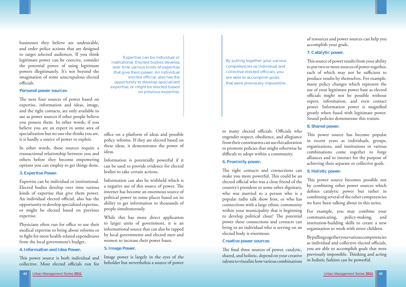businesses they believe are undesirable, and order police actions that are designed to target selected audiences. If you think legitimate power can be coercive, consider the potential power of using legitimate powers illegitimately. It's not beyond the imagination of some unscrupulous elected officials.

The next four sources of power based on expertise, information and ideas, image, and the right contacts, are only available to use as power sources if other people believe you possess them. In other words, if you believe you are an expert in some area of specialization but no one else thinks you are, it is hardly a source of power to exploit.

#### **Personal power sources**

Physicians often run for office to use their medical expertise to bring about reforms or to fight for more health-related expenditures from the local government's budget.

In other words, these sources require a transactional relationship between you and others before they become empowering options you can employ to get things done.

#### **3. Expertise Power.**

Expertise can be individual or institutional. Elected bodies develop over time various kinds of expertise that give them power. An individual elected official, also has the opportunity to develop specialized expertise, or might be elected based on previous expertise.

> The final three sources of power, catalytic, shared, and holistic, depend on your creative talents to visualize how various combinations

# office on a platform of ideas and possible policy reforms. If they are elected based on these ideas, it demonstrates the power of ideas.

## **4. Information and Idea Power.**

This power source is both individual and collective. Most elected officials run for

### **6. Proximity power.**

This source of power results from your ability to put two or more sources of power together, each of which may not be sufficient to produce results by themselves. For example, many policy changes which represent the use of your legitimate power base as elected officials might not be possible without expert, information, and even contact power. Information power is magnified greatly when fused with legitimate power. Sound policies demonstrate this truism.

This power source has become popular in recent years as individuals, groups, organizations, and institutions in various combinations come together to forge alliances and to interact for the purpose of achieving their separate or collective goals.

The right contacts and connections can make you more powerful. This could be an elected official who was a close friend of the country's president or some other dignitary, who was married to a person who is a popular radio talk show host, or who has connections with a large ethnic community within your municipality that is beginning to develop political clout? The potential power these connections and contacts can bring to an individual who is serving on an elected body is enormous. **9. Holistic power.**  This power source becomes possible not by combining other power sources which defines catalytic power but rather in combining several of the other competencies we have been talking about in this series. For example, you may combine your communicating, policy-making, and institution-building skills to create a new organization to work with street children.

# **Creative power sources**

Information is potentially powerful if it can be used to provide evidence for elected bodies to take certain actions.

Information can also be withheld which is a negative use of this source of power. The internet has become an enormous source of political power in some places based on its ability to get information to thousands of people simultaneously.

While this has more direct application to larger units of government, it is an informational source that can also be tapped by local governments and elected men and women to increase their power bases.

## **5. Image Power.**

Image power is largely in the eyes of the beholder but nevertheless a source of power

of resources and power sources can help you accomplish your goals.

# **7. Catalytic power.**

# **8. Shared power.**

By pulling together your various competencies as individual and collective elected officials, you are able to accomplish goals that were previously impossible. Thinking and acting in holistic fashion can be powerful.

Expertise can be individual or institutional. Elected bodies develop over time various kinds of expertise that give them power. An individual elected official, also has the opportunity to develop specialized expertise, or might be elected based on previous expertise.

By pulling together your various competencies as individual and collective elected officials, you are able to accomplish goals that were previously impossible.

to many elected officials. Officials who engender respect, obedience, and allegiance from their constituents can use this adoration to promote policies that might otherwise be difficult to adopt within a community.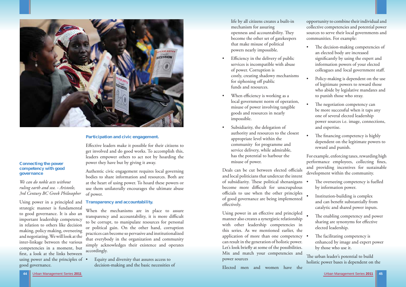

Urban Management Series **2011** Urban Management Series **2011 45**

### **Connecting the power competency with good governance**

*We can do noble acts without ruling earth and sea. - Aristotle, 3rd Century BC Greek Philosopher* 

Using power in a principled and strategic manner is fundamental to good governance. It is also an important leadership competency in relation to others like decision making, policy making, overseeing and negotiating. We will look at the inter-linkage between the various competencies in a moment, but first, a look at the links between using power and the principles of • good governance.

Effective leaders make it possible for their citizens to get involved and do good works. To accomplish this, leaders empower others to act not by hoarding the power they have but by giving it away.



### **Participation and civic engagement.**

Authentic civic engagement requires local governing bodies to share information and resources. Both are at the heart of using power. To hoard these powers or use them unilaterally encourages the ultimate abuse of power.

#### **Transparency and accountability.**

- Efficiency in the delivery of public services is incompatible with abuse of power. Corruption is costly, creating shadowy mechanisms for siphoning off public funds and resources.
- When efficiency is working as a local government norm of operation, misuse of power involving tangible goods and resources in nearly impossible.
- Subsidiarity, the delegation of authority and resources to the closest appropriate level within the community for programme and service delivery, while admirable, has the potential to harbour the misuse of power.

Deals can be cut between elected officials and local politicians that undercut the intent of subsidiarity. These political shenanigans become more difficult for unscrupulous officials to use when the other principles of good governance are being implemented effectively.

When the mechanisms are in place to assure transparency and accountability, it is more difficult to be corrupt, to manipulate resources for personal or political gain. On the other hand, corruption practices can become so pervasive and institutionalized that everybody in the organization and community simply acknowledges their existence and operates accordingly.

Using power in an effective and principled manner also creates a synergistic relationship with other leadership competencies in this series. As we mentioned earlier, the application of more than one competency • can result in the generation of holistic power. Let's look briefly at some of the possibilities. Mix and match your competencies and power sources

• Equity and diversity that assures access to decision-making and the basic necessities of  life by all citizens creates a built-in mechanism for assuring openness and accountability. They become the other set of gatekeepers that make misuse of political powers nearly impossible.

- The decision-making competencies of an elected body are increased significantly by using the expert and information powers of your elected colleagues and local government staff.
- Policy-making is dependent on the use of legitimate powers to reward those who abide by legislative mandates and to punish those who stray.
- The negotiation competency can be more successful when it taps any one of several elected leadership power sources i.e. image, connections, and expertise.
- The financing competency is highly dependent on the legitimate powers to reward and punish.

- The overseeing competency is fuelled by information power.
- Institution-building is complex and can benefit substantially from catalytic and shared power inputs.
- The enabling competency and power sharing are synonyms for effective elected leadership.
- The facilitating competency is enhanced by image and expert power by those who use it.

The urban leader's potential to build holistic power bases is dependent on the

Elected men and women have the

opportunity to combine their individual and collective competencies and potential power sources to serve their local governments and communities. For example:

For example, enforcing taxes, rewarding high performance employees, collecting fines, and providing incentives for sustainable development within the community.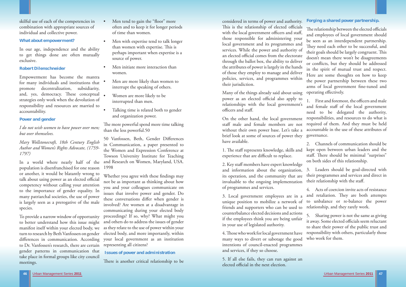skilful use of each of the competencies in combination with appropriate sources of individual and collective power.

### **What about empowerment?**

In our age, independence and the ability to get things done are often mutually exclusive.

### **Robert Dilenschneider**

Empowerment has become the mantra for many individuals and institutions that promote decentralization, subsidiarity, and, yes, democracy. These conceptual . strategies only work when the devolution of responsibility and resources are married to accountability.

### **Power and gender**

*I do not wish women to have power over men; but over themselves.* 

*Mary Wollstonecraft, 18th Century English Author and Women's Rights Advocate, (1759- 1797)* 

In a world where nearly half of the population is disenfranchised for one reason or another, it would be blatantly wrong to talk about using power as an elected official competency without calling your attention to the importance of gender equality. In many patriarchal societies, the use of power is largely seen as a prerogative of the male species.

- Men tend to gain the "floor" more often and to keep it for longer periods of time than women.
- Men with expertise tend to talk longer than women with expertise. This is perhaps important when expertise is a source of power.
- Men initiate more interaction than women.
- Men are more likely than women to interrupt the speaking of others.
- Women are more likely to be interrupted than men.
- Talking time is related both to gender and organization power.

The more powerful spend more time talking than the less powerful.50

50 Vanfossen, Beth, Gender Differences in Communication, a paper presented to the Women and Expression Conference at Towson University Institute for Teaching and Research on Women, Maryland, USA. 1998

To provide a narrow window of opportunity to better understand how this issue might manifest itself within your elected body, we to Dr. Vanfossen's research, there are certain representing all citizens? gender patterns in communication that take place in formal groups like city council meetings.

Many of the things already said about using power as an elected official also apply to relationships with the local government's officers and staff.

2. Key staff members have expert knowledge and information about the organization, its operation, and the community that are invaluable to the ongoing implementation of programmes and services. 3. Leaders should be goal-directed with their programmes and services and direct in their relationship with the staff.

turn to research by Beth Vanfossen on gender elected body, and more importantly, within diff erences in communication. According your local government as an institution Whether you agree with these findings may not be as important as thinking about how you and your colleagues communicate on issues that involve power and gender. Do these conversations differ when gender is involved? Are women at a disadvantage in communicating during your elected body proceedings? If so, why? What might you and others do to address the issues of gender as they relate to the use of power within your

4. Those who work for local government have many ways to divert or sabotage the good intentions of council-enacted programmes and services, if they so choose.

5. If all else fails, they can run against an elected official in the next election.

1. First and foremost, the officers and male and female staff of the local government need to be delegated the authority, responsibilities, and resources to do what is required of them. And they must be held accountable in the use of these attributes of governance.

# **Issues of power and administration**

There is another critical relationship to be

considered in terms of power and authority. This is the relationship of elected officials with the local government officers and staff, those responsible for administering your local government and its programmes and services. While the power and authority of an elected official comes from the electorate through the ballot box, the ability to deliver the attributes of power is largely in the hands of those they employ to manage and deliver policies, services, and programmes within their jurisdiction.

On the other hand, the local government staff male and female members are not without their own power base. Let's take a brief look at some of sources of power they have available.

1. The staff represents knowledge, skills and experience that are difficult to replace.

3. Local government employees are in a unique position to mobilize a network of friends and supporters who can be used to counterbalance elected decisions and actions if the employees think you are being unfair in your use of legislated authority.

## **Forging a shared power partnership.**

The relationship between the elected officials and employees of local government should be seen as an interdependent partnership. They need each other to be successful, and their goals should be largely congruent. This doesn't mean there won't be disagreements or conflicts, but they should be addressed in the spirit of mutual trust and respect. Here are some thoughts on how to keep the power partnership between these two arms of local government fine-tuned and operating effectively.

2. Channels of communication should be kept open between urban leaders and the staff. There should be minimal "surprises" on both sides of this relationship.

4. Acts of coercion invite acts of resistance and retaliation. They are both attempts to unbalance or re-balance the power relationship, and they rarely work.

5. Sharing power is not the same as giving it away. Some elected officials seem reluctant to share their power of the public trust and responsibility with others, particularly those who work for them.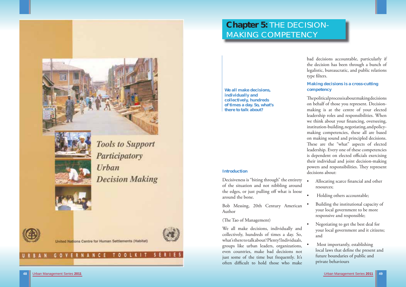



**Tools to Support** Participatory **Urban Decision Making** 



**GOVERNANCE** 



United Nations Centre for Human Settlements (Habitat)

T 0 0

# **Introduction**

We all make decisions, individually and collectively, hundreds of times a day. So, what's there to talk about? Plenty! Individuals, groups like urban leaders, organizations, even countries, make bad decisions not just some of the time but frequently. It's often difficult to hold those who make

Decisiveness is "biting through" the entirety of the situation and not nibbling around the edges, or just pulling off what is loose around the bone.

Bob Messing, 20th Century American Author

(The Tao of Management)

bad decisions accountable, particularly if the decision has been through a bunch of legalistic, bureaucratic, and public relations type filters.

# **Chapter 5:** THE DECISION-MAKING COMPETENCY

**We all make decisions, individually and collectively, hundreds of times a day. So, what's there to talk about?**

The political process is about making decisions on behalf of those you represent. Decisionmaking is at the centre of your elected leadership roles and responsibilities. When we think about your financing, overseeing, institution-building, negotiating, and policymaking competencies, these all are based on making sound and principled decisions. These are the "what" aspects of elected leadership. Every one of these competencies is dependent on elected officials exercising their individual and joint decision-making powers and responsibilities. They represent decisions about:

**Making decisions is a cross-cutting competency** 

- Allocating scarce financial and other resources;
- Holding others accountable;
- Building the institutional capacity of your local government to be more responsive and responsible;
- Negotiating to get the best deal for your local government and it citizens; and
- Most importantly, establishing local laws that define the present and future boundaries of public and private behaviours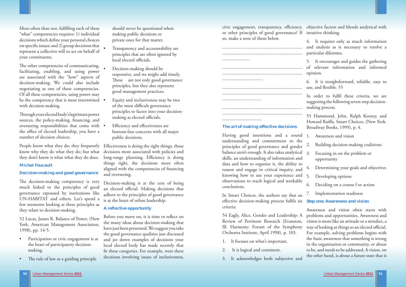

More often than not, fulfilling each of these "what" competencies requires: 1) individual decisions which define your personal choices on specific issues; and 2) group decisions that represent a collective will to act on behalf of your constituents.

The other competencies of communicating, facilitating, enabling, and using power are associated with the "how" aspects of decision-making. We could also include negotiating as one of these competencies. Of all these competencies, using power may be the competency that is most intertwined . with decision-making.

Through your elected body's legitimate power sources, the policy-making, financing, and overseeing responsibilities that come with the office of elected leadership, you have a number of decision choices.

The decision-making competency is very much linked to the principles of good governance espoused by institutions like UN-HABITAT and others. Let's spend a few moments looking at these principles as they relate to decision-making.

People know what they do; they frequently know why they do what they do; but what they don't know is what what they do does.

### **Michel Foucault**

### **Decision-making and good governance**

Effectiveness is doing the right things, those decisions more associated with policies and long-range planning. Efficiency is doing things right, the decisions more often aligned with the competencies of financing and overseeing.

52 Lucas, James R. Balance of Power, (New York, American Management Association, 1998), pp. 14-5.

- Participation or civic engagement is at the heart of participatory decision making.
- The rule of law as a guiding principle

Before you move on, it is time to reflect on the many ideas about decision-making that have just been presented. We suggest you take the good governance qualities just discussed and jot down examples of decisions your local elected body has made recently that fit these categories. For example, were there decisions involving issues of inclusiveness,

civic engagement, transparency, efficiency, objective factors and blends analytical with or other principles of good governance? If intuitive thinking. so, make a note of them below.

 should never be questioned when making public decisions or private ones for that matter.

- Transparency and accountability are principles that are often ignored by local elected officials.
- Decision-making should be responsive, and we might add timely. These are not only good governance principles, but they also represent good management practices.
- Equity and inclusiveness may be two of the most difficult governance principles to factor into your decision making as elected officials.
- Efficiency and effectiveness are bottom-line concerns with all major public decisions.

6. It is straightforward, reliable, easy to use, and flexible. 55

Decision-making is at the core of being an elected official. Making decisions that adhere to the principles of good governance is at the heart of urban leadership.

In order to fulfil these criteria, we are suggesting the following seven-step decisionmaking process.

# **A reflective opportunity**

# **The art of making effective decisions**

Having good intentions and a sound understanding and commitment to the principles of good governance and gender balance aren't enough. It also takes analytical skills, an understanding of information and data and how to organize it, the ability to reason and engage in critical inquiry, and knowing how to use your experience and observations to reach logical and workable conclusions.

In Smart Choices, the authors say that an effective decision-making process fulfils six criteria:

- 1. It focuses on what's important.
- 
- 3. It acknowledges both subjective and

4. It requires only as much information and analysis as is necessary to resolve a particular dilemma.

5. It encourages and guides the gathering of relevant information and informed opinion.

54 Eagly, Alice, Gender and Leadership: A Review of Pertinent Research (Evanston, Ill. Harmony: Forum of the Symphony Orchestra Institute, April 1998), p. 103. 2. It is logical and consistent. Awareness and vision often starts with problems and opportunities. Awareness and vision is more like an attitude or a mindset, a way of looking at things as an elected official. For example, solving problems begins with the basic awareness that something is wrong in the organization or community, or about to be, and needs to be addressed. A vision, on the other hand, is about a future state that is

55 Hammond, John, Ralph Keeney, and Howard Raiffa, Smart Choices, (New York. Broadway Books, 1999), p. 4.

- 1. Awareness and vision
- 2. Building decision-making coalitions
- 3. Focusing in on the problem or opportunity
- Determining your goals and objectives
- 5. Developing options
- 6. Deciding on a course f or action
- 7. Implementation readiness

### **Step one: Awareness and vision**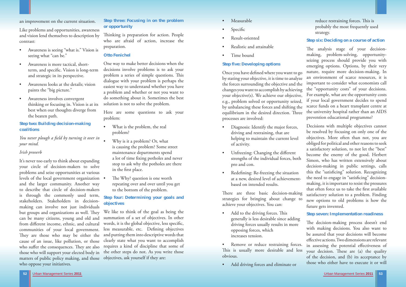### an improvement on the current situation.

Like problems and opportunities, awareness and vision lend themselves to description by contrast:

You never plough a field by turning it over in *your mind.* 

- Awareness is seeing "what is." Vision is seeing what "can be."
- Awareness is more tactical, short term, and specific. Vision is long-term and strategic in its perspective.
- Awareness looks at the details; vision paints the "big picture."
- Awareness involves convergent thinking or focusing in. Vision is at its best when our thoughts diverge from the beaten path.

# **Step two: Building decision-making coalitions**

# *Irish proverb*

It's never too early to think about expanding your circle of decision-makers to solve problems and seize opportunities at various levels of the local government organization and the larger community. Another way to describe that circle of decision-makers is through the commonly used term, stakeholders. Stakeholders in decisionmaking can involve not just individuals but groups and organizations as well. They can be many citizens, young and old and from different income, ethnic, and cultural communities of your local government. They are those who may be either the cause of an issue, like pollution, or those who suffer the consequences. They are also requires a kind of discipline that some of matters of public policy making, and those objectives, ask yourself if they are: who oppose your initiatives.

Thinking is preparation for action. People who are afraid of action, increase the preparation.

- What is the problem, the real problem?
	- Why is it a problem? Or, what is causing the problem? Some street maintenance departments spend a lot of time fixing potholes and never stop to ask why the potholes are there in the first place.
- The Why? question is one worth repeating over and over until you get to the bottom of the problem.

# **Step three: Focusing in on the problem or opportunity**

#### **Otto Fenichel**

Once you have defined where you want to go by stating your objective, it is time to analyze the forces surrounding the objective and the changes you want to accomplish by achieving your objective(s). We achieve our objective, e.g., problem solved or opportunity seized, by unbalancing these forces and shifting the equilibrium in the desired direction. Three processes are involved:

One way to make better decisions when the decisions involve problems is to ask your problem a series of simple questions. This dialogue with your problem is perhaps the easiest way to understand whether you have a problem and whether or not you want to do something about it. Sometimes the best solution is not to solve the problem.

Here are some questions to ask your problem:

those who will support your elected body in the other steps do not. As you write those We like to think of the goal as being the summation of a set of objectives. In other words, it is the global objective, less specific, less measurable, etc. Defining objectives and putting them into descriptive words that clearly state what you want to accomplish

- Add to the driving forces. This generally is less desirable since adding driving forces usually results in more opposing forces, which increases tension.
- Remove or reduce restraining forces. This is usually more desirable and less obvious.
- Add driving forces and eliminate or

The analysis stage of your decisionmaking, problem-solving, opportunityseizing process should provide you with emerging options. Options, by their very nature, require more decision-making. In an environment of scarce resources, it is important to consider what economists call the "opportunity costs" of your decisions. For example, what are the opportunity costs if your local government decides to spend scarce funds on a heart transplant centre at the university hospital rather than an AIDS prevention educational programme?

# **Step four: Determining your goals and objectives**

- Measurable
- Specific
- Result-oriented
- Realistic and attainable
- Time bound

The decision-making process doesn't end with making decisions. You also want to be assured that your decisions will become effective actions. Two dimensions are relevant in assessing the potential effectiveness of your decision. These are (a) the quality of the decision, and (b) its acceptance by those who either have to execute it or will

# **Step five: Developing options**

- driving and restraining, that are helping to maintain the current level of activity.
- strengths of the individual forces, both pro and con.
- Redefining: Re-freezing the situation at a new, desired level of achievement based on intended results.



#### **Step six: Deciding on a course of action**

• Diagnosis: Identify the major forces, Unfreezing: Changing the different There are three basic decision-making strategies for bringing about change to achieve your objectives. You can: Decisions with multiple objectives cannot be resolved by focusing on only one of the objectives. More often than not, you are obliged for political and other reasons to seek a satisfactory solution, to not let the "best" become the enemy of the good. Herbert Simon, who has written extensively about decision-making in public settings, calls this the "satisficing" solution. Recognizing the need to engage in "satisficing" decisionmaking, it is important to resist the pressures that often force us to take the first available satisfactory solution to a problem. Finding new options to old problems is how the future gets invented.

#### **Step seven: Implementation readiness**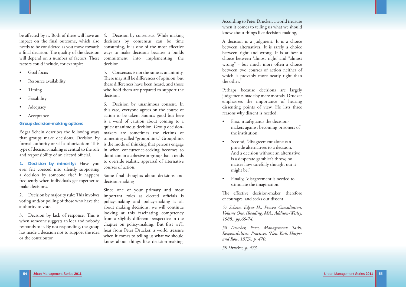Urban Management Series **2011** Urban Management Series **2011 55**

be aff ected by it. Both of these will have an 4. Decision by consensus. While making impact on the final outcome, which also decisions by consensus can be time needs to be considered as you move towards consuming, it is one of the most effective a final decision. The quality of the decision ways to make decisions because it builds will depend on a number of factors. These commitment into implementing the factors could include, for example:

- Goal focus
- Resource availability
- Timing
- **Feasibility**
- **Adequacy**
- **Acceptance**

Edgar Schein describes the following ways makers are sometimes the victims of that groups make decisions. Decision by formal authority or self-authorization: This  $\;$  is the mode of thinking that persons engage type of decision-making is central to the role in when concurrence-seeking becomes so and responsibility of an elected official.

#### **Group decision-making options**

3. Decision by lack of response: This is when someone suggests an idea and nobody responds to it. By not responding, the group has made a decision not to support the idea or the contributor.

**1. Decision by minority:** Have you ever felt coerced into silently supporting a decision by someone else? It happens frequently when individuals get together to make decisions.

voting and/or polling of those who have the authority to vote.

Some final thoughts about decisions and decision-making

2. Decision by majority rule: This involves important roles as elected officials is Since one of your primary and most policy-making and policy-making is all about making decisions, we will continue looking at this fascinating competency from a slightly different perspective in the chapter on policy-making. But first we'll hear from Peter Drucker, a world treasure when it comes to telling us what we should know about things like decision-making.

decision.

5. Consensus is not the same as unanimity. There may still be differences of opinion, but these differences have been heard, and those who hold them are prepared to support the decision.

- First, it safeguards the decision makers against becoming prisoners of the institution.
- Second, "disagreement alone can provide alternatives to a decision. And a decision without an alternative is a desperate gambler's throw, no matter how carefully thought out it might be."
- Finally, "disagreement is needed to stimulate the imagination.

The effective decision-maker, therefore encourages and seeks out dissent..

6. Decision by unanimous consent. In this case, everyone agrees on the course of action to be taken. Sounds good but here is a word of caution about coming to a quick unanimous decision. Group decisionsomething called "groupthink." Groupthink dominant in a cohesive in-group that it tends to override realistic appraisal of alternative courses of action.

According to Peter Drucker, a world treasure when it comes to telling us what we should know about things like decision-making,

A decision is a judgment. It is a choice between alternatives. It is rarely a choice between right and wrong. It is at best a choice between 'almost right' and "almost wrong" - but much more often a choice between two courses of action neither of which is provably more nearly right than the other."

Perhaps because decisions are largely judgements made by mere mortals, Drucker emphasizes the importance of hearing dissenting points of view. He lists three reasons why dissent is needed.

*57 Schein, Edgar H., Process Consultation, Volume One. (Reading, MA., Addison-Wesley, 1988), pp.69-74.* 

*58 Drucker, Peter, Management: Tasks, Responsibilities, Practices. (New York, Harper and Row, 1973), p. 470.* 

*59 Drucker, p. 473.*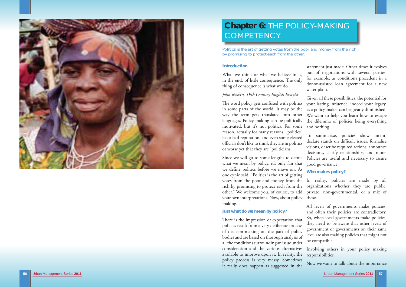

# **Chapter 6:** THE POLICY-MAKING **COMPETENCY**

Politics is the art of getting votes from the poor and money from the rich by promising to protect each from the other.

# **Introduction**

# *John Ruskin, 19th Century English Essayist*

What we think or what we believe in is, in the end, of little consequence. The only thing of consequence is what we do. statement just made. Other times it evolves out of negotiations with several parties, for example, as conditions precedent in a donor-assisted loan agreement for a new water plant.

The word policy gets confused with politics in some parts of the world. It may be the way the term gets translated into other languages. Policy-making can be politically motivated, but it's not politics. For some reason, actually for many reasons, "politics" has a bad reputation, and even some elected officials don't like to think they are in politics or worse yet that they are "politicians. Given all these possibilities, the potential for your lasting influence, indeed your legacy, as a policy-maker can be greatly diminished. We want to help you learn how to escape the dilemma of policies being everything and nothing. To summarise, policies show intent, declare stands on difficult issues, formalise visions, describe required actions, announce decisions, clarify relationships, and more. good governance.

# **Just what do we mean by policy?**

Since we will go to some lengths to define what we mean by policy, it's only fair that we define politics before we move on. As one cynic said, "Politics is the art of getting votes from the poor and money from the In reality, policies are made by all rich by promising to protect each from the other." We welcome you, of course, to add your own interpretations. Now, about policy making... Policies are useful and necessary to assure **Who makes policy?**  organizations whether they are public, private, non-governmental, or a mix of these.

There is the impression or expectation that policies result from a very deliberate process of decision-making on the part of policy bodies and are based on thorough analysis of all the conditions surrounding an issue under consideration and the various alternatives available to improve upon it. In reality, the policy process is very messy. Sometimes it really does happen as suggested in the they need to be aware that other levels of government or governments on their same level are also making policies that might not be compatible. Involving others in your policy making responsibilities Now we want to talk about the importance

All levels of governments make policies, and often their policies are contradictory. So, when local governments make policies,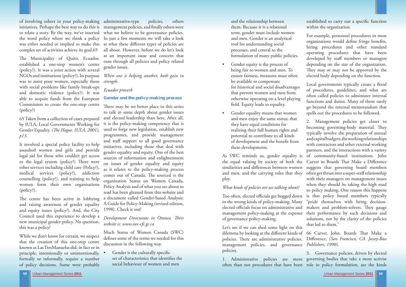

of involving others in your policy-making administrative-type policies, others initiatives. Perhaps the best way to do this is management policies, and finally others were to relate a story. By the way, we've inserted what we believe to be governance policies. the word policy where we think a policy In just a few moments we will take a look was either needed or implied to make this at what these different types of policies are complex set of activities achieve its goal.65

The Municipality of Quito, Ecuador, established a one-stop women's centre (policy?). It was a joint action with several NGOs and institutions (policy?). Its purpose was to assist poor women, especially those *strength.*  with social problems like family break-ups and domestic violence (policy?). It was able to acquire funds from the European Commission to create the one-stop centre (policy?)

The centre has been active in lobbying and raising awareness of gender equality and equity issues (policy?). And, the City Council used this experience to develop a new municipal gender policy. No question, this was a policy!

65 Taken from a collection of cases prepared by IULA, Local Governments Working for Gender Equality. (The Hague. IULA, 2001), *p13.*

It involved a special police facility to help assaulted women and girls and provide legal aid for those who couldn't get access to the legal system (policy?) There were other services including child care (Policy?), medical services (policy?), addiction counselling (policy?), and training to help women form their own organisations (policy?).

There may be no better place in this series to talk in some depth about gender issues and elected leadership than here. After all, it is the policy-making competency that is used to forge new legislation, establish new programmes, and provide management and staff support to all good governance initiatives, including those that deal with gender equality and equity. One of the best sources of information and enlightenment on issues of gender equality and equity as it relates to the policy-making process comes out of Canada. The sourced is the organization Status on Women Canada, Policy Analysis and of what you are about to read has been gleaned from this website and a document called Gender-based Analysis: A Guide for Policy-Making (revised edition, 1998). Check it out!

# *Development Directorate in Ottawa. Their website is: www.swc-cfc.gc.ca*

While we don't know for certain, we suspect that the creation of this one-stop centre known as Las TresManuelas did, in fact or in principle, intentionally or unintentionally, formally or informally, require a number of policy decisions. Some were probably

Gender is the culturally specific set of characteristics that identifies the social behaviour of women and men

all about. However, before we do let's look at an important issue and concern that runs through all policies and policy related gender issues.

- Gender equity is the process of being fair to women and men. To ensure fairness, measures must often be available to compensate for historical and social disadvantages that prevent women and men from otherwise operating on a level playing field. Equity leads to equality.
- Gender equality means that women and men enjoy the same status; that they have equal conditions for realizing their full human rights and potential to contribute to all kinds of development and the benefit from these developments.

*When one is helping another, both gain in* 

# *Ecuador proverb*

# **Gender and the policy-making process**

established to carry out a specific function within the organization.

Local governments typically create a flood of procedures, guidelines, and what are often called policies to administer internal functions and duties. Many of them rarely go beyond the internal memorandum that spells out the procedures to be followed.

Much Status of Women Canada (SWC) defines some of the terms we needed for this discussion in the following way.

 and the relationship between them. Because it is a relational term, gender must include women and men. Gender is an analytical tool for understanding social processes, and central to the formulation of many public policies.

Let's see if we can shed some light on this dilemma by looking at the different kinds of 66 Carver, John, Boards That Make a policies. There are administrative policies, Difference, *(San Francisco, CA. Jossey-Bass* management policies, and governance *Publishers, 1990),* policies.

For example, personnel procedures in most organizations would define fringe benefits, hiring procedures and other standard operating procedures that have been developed by staff members or managers depending on the size of the organization. They may or may not be approved by the elected body depending on the function.

As SWC reminds us, gender equality is of community-based institutions. John the equal valuing by society of both the Carver in Boards That Make a Difference similarities and differences between women and men, and the carrying roles that they play. *What kinds of policies are we talking about?*  Too often, elected officials get bogged down in the wrong kinds of policy-making. Many elected officials focus on administrative and management policy-making at the expense of governance policy-making. 2. Management policies get closer to becoming governing-body material. They typically involve the preparation of annual and capital budgets, the working relationships with contractors and other external working partners, and the interactions with a variety suggests that governing board members often get thrust into a super-staff relationship with their managers on management issues when they should be taking the high road to policy making. One reason this happens is that policy board members typically "pride themselves with being decisionmakers and problem-solvers. They gauge their performance by such decisions and solutions, not by the clarity of the policies that led to them."

1. Administrative policies are more governing bodies that take a more activist often than not procedures that have been role in policy formulation, are the kinds 3. Governance policies, driven by elected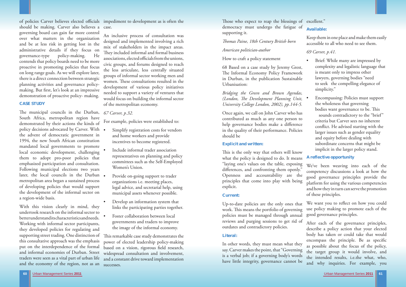

should be making. Carver also believes a case. governing board can gain far more control over what matters in the organization and be at less risk in getting lost in the administrative details if they focus on governance-type policy-making. He contends that policy boards need to be more proactive in promoting policies that focus on long range goals. As we will explore later, there is a direct connection between strategic planning activities and governance policymaking. But first, let's look at an impressive demonstration of proactive policy- making.

The municipal councils in the Durban, 67 Carver, p.32. South Africa, metropolitan region have demonstrated by their actions the kinds of policy decisions advocated by Carver. With . the advent of democratic government in 1994, the new South African constitution mandated local governments to promote local economic development, challenging them to adopt pro-poor policies that emphasized participation and consultation. Following municipal elections two years later, the local councils in the Durban metropolitan area began a sustained process of developing policies that would support the development of the informal sector on a region-wide basis.

# **CASE STUDY**

- Simplify registration costs for vendors and home workers and provide incentives to become registered.
- Include informal trader association representatives on planning and policy committees such as the Self-Employed Women's Union.
- Provide on-going support to trader organizations i.e. meeting places, legal advice, and secretarial help, using municipal assets whenever possible.
- Develop an information system that links the participating parties together.
- Foster collaboration between local governments and traders to improve the image of the informal economy.

With this vision clearly in mind, they undertook research on the informal sector to better understand its characteristics and needs. Working with informal sector participants, they developed policies for regulating and supporting street trading. One distinction of  $\;$  This remarkable case study demonstrates the this consultative approach was the emphasis put on the interdependence of the formal and informal economies of Durban. Street traders were seen as a vital part of urban life and the economy of the region, not as an

of policies Carver believes elected officials impediment to development as is often the

Those who expect to reap the blessings of excellent." democracy must undergo the fatigue of supporting it.

This is the only way that others will know what the policy is designed to do. It means "laying one's values on the table, exposing differences, and confronting them openly." Openness and accountability are the principles that come into play with being explicit.

An inclusive process of consultation was designed and implemented involving a rich mix of stakeholders in the impact areas. They included informal and formal business associations, elected officials from the unions, civic groups, and forums designed to reach the less articulate, less centrally situated groups of informal sector working men and women. These consultations resulted in the development of various policy initiatives needed to support a variety of ventures that would focus on building the informal sector of the metropolitan economy.

For example, policies were established to:

- Brief: While many are impressed by complexity and legalistic language that is meant only to impress other lawyers, governing bodies "need to seek the compelling elegance of simplicity."
- Encompassing: Policies must support the wholeness that governing bodies want governance to be. This sounds contradictory to the "brief" criteria but Carver sees no inherent conflict. He advised starting with the larger issues such as gender equality and equity before dealing with subordinate concerns that might be implicit in the larger policy stand.

We want you to reflect on how you could use policy making to promote each of the good governance principles.

power of elected leadership policy-making based on a vision, rigorous field research, widespread consultation and involvement, and a constant drive toward implementation successes.

## *Th omas Paine, 18th Century British born*

### *American politician-author*

# How to craft a policy statement

68 Based on a case study by Jeremy Grest, The Informal Economy Policy Framework in Durban, in the publication Sustainable Urbanisation:

*Bridging the Green and Brown Agendas, (London, The Development Planning Unit, University College London, 2002), pp.144-5.*

Once again, we call on John Carver who has contributed as much as any one person to help governance bodies make a difference in the quality of their performance. Policies should be

## **Explicit and written:**

#### **Current:**

Up-to-date policies are the only ones that work. This means the portfolio of governing policies must be managed through annual reviews and purging sessions to get rid of outdates and contradictory policies.

# **Available:**

Keep them in one place and make them easily accessible to all who need to see them.

# *69 Carver, p.41.*

**Literal:**  In other words, they must mean what they say. Carver makes the point, that "Governing is a verbal job; if a governing body's words have little integrity, governance cannot be After each of the governance principles, describe a policy action that your elected body has taken or could take that would encompass the principle. Be as specific as possible about the focus of the policy, the target group it would involve, and the intended results, i.e.the what, who, and why inquiries. For example, you

# **A reflective opportunity**

We've been weaving into each of the competency discussions a look at how the good governance principles provide the <sup>p</sup>latform for using the various competencies and how they in turn can serve the promotion of these principles.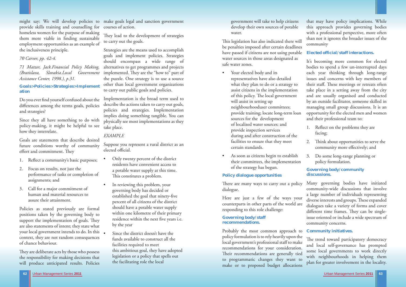

 government will take to help citizens develop their own sources of potable water.

This legislation has also indicated there will be penalties imposed after certain deadlines have passed if citizens are not using potable water sources in those areas designated as safe water zones.

- Your elected body and its representatives have also detailed what they plan to do or a strategy to assist citizens in the implementation of this policy. The local government will assist in setting up neighbourhooduser committees; provide training; locate long-term loan sources for the development of localized water sources; and provide inspection services during and after construction of the facilities to ensure that they meet certain standards.
- As soon as citizens begin to establish their committees, the implementation of the strategy has begun.

# **Policy dialogue opportunities**

Here are just a few of the ways your responding to this role challenge:

# **Governing body/staff recommendations.**

- 1. Reflect on the problems they are facing;
- 2. Think about opportunities to serve the community more effectively; and
- 3. Do some long-range planning or policy formulation.

There are many ways to carry out a policy dialogue. counterparts in other parts of the world are Many governing bodies have initiated community-wide discussions that involve a large number of individuals representing diverse interests and groups. These expanded dialogues take a variety of forms and cover different time frames. They can be singleissue oriented or include a wide spectrum of community concerns.

that may have policy implications. While this approach provides governing bodies with a professional perspective, more often than not it ignores the broader issues of the community

# **Elected official/staff interactions.**

Do you ever find yourself confused about the differences among the terms goals, policies and strategies?

Goals are statements that describe desired future conditions worthy of community effort and commitment. They

It's becoming more common for elected bodies to spend a few un-interrupted days each year thinking through long-range issues and concerns with key members of their staff. These meetings or retreats often take place in a setting away from the city and are usually organised and conducted by an outside facilitator, someone skilled in managing small group discussions. It is an opportunity for the elected men and women and their professional team to:

- 1. Reflect a community's basic purposes;
- 2. Focus on results, not just the performance of tasks or completion of assignments; and
- 3. Call for a major commitment of human and material resources to assure their attainment.

Probably the most common approach to policy formulation is to rely heavily upon the local government's professional staff to make recommendations for your consideration. Their recommendations are generally tied to programmatic changes they want to make or to proposed budget allocations **Community initiatives.** The trend toward participatory democracy and local self-governance has prompted some local governments to work directly with neighbourhoods in helping them <sup>p</sup>lan for greater involvement in the locality.

They are deliberate acts by those who possess the responsibility for making decisions that will produce anticipated results. Policies

They lead to the development of strategies to carry out the goals.

# **Governing body/community discussions.**

Suppose you represent a rural district as an elected official.

- Only twenty percent of the district residents have convenient access to a potable water supply at this time. This constitutes a problem.
	- In reviewing this problem, your governing body has decided or established the goal that ninety-five percent of all citizens of the district should have a potable water supply within one kilometre of their primary residence within the next five years i.e. by the year
	- Since the district doesn't have the funds available to construct all the facilities required to meet this ambitious goal, they have adopted legislation or a policy that spells out the facilitating role the local

might say: We will develop policies to make goals legal and sanction government provide skills training and counselling for courses of action. homeless women for the purpose of making them more viable in finding sustainable employment opportunities as an example of the inclusiveness principle.

*70 Carver, pp. 42-4.* 

*71 Matzer, Jack.Financial Policy Making, (Bratislava, Slovakia.Local Government Assistance Center, 1998.), p.31.*

**Goals>Policies>Strategies>Implement ation** 

Since they all have something to do with policy-making, it might be helpful to see how they interrelate.

Policies as stated previously are formal positions taken by the governing body to support the implementation of goals. They are also statements of intent; they state what your local government intends to do. In this context, they are not random consequences of chance behaviour.

Strategies are the means used to accomplish goals and implement policies. Strategies should encompass a wide range of alternatives to get programmes and projects implemented. They are the "how to" part of the puzzle. One strategy is to use a source other than local government organizations to carry out public goals and policies.

Implementation is the broad term used to describe the actions taken to carry out goals, policies and strategies. Implementation implies doing something tangible. You can physically see most implementations as they take place.

# *EXAMPLE*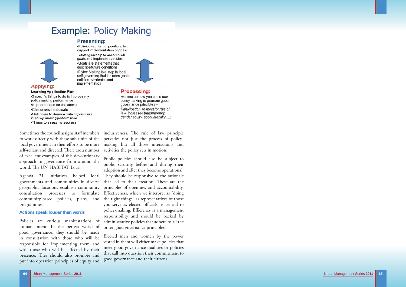# **Example: Policy Making**

# **Presenting:**



**Learning Application Plan:** 

Applying:

.Policies are formal positions to support implementation of goals · strategies help to accomplish goals and implement policies .Goals are statements that describe future conditions •Policy Making is a step in local self governing that includes goals, policies, strategies and implementation



# **Processing:**

•3 specific things to do to improve my policy making performance •Support I need for the above •Challenges I anticipate .Outcomes to demonstrate my success in policy-making performance •Things to asses my success

Sometimes the council assigns staff members inclusiveness. Th e rule of law principle to work directly with these sub-units of the pervades not just the process of policylocal government in their efforts to be more making but all those interactions and self-reliant and directed. There are a number activities the policy sets in motion. of excellent examples of this devolutionary approach to governance from around the world. The UN-HABITAT Local

Urban Management Series **2011** Urban Management Series **2011 65**

governments and communities in diverse geographic locations establish community consultation processes to formulate programmes.

### **Actions speak louder than words**

Policies are curious manifestations of human intent. In the perfect world of good governance, they should be made in consultation with those who will be responsible for implementing them and with those who will be affected by their presence. They should also promote and put into operation principles of equity and Participation, respect for rule of law, increased transparency, gender equity, accountability....;

.Reflect on how you could use

policy making to promote good

governance principles-

Agenda 21 initiatives helped local They-should-be-responsive-to-the-rationale community-based policies, plans, and the right things" as representatives of those Public policies should also be subject to public scrutiny before and during their adoption and after they become operational. that led to their creation. These are the principles of openness and accountability. Effectiveness, which we interpret as "doing" you serve as elected officials, is central to policy-making. Efficiency is a management responsibility and should be backed by administrative policies that adhere to all the other good governance principles.

> Elected men and women by the power vested in them will either make policies that meet good governance qualities or policies that call into question their commitment to good governance and their citizens.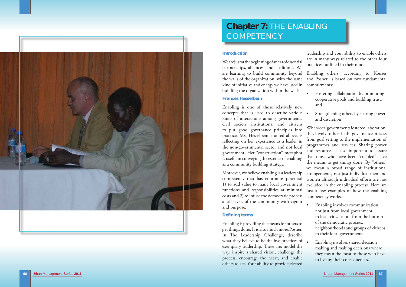

# **Chapter 7:** THE ENABLING COMPETENCY

# **Introduction**

# **Frances Hesselbein**

Enabling is one of those relatively new concepts that is used to describe various kinds of interactions among governments, civil society institutions, and citizens to put good governance principles into practice. Ms. Hesselbein, quoted above, is reflecting on her experience as a leader in the non-governmental sector and not local government. Her "construction" metaphor is useful in conveying the essence of enabling as a community building strategy.

We are just at the beginning of an era of essential partnerships, alliances, and coalitions. We are learning to build community beyond the walls of the organization, with the same kind of initiative and energy we have used in building the organization within the walls. practices outlined in their model. Enabling others, according to Kouzes and Posner, is based on two fundamental commitments:

- Fostering collaboration by promoting cooperative goals and building trust; and
- Strengthening others by sharing power and discretion.

Moreover, we believe enabling is a leadership competency that has enormous potential 1) to add value to many local government functions and responsibilities at minimal costs and 2) to infuse the democratic process at all levels of the community with vigour and purpose.

# **Defining terms**

Enabling is providing the means for others to get things done. It is also much more.Posner, In The Leadership Challenge, describe what they believe to be the five practices of exemplary leadership. These are: model the way, inspire a shared vision, challenge the process, encourage the heart, and enable others to act. Your ability to provide elected

leadership and your ability to enable others are in many ways related to the other four

When local governments foster collaboration, they involve others in the governance process from goal setting to the implementation of programmes and services. Sharing power and resources is also important to assure that those who have been "enabled" have the means to get things done. By "others" we mean a broad range of institutional arrangements, not just individual men and women although individual efforts are not excluded in the enabling process. Here are just a few examples of how the enabling competency works.

- Enabling involves communication, not just from local government to local citizens but from the bottom of the democratic process, neighbourhoods and groups of citizens to their local governments.
- Enabling involves shared decision making and making decisions where they mean the most to those who have to live by their consequences.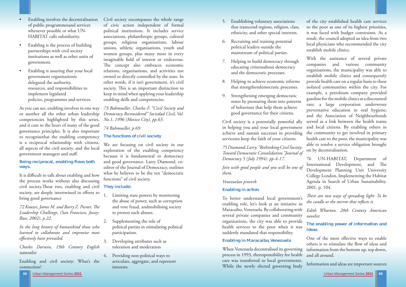**68**

Urban Management Series **2011** Urban Management Series **2011 69**

As you can see, enabling involves in one way or another all the other urban leadership competencies highlighted by this series, and it cuts to the heart of many of the good governance principles. It is also important to recognisethat the enabling competency **The functions of civil society**  is a reciprocal relationship with citizens, all aspects of the civil society, and the local government managers and staff.

- Enabling involves the decentralisation of public programmesand services whenever possible or what UN- HABITAT calls subsidiarity.
- Enabling is the process of building partnerships with civil society institutions as well as other units of government.
- Enabling is assuring that your local government organisationis delegated the authority, resources, and responsibilities to implement legislated policies, programmes and services.

It is difficult to talk about enabling and how the process works without also discussing civil society.Th ese two, enabling and civil **They include:**  society, are deeply intertwined in efforts to bring good governance

*72 Kouzes, James M. and Barry Z. Posner, The Leadership Challenge, (San Francisco, Jossey-Bass, 2002), p.22.*

*In the long history of humankind those who learned to collaborate and improvise most effectively have prevailed.* 

## **Being reciprocal, enabling flows both ways.**

*Charles Darwin, 19th Century English naturalist* 

Enabling and civil society: What's the connection?

Civil society encompasses the whole range of civic action independent of formal political institutions. It includes service associations, philanthropic groups, cultural groups, religious organisations, labour unions, athletic organisations, youth and women groups, plus many more in every imaginable field of interest or endeavour. The concept also embraces economic relations, organisations, and activities not owned or directly controlled by the state. In other words, if it isn't government, it's civil society. This is an important distinction to keep in mind when applying your leadership enabling skills and competencies.

*73 Bahmueller, Charles F. "Civil Society and Democracy Reconsidered" Sociedad Civil, Vol. No.1, 1996 (Mexico City), pp.63.*

# *74 Bahmueller, p.69.*

We are focusing on civil society in our exploration of the enabling competency because it is fundamental to democracy and good governance. Larry Diamond, coeditor of the Journal of Democracy, outlines what he believes to be the ten "democratic functions" of civil society.

- 1. Limiting state powers by monitoring the abuse of power, such as corruption and vote fraud, andmobilising society to protest such abuses.
- 2. Supplementing the role of political parties in stimulating political participation.
- 3. Developing attributes such as toleration and moderation
- 4. Providing non-political ways to articulate, aggregate, and represent interests.
- 5. Establishing voluntary associations that transcend regions, religion, class, ethnicity, and other special interests.
- 6. Recruiting and training potential political leaders outside the mainstream of political parties.
- educating citizensabout democracy and the democratic processes.
- that strengthendemocratic processes.
- states by pressuring them into patterns of behaviour that help them achieve good governance for their citizens.

*75 Diamond, Larry. "Rethinking Civil Society: Toward Democratic Consolidation."Journal of Democracy 5 (July 1994): pp-4-17.* 

*Join with good people and you will be one of them.* 

*Venezuelan proverb* 

# **Enabling in action**

# **Enabling in Maracaibo, Venezuela**

7. Helping to build democracy through 8. Helping to achieve economic reforms 9. Strengthening emerging democratic Civil society is a potentially powerful ally in helping you and your local government achieve and sustain successes in providing servicesto keep the faith of your citizens. With the assistance of several private companies and various community organisations, the municipality was able to establish mobile clinics and consequently provide health care on a regular basis to these isolated communities within the city. For example, a petroleum company provided gasoline for the mobile clinics at a discounted rate; a large corporation underwrote preventative education in oral hygiene; and the Association of Neighbourhoods served as a link between the health teams and local citizens. By enabling others in the community to get involved in primary health care to the poor, the municipality was able to resolve a service obligation brought on by decentralisation.

of the city established health care services to the poor as one of its highest priorities, it was faced with budget constraints. As a result, the council adopted an idea from two local physicians who recommended the city establish mobile clinics.

To better understand local government's enabling role, let's look at an initiative in Maracaibo, Venezuela. By collaborating with several private companies and community organisations, the city was able to provide health services to the poor when it was suddenly mandated that responsibility. *Th ere are two ways of spreading light: To be the candle or the mirror that reflects it. Edith Wharton, 20th Century American novelist* **The enabling power of information and ideas** 

When Venezuela decentralised its governing process in 1993, theresponsibility for health care was transferred to local governments. While the newly elected governing body information from the bottom up, top down, and all around. Information and ideas are important sources



76 UN-HABITAT, Department of International Development, and The Development Planning Unit University College London, Implementing the Habitat Agenda in Search of Urban Sustainability. 2001, p. 104.

One of the most effective ways to enable others is to stimulate the flow of ideas and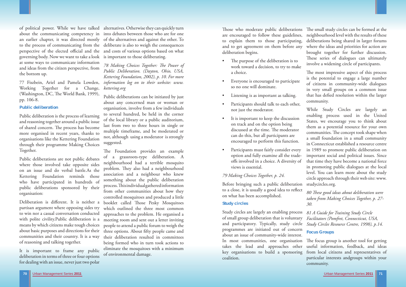

of political power. While we have talked alternatives. Otherwise they can quickly turn about the communicating competency in into debates between those who are for one an earlier chapter, it was directed mostly of the alternatives and against the other. To to the process of communicating from the deliberate is also to weigh the consequences perspective of the elected official and the and costs of various options based on what governing body. Now we want to take a look is important to those deliberating. at some ways to communicate information and ideas from the citizen perspective, from the bottom up.

77 Fiszbein, Ariel and Pamela Lowden, *information log on to their website: www.* Working Together for a Change, (Washington, DC, The World Bank, 1999), pp. 106-8.

### **Public deliberation**

Public deliberation is the process of learning and reasoning together around a public issue of shared concern. The process has become more organised in recent years, thanks to organisations like the Kettering Foundation through their programme Making Choices Together.

Deliberation is different. It is neither a partisan argument where opposing sides try to win nor a casual conversation conducted with polite civility.Public deliberation is a means by which citizens make tough choices about basic purposes and directions for their communities and their country. It is a way of reasoning and talking together.

Public deliberations are not public debates where those involved take opposite sides on an issue and do verbal battle.As the Kettering Foundation reminds those who have participated in hundreds of public deliberations sponsored by their organisation:

78 Making Choices Together: The Power of *Public Deliberation. (Dayton, Ohio, USA, Kettering Foundation, 2002), p. 10. For more kettering.org* 

It is important to frame any public deliberation in terms of three or four options for dealing with an issue, never just two polar

The Foundation provides an example of a grassroots-type deliberation. A neighbourhood had a terrible mosquito problem. They also had a neighbourhood association and a neighbour who knew something about the public deliberation process. This individual gathered information from other communities about how they controlled mosquitoes and produced a little booklet called Those Pesky Mosquitoes which outlined the three most common approaches to the problem. He organised a meeting room and sent out a letter inviting people to attend a public forum to weigh the three options. About fifty people came and their deliberation resulted in committees being formed who in turn took actions to eliminate the mosquitoes with a minimum of environmental damage.

Public deliberations can be initiated by just about any concerned man or woman or organisation, involve from a few individuals to several hundred, be held in the corner of the local library or a public auditorium, last from two to three hours in single or multiple timeframe, and be moderated or not, although using a moderator is strongly suggested.

Those who moderate public deliberations are encouraged to follow these guidelines, to explain them to those participating, and to get agreement on them before any deliberation begins. The purpose of the deliberation is to The small study circles can be formed at the neighbourhood level with the results of these deliberations being shared in larger forums where the ideas and priorities for action are brought together for further discussion. These series of dialogues can ultimately involve a widening circle of participants.

> The most impressive aspect of this process is the potential to engage a large number of citizens in community-wide dialogues in very small groups on a common issue that has defied resolution within the larger community.

- work toward a decision, to try to make a choice.
- Everyone is encouraged to participate so no one will dominate.
- Listening is as important as talking.
- Participants should talk to each other, not just the moderator.
- It is important to keep the discussion on track and on the option being discussed at the time. The moderator can do this, but all participants are encouraged to perform this function.
- Participants must fairly consider every option and fully examine all the trade offs involved in a choice. A diversity of views is essential.

# *79 Making Choices Together, p. 24.*

Before bringing such a public deliberation to a close, it is usually a good idea to reflect on what has been accomplished.

# **Study circles**

Study circles are largely an enabling process of small group deliberation that is voluntary and participatory. Typically, study circle programmes are initiated out of concern about an issue of community-wide interest. In most communities, one organisation takes the lead and approaches other key organisations to build a sponsoring coalition. *81 A Guide for Training Study Circle Facilitators (Pomfret, Connecticut, USA, Study Circles Resource Centre, 1998), p.14.*  **Focus Groups** The focus group is another tool for getting useful information, feedback, and ideas from local citizens and representatives of particular interests andgroups within your community.

While Study Circles are largely an enabling process used in the United States, we encourage you to think about them as a potential resource for your own communities. The concept took shape when a small foundation in a small community in Connecticut established a resource centre in 1989 to promote public deliberation on important social and political issues. Since that time they have become a national force in promoting public dialogues at the local level. You can learn more about the study circle approach through their web site: www. studycircles.org.

*80 Th ese good ideas about deliberation were taken from Making Choices Together, p. 27- 30.*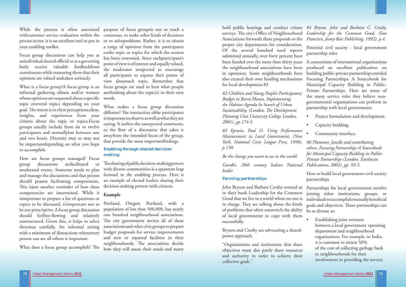

- Project formulation and development.
- Capacity building.
- Community interface.

While the process is often associated purpose of focus groupsis not to reach a withcustomer service evaluation within the consensus, to make other kinds of decisions your enabling toolkit.

Focus group discussions can help you as anindividual elected official or as a governing body receive valuable feedbackfrom constituents while reassuring them that their opinions are valued andtaken seriously.

informal gathering ofmen and/or women whose opinions are requested about a specific topic orseveral topics depending on your goal. The intent is to elicit perceptions, ideas, insights, and experiences from your citizens about the topic or topics.Focus groups usually include from six to twelve participants and normallylast between one and two hours. Diversity may or may not be importantdepending on what you hope to accomplish.

What makes a focus group discussion different? The interaction of the participants is important to observe as well as what they are saying. It isoften the unexpected comments, or the flow of a discussion that takes it awayfrom the intended focus of the group, that provide the most importantfindings.

private sector, it is an excellent tool to put in or to solveproblems. Rather, it is to obtain What is a focus group?A focus group is an focus groups are used to hear what people a range of opinions from the participants onthe topic or topics for which the session has been convened. Since eachparticipant's point of view is of interest and equally valued, the moderator isexpected to encourage all participants to express their points of view abouteach topic. Remember that arethinking about the topic(s) in their own words.

How are focus groups managed? Focus group discussions arefacilitated or moderated events. Someone needs to plan and manage the discussions and that person should possess facilitating competencies. This is just another reminder of how these competencies are intertwined. While it isimportant to prepare a list of questions or topics to be discussed, it'simportant not to be too prescriptive. A focus group discussion should feelfree-flowing and relatively unstructured. Given this, it helps to select thevenue carefully. An informal setting with a minimum of distractions whereevery person can see all others is important.

What does a focus group accomplish? The

The sharing of public decision-making powers with diverse communities is a quantum leap forward in the enabling process. Here is an example of elected leaders sharing their decision-making powers with citizens.

*Sustainability, (London, The Development Planning Unit University College London, 2001), pp.174-5.* 

John Bryson and Barbara Crosby remind us in their book Leadership for the Common Good that we live in a world where no one is in charge. They are talking about the kinds of problems that often outstretch the ability of local governments to cope with them successfully. Partnerships for local governments involve joining other institutions, groups, or individuals to accomplish mutually beneficial goals and objectives. These partnerships can be as diverse as: Establishing joint ventures

# **Enabling through shared decision making**

# **Example**

Portland, Oregon. Portland, with a population of less than 500,000, has nearly one hundred neighbourhood associations. The city government invites all of these associations and other civic groups to prepare budget proposals for service improvements and new or repaired facilities in their neighbourhoods. The associations decide how they will assess their needs and many *83 Epstein, Paul D. Using Performance Measurement in Local Government, (New York, National Civic League Press, 1998), p.150.*

*Be the change you want to see in the world.* 

*Gandhi, 20th century Indian National leader*

# **Forming partnerships**

hold public hearings and conduct citizen *84 Bryson, John and Barbara C. Crosby,*  surveys. The city's Office of Neighbourhood *Leadership for the Common Good, (San* Associations forwards these proposals to the *Francisco, Jossey-Bass Publishing, 1992), p.4.*  proper city departments for consideration. Of the several hundred need reports submitted annually, over forty percent have been funded over the more than thirty years the neighbourhood associations have been in operation. Some neighbourhoods have also created their own funding mechanisms for local development.83 *82 Children and Young People's Participatory Budget in Barra Mansa, Implementing the Habitat Agenda In Search of Urban*  Potential civil society - local government partnership roles A consortium of international organisations produced an excellent publication on building public-private partnerships entitled Focusing Partnerships: A Sourcebook for Municipal Capacity Building in Public-Private Partnerships. Here are some of the many service roles they believe nongovernmental organisations can perform in partnership with local governments.

Bryson and Crosby are advocating a sharedpower approach.

"Organisations and institutions that share objectives must also partly share resources and authority in order to achieve their collective goals."

*86 Plummer, Janelle and contributing others, Focusing Partnerships A Sourcebook for Municipal Capacity Building in Public-Private Partnerships (London. Earthscan Publications, 2002), pp. 93-5.* 

How to build local government-civil society partnerships

 between a local government operating department and neighbourhood organisations. For example, in India, it is common to return 50% of the cost of collecting garbage back to neighbourhoods for their involvement in providing the service.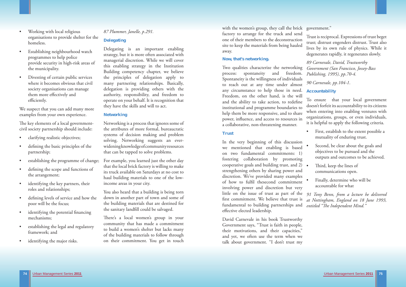

The key elements of a local governmentcivil society partnership should include:

- clarifying realistic objectives;
- defining the basic principles of the partnership;
- establishing the programme of change;
- defining the scope and functions of the arrangement;
- identifying the key partners, their roles and relationships;
- defining levels of service and how the poor will be the focus;
- identifying the potential financing mechanisms;
- establishing the legal and regulatory framework; and
- identifying the major risks.
- Working with local religious organisations to provide shelter for the homeless.
- Establishing neighbourhood watch programmes to help police provide security in high-risk areas of the municipality.
- Divesting of certain public services where it becomes obvious that civil society organisations can manage them more effectively and efficiently.

We suspect that you can add many more examples from your own experience.

> You also heard that a building is being torn down in another part of town and some of the building materials that are destined for the sanitary landfill could be salvaged.

# *87 Plummer, Janelle, p.291.*

# **Delegating**

There's a local women's group in your community that has made a commitment to build a women's shelter but lacks many of the building materials to follow through on their commitment. You get in touch

Delegating is an important enabling strategy, but it is more often associated with managerial discretion. While we will cover this enabling strategy in the Institution Building competency chapter, we believe the principles of delegation apply to many partnering relationships. Basically, delegation is providing others with the authority, responsibility, and freedom to operate on your behalf. It is recognition that they have the skills and will to act.

> In the very beginning of this discussion we mentioned that enabling is based on two fundamental commitments: 1) fostering collaboration by promoting cooperative goals and building trust, and 2) strengthening others by sharing power and discretion. We've provided many examples of how to fulfil thesecond commitment involving power and discretion but very little on the issue of trust as part of the *91 Tony Benn, from a lecture he delivered*  first commitment. We believe that trust is fundamental to building partnerships and effective elected leadership. Second, be clear about the goals and objectives to be pursued and the outputs and outcomes to be achieved. Third, keep the lines of communications open. • Finally, determine who will be accountable for what *at Nottingham, England on 18 June 1993, entitled* "The Independent Mind."

# **Networking**

Networking is a process that ignores some of the attributes of more formal, bureaucratic systems of decision making and problem solving. Networking suggests an everwidening knowledge of community resources that can be tapped to solve problems.

For example, you learned just the other day that the local brick factory is willing to make its truck available on Saturdays at no cost to haul building materials to one of the lowincome areas in your city.

# **Now, that's networking.**

# **Trust**

with the women's group, they call the brick government." factory to arrange for the truck and send one of their members to the deconstruction site to keep the materials from being hauled away. Trust is reciprocal. Expressions of trust beget trust; distrust engenders distrust. Trust also lives by its own rule of physics. While it degenerates rapidly, it regenerates slowly.

Two qualities characterize the networking process: spontaneity and freedom. Spontaneity is the willingness of individuals to reach out at any time under almost any circumstance to help those in need. Freedom, on the other hand, is the will and the ability to take action, to redefine institutional and programme boundaries to help them be more responsive, and to share power, influence, and access to resources in a collaborative, non-threatening manner. *Government (San Francisco, Jossey-Bass Publishing, 1995), pp.70-4. 90 Carnevale, pp.104-1*. **Accountability** To ensure that your local government doesn't forfeit its accountability to its citizens when entering into enabling ventures with organizations, groups, or even individuals, it is helpful to apply the following criteria.

David Carnevale in his book Trustworthy Government says, "Trust is faith in people, their motivations, and their capacities," and yet, we often use the term when we talk about government. "I don't trust my

*89 Carnevale, David, Trustworthy* 

- First, establish to the extent possible a mutuality of enduring trust.
- 
- 
-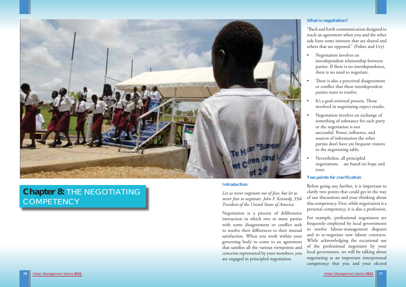

# **Chapter 8:** THE NEGOTIATING COMPETENCY

### **Introduction**

*Let us never negotiate out of fear, but let us never fear to negotiate. John F. Kennedy, 35th President of the United States of America* 

Negotiation is a process of deliberative interaction in which two or more parties with some disagreement or conflict seek to resolve their differences to their mutual satisfaction. When you work within your governing body to come to an agreement that satisfies all the various viewpoints and concerns represented by your members, you are engaged in principled negotiation.

# **What is negotiation?**

"Back and forth communication designed to reach an agreement when you and the other side have some interests that are shared and others that are opposed." (Fisher and Ury)

- Negotiation involves an interdependent relationship between parties. If there is no interdependence, there is no need to negotiate.
- There is also a perceived disagreement or conflict that these interdependent parties want to resolve.
- It's a goal-oriented process. Those involved in negotiating expect results.
- Negotiation involves an exchange of something of substance for each party or the negotiation is not successful. Power, influence, and sources of information the other parties don't have are frequent visitors to the negotiating table.
- Nevertheless, all principled negotiations are based on hope and trust.

# **Two points for clarification**

Before going any further, it is important to clarify two points that could get in the way of our discussions and your thinking about this competency. First, while negotiation is a personal competency, it is also a profession.

For example, professional negotiators are frequently employed by local governments to resolve labour-management disputes and to re-negotiate new labour contracts. While acknowledging the occasional use of the professional negotiator by your local government, we will be talking about negotiating as an important interpersonal competency that you and your elected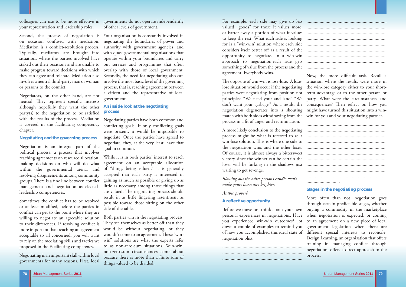on occasion confused with mediation. negotiating the boundaries of power and Mediation is a conflict-resolution process. authority with government agencies, and Typically, mediators are brought into with quasi-governmental organisations that situations where the parties involved have operate within your boundaries and carry staked out their positions and are unable to out services and programmes that often make progress toward decisions with which overlap with those of local government. they can agree and tolerate. Mediation also involves a neutral third-party man or woman  $\;$  involve the most basic level of the governing or persons to the conflict.

your representation and leadership roles.

Negotiators, on the other hand, are not neutral. They represent specific interests although hopefully they want the other party(s) to the negotiation to be satisfied with the results of the process. Mediation is covered in the facilitating competency chapter.

Sometimes the conflict has to be resolved or at least modified, before the parties in conflict can get to the point where they are willing to negotiate an agreeable solution to their differences. If resolving conflict is more important than reaching an agreement acceptable to all concerned, you will want to rely on the mediating skills and tactics we proposed in the Facilitating competency.

### **Negotiating and the governing process**

colleagues can use to be more effective in governments do not operate independently of other levels of government.

Negotiation is an integral part of the political process, a process that involves reaching agreements on resource allocation, making decisions on who will do what within the governmental arena, and resolving disagreements among community groups. There is a fine line between conflict management and negotiation as electedleadership competencies.

Second, the process of negotiation is Your organisation is constantly involved in Secondly, the need for negotiating also can process, that is, reaching agreement between a citizen and the representative of local government.

Negotiating is an important skill within local governments for many reasons. First, local

# **An inside look at the negotiating process**

Negotiating parties have both common and conflicting goals. If only conflicting goals were present, it would be impossible to negotiate. Once the parties have agreed to negotiate, they, at the very least, have that goal in common.

While it is in both parties' interest to reach agreement on an acceptable allocation of "things being valued," it is generally accepted that each party is interested in gaining as much as possible or giving up as little as necessary among those things that are valued. The negotiating process should result in as little lingering resentment as possible toward those sitting on the other side of the table.

Both parties win in the negotiating process. They see themselves as better off than they would be without negotiating, or they wouldn't come to an agreement. These "winwin" solutions are what the experts refer to as non-zero-sum situations. Win-win, non-zero-sum circumstances come about because there is more than a finite sum of things valued to be divided.

For example, each side may give up less valued "goods" for those it values more, . or barter away a portion of what it values to keep the rest. What each side is looking for is a "win-win' solution where each side considers itself better off as a result of the opportunity to negotiate. In a win-win approach to negotiation, each side gets. something of value from the process and the agreement. Everybody wins.

The opposite of win-win is lose-lose. A lose- situation where the results were more in lose situation would occur if the negotiating the win-lose category either to your shortparties were negotiating from position not term advantage or to the other person or principles: "We need your and land" "We party. What were the circumstances and don't want your garbage." As a result, the consequences? Then reflect on how you negotiation degenerates into a shouting might have turned this situation into a winmatch with both sides withdrawing from the win for you and your negotiating partner. process in a fit of anger and recrimination. Now, the more difficult task. Recall a

A more likely conclusion to the negotiating process might be what is referred to as a win-lose solution. This is where one side to the negotiation wins and the other loses. Of course, it is almost always a bittersweet victory since the winner can be certain the loser will be lurking in the shadows just waiting to get revenge.

*Blowing out the other person's candle won't make yours burn any brighter.* 

# *Arabic proverb*

...................................................................

**A reflective opportunity**  Before we move on, think about your own personal experiences in negotiations. Have you experienced win-win outcomes? Jot down a couple of examples to remind you of how you accomplished this ideal state of negotiation bliss. ................................................................... ................................................................... More often than not, negotiation goes through certain predictable stages, whether buying a commodity in the marketplace when negotiation is expected, or coming to an agreement on a new piece of local government legislation when there are different special interests to reconcile. Design Learning, an organisation that offers training in managing conflict through negotiation, offers a direct approach to the process.

# **Stages in the negotiating process**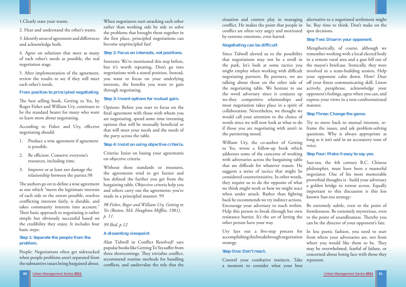

1.Clearly state your wants.

3. Identify areas of agreement and differences and acknowledge both.

2. Hear and understand the other's wants.

4. Agree on solutions that meet as many of each other's needs as possible, the real negotiation stage.

The best selling book, Getting to Yes, by Roger Fisher and William Ury, continues to be the standard bearer for many who want to learn more about negotiating.

According to Fisher and Ury, effective negotiating should:

5. After implementation of the agreement, review the results to see if they still meet each other's needs.

**From position to principled negotiating** 

The authors go on to define a wise agreement as one which "meets the legitimate interests of each side to the extent possible, resolves conflicting interests fairly, is durable, and takes community interests into account." Their basic approach to negotiating is rather simple but obviously successful based on *p. 11.*  the credibility they enjoy. It includes four *99 Ibid, p.12*  basic steps:

- 1. Produce a wise agreement if agreement is possible.
- 2. Be efficient. Conserve everyone's resources, including time.
- 3. Improve or at least not damage the relationship between the parties.98

*98 Fisher, Roger and William Ury, Getting to Yes (Boston, MA. Houghton Mifflin, 1981),* 

# **Step 1: Separate the people from the problem.**

People: Negotiations often get sidetracked when people problems aren't separated from the substantive issues being bargained about.

When negotiators start attacking each other rather than working side by side to solve the problems that brought them together in the first place, principled negotiations can become unprincipled fast!

### **Step 2: Focus on interests, not positions.**

Interests: We've mentioned this step before, but it's worth repeating. Don't go into negotiations with a stated position. Instead, you want to focus on your underlying interests, the benefits you want to gain through negotiating.

#### **Step 3: Invent options for mutual gain.**

Options: Before you start to focus on the final agreement with those with whom you are negotiating, spend some time inventing options that will be mutually beneficial or that will meet your needs and the needs of the party across the table.

# **Step 4: Insist on using objective criteria.**

Criteria: Insist on basing your agreements on objective criteria.

Without these standards or measures, the agreements tend to get fuzzier and less defined the further you get from the bargaining table. Objective criteria help you and others carry out the agreements you've made in a principled manner. 99

## **A dissenting viewpoint**

Alan Tidwell in Conflict Resolved? says popular books like Getting To Yes suffer from three shortcomings. They trivialise conflict, recommend routine methods for handling conflicts, and undervalue the role that the

situation and context play in managing alternative to a negotiated settlement might conflict. He makes the point that people in be. Buy time to think. Don't make on the conflict are often very angry and motivated spot decisions. by extreme emotions, even hatred.

Ury lays out a five-step process for In less poetic fashion, you need to start accomplishing this breakthrough negotiation from where your adversaries are, not from strategy. **Step One: Don't react.**  Control your combative instincts. Take represent. where you would like them to be. They may be overwhelmed, fearful of failure, or concerned about losing face with those they

### **Negotiating can be difficult**

Since Tidwell alerted us to the possibility remember working with a local elected body that negotiations may not be a stroll in in a remote rural area and a gun fell out of the park, let's look at some tactics you the mayor's briefcase. Ironically, they were might employ when working with difficult involved in a team-building session. Help negotiating partners. By partners, we are your opponent calm down. How? Dust talking about those on the other side of off your finest communicating skill. Listen the negotiating table. We hesitate to use actively, paraphrase, acknowledge your the word adversary since it conjures up opponent's feelings, agree when you can, and we-they competitive relationships and express your views in a non-confrontational most negotiation takes place in a spirit of manner. collaboration. Nevertheless, we thought we would call your attention to the choice of words since we will now look at what to do if those you are negotiating with aren't in frame the issues, and ask problem-solving the partnering mood. Metaphorically, of course, although we **Step Three: Change the game.**  Try to move back to mutual interests, requestions. Why is always appropriate as long as it isn't said in an accusatory tone of voice.

a moment to consider what your best

# **Step Two: Disarm your opponent.**

William Ury, the co-author of Getting to Yes, wrote a follow-up book which addresses some of the concerns of working with adversaries across the bargaining table that are difficult for whatever reason. He suggests a series of tactics that might be considered counterintuitive. In other words, they require us to do the opposite of what we think might work or how we might react when under attack. Rather than fighting back he recommends we try indirect actions. Encourage your adversary to reach within. Help this person to break through her own resistance barrier. It's the art of letting the other person have your way. **Step Four: Make it easy to say yes.**  Sun-tzu, the 4th century B.C. Chinese philosopher, must have been a masterful negotiator. One of his more memorable proverbial thoughts is - build your adversary a golden bridge to retreat across. Equally important to this discussion is this less known Sun-tzu strategy: Be extremely subtle, even to the point of formlessness. Be extremely mysterious, even to the point of soundlessness. Thereby you can be the director of your opponent's fate.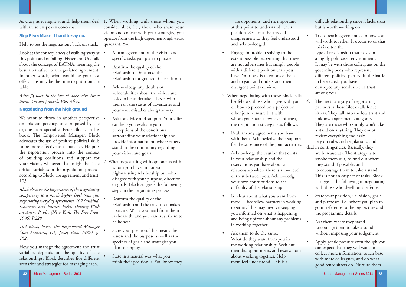

Urban Management Series **2011** Urban Management Series **2011 83**

with these unspoken concerns.

# **Step Five: Make it hard to say no.**

Help to get the negotiations back on track.

Look at the consequences of walking away at  $\bullet$ this point and of failing. Fisher and Ury talk about the concept of BATNA, meaning the best alternative to a negotiated agreement. In other words, what would be your last offer? This may be the time to put it on the table.

# Ashes fly back in the face of those who throw *them. Yoruba proverb, West Africa*

We want to throw in another perspective • on this competency, one proposed by the organisation specialist Peter Block. In his book, The Empowered Manager, Block advocates the use of positive political skills to be more effective as a manager. He puts the negotiation process into the context of building coalitions and support for your vision, whatever that might be. The critical variables in the negotiation process, according to Block, are agreement and trust. 103

# **Negotiating from the high ground**

103 Block, Peter, The Empowered Manager *(San Francisco, CA, Jossey Bass, 1987), p. 152*.

As crazy as it might sound, help them deal 1. When working with those whom you consider allies, i.e., those who share your vision and concur with your strategies, you operate from the high-agreement/high-trust quadrant. You:

*Block elevates the importance of the negotiating competency to a much higher level than just negotiating everyday agreements. 102 Susskind, Lawrence and Patrick Field, Dealing With*  an Angry Public (New York, The Free Press, *1996).P.228.*

- Affirm agreement on the vision and specific tasks you plan to pursue.
- Reaffirm the quality of the relationship. Don't take the relationship for granted. Check it out.
- Acknowledge any doubts or vulnerabilities about the vision and tasks to be undertaken. Level with them on the status of adversaries and your own mistakes along the way.
- Ask for advice and support. Your allies can help you evaluate your perceptions of the conditions surrounding your relationship and provide information on where others stand in the community regarding your vision and goals.
- 2. When negotiating with opponents with whom you have an honest, high-trusting relationship but who disagree with your purpose, direction, or goals, Block suggests the following steps in the negotiating process.
- Reaffirm the quality of the relationship and the trust that makes it secure. What you need from them is the truth, and you can trust them to be honest.
	- State your position. This means the vision and the purpose as well as the specifics of goals and strategies you plan to employ.
	- State in a neutral way what you think their position is. You know they

How you manage the agreement and trust variables depends on the quality of the relationships. Block describes five different scenarios and strategies for managing each.

- Engage in problem solving to the extent possible recognizing that these are not adversaries but simply people with a different position than you have. Your task is to embrace them and to gain and understand their divergent points of view.
- 3. When negotiating with those Block calls bedfellows, those who agree with you 4. on how to proceed on a project or other joint venture but with whom you share a low level of trust, the negotiation strategy is as follows.
- Reaffirm any agreements you have with them. Acknowledge their support for the substance of the joint activities.
- Acknowledge the caution that exists in your relationship and the reservations you have about a relationship where there is a low level of trust between you. Acknowledge your own contributions to the difficulty of the relationship.
- Be clear about what you want from these bedfellow partners in working together. This may involve keeping you informed on what is happening and being upfront about any problems in working together.
- Ask them to do the same. What do they want from you in the working relationship? Seek out their disappointments and reservations about working together. Help them feel understood. This is a

difficult relationship since it lacks trust but is worth working on.

Try to reach agreement as to how you will work together. It occurs to us that this is often the type of relationship that exists in a highly politicised environment. It may be with those colleagues on the governing body who represent different political parties. In the battle to be elected, you have destroyed any semblance of trust among you.

The next category of negotiating partners is those Block calls fence sitters. They fall into the low trust and unknown agreement categories. They are those who simply won't take a stand on anything. They doubt, review everything endlessly, rely on rules and regulations, and

 are opponents, and it's important at this point to understand their position. Seek out the areas of disagreement so they feel understood and acknowledged.

- deal in contingencies. Basically, they are bureaucrats. The strategy is to smoke them out, to find out where they stand if possible, and to encourage them to take a stand. This is not an easy set of tasks. Block suggests the following in negotiating with those who dwell on the fence.
- State your position, *i.e.* vision, goals, and purposes, i.e., where you plan to go in reference to the big picture and the programme details.
- Ask them where they stand. Encourage them to take a stand without imposing your judgement.
- Apply gentle pressure even though you can expect that they will want to collect more information, touch base with more colleagues, and do what good fence sitters do. Nurture them.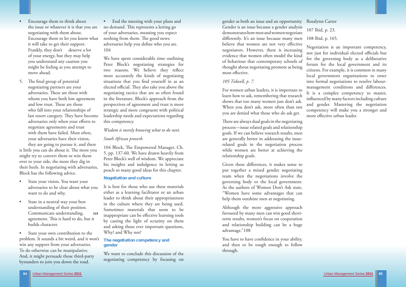- Encourage them to think about the issue or whatever it is that you are negotiating with them about. Encourage them to let you know what it will take to get their support. Frankly, they don't deserve a lot of your energy, but they may help you understand any caution you might be feeling as you attempt to move ahead.
- 5. The final group of potential negotiating partners are your adversaries. These are those with whom you have both low agreement and low trust. These are those who fall into your relationships of last resort category. They have become adversaries only when your efforts to negotiate agreements and trust with them have failed. Most often, your adversaries have their vision,

- State your vision. You want your adversaries to be clear about what you want to do and why.
- State in a neutral way your best understanding of their position. Communicate understanding, not agreement. This is hard to do, but it builds character.

State your own contribution to the problem. It sounds a bit weird, and it won't win any support from your adversaries. To do otherwise can be manipulative. And, it might persuade those third-party bystanders to join you down the road.

• End the meeting with your plans and no demand. This represents a letting go of your adversaries, meaning you expect nothing from them. The good news: adversaries help you define who you are. 104

 they are going to pursue it, and there is little you can do about it. The more you might try to convert them or win them over to your side, the more they dig in their heels. In negotiating with adversaries, Block has the following advice.

104 Block, The Empowered Manager, Ch. 5, pp. 137-60. We have drawn heavily from Peter Block's well of wisdom. We appreciate his insights and indulgence in letting us poach so many good ideas for this chapter.

gender as both an issue and an opportunity. Rosalynn Carter Gender is an issue because a gender analysis demonstrates how men and women negotiate diff erently. It's an issue because many men 108 Ibid, p. 165. believe that women are not very effective negotiators. However, there is increasing evidence that women often model the kind of behaviour that contemporary schools of thought about negotiating promote as being most effective.

There are always dual goals in the negotiating process—issue related goals and relationship goals. If we can believe research results, men are generally better in addressing the issuerelated goals in the negotiation process while women are better at achieving the relationship goals.

We have spent considerable time outlining Peter Block's negotiating strategies for two reasons. We believe they reflect more accurately the kinds of negotiating situations that you find yourself in as an elected official. They also take you above the negotiating tactics that are so often found in the literature. Block's approach from the perspectives of agreement and trust is more strategic and more congruent with political leadership needs and expectations regarding this competency.

> Given these differences, it makes sense to put together a mixed gender negotiating team when the negotiations involve the governing body or the local government. As the authors of Women Don't Ask state, "Women have some advantages that can help them outshine men at negotiating.

> You have to have confidence in your ability, and then to be tough enough to follow through.

# *Wisdom is merely knowing what to do next.*

Negotiation is an important competency, not just for individual elected officials but for the governing body as a deliberative forum for the local government and its citizens. For example, it is common in many local government organizations to enter into formal negotiations to resolve labourmanagement conditions and differences. It is a complex competency to master, influenced by many factors including culture and gender. Mastering the negotiation competency will make you a stronger and more effective urban leader.

# *South African proverb*

# **Negotiation and culture**

It is best for those who use these materials either as a learning facilitator or an urban leader to think about their appropriateness in the culture where they are being used. Sometimes materials that seem to be inappropriate can be effective learning tools by casting the light of scrutiny on them and asking those ever important questions, Why? and Why not?

# **The negotiation competency and gender**

We want to conclude this discussion of the negotiating competency by focusing on

# *105 Tidwell, p. 7.*

For women urban leaders, it is important to learn how to ask, remembering that research shows that too many women just don't ask. When you don't ask, more often than not you are denied what those who do ask get.

Although the more aggressive approach favoured by many men can win good shortterm results, women's focus on cooperation and relationship building can be a huge advantage."108

107 Ibid, p. 23.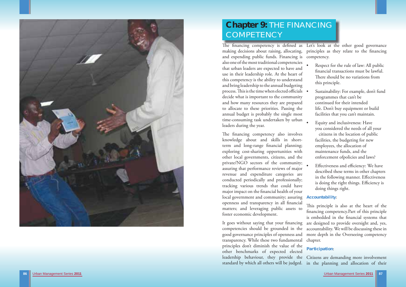

# **Chapter 9:** THE FINANCING **COMPETENCY**

The financing competency also involves knowledge about and skills in shortterm and long-range financial planning; exploring cost-sharing opportunities with other local governments, citizens, and the private/NGO sectors of the community; assuring that performance reviews of major revenue and expenditure categories are conducted periodically and professionally; tracking various trends that could have major impact on the financial health of your local government and community; assuring openness and transparency in all financial matters; and leveraging public assets to foster economic development.

The financing competency is defined as making decisions about raising, allocating, and expending public funds. Financing is competency. also one of the most traditional competencies that urban leaders are expected to have and use in their leadership role. At the heart of this competency is the ability to understand and bring leadership to the annual budgeting process. This is the time when elected officials . decide what is important to the community and how many resources they are prepared to allocate to these priorities. Passing the annual budget is probably the single most time-consuming task undertaken by urban leaders during the year. Let's look at the other good governance principles as they relate to the financing Respect for the rule of law: All public financial transactions must be lawful. There should be no variations from this principle. Sustainability: For example, don't fund programmes that can't be continued for their intended life. Don't buy equipment or build facilities that you can't maintain. • Equity and inclusiveness: Have

It goes without saying that your financing competencies should be grounded in the good governance principles of openness and transparency. While these two fundamental principles don't diminish the value of the other benchmarks of expected elected leadership behaviour, they provide the Citizens are demanding more involvement standard by which all others will be judged. in the planning and allocation of their are designed to provide oversight and, yes, accountability. We will be discussing these in more depth in the Overseeing competency chapter. **Participation**:

- 
- 
- you considered the needs of all your citizens in the location of public facilities, the budgeting for new employees, the allocation of maintenance funds, and the enforcement ofpolicies and laws?
- Effectiveness and efficiency: We have described these terms in other chapters in the following manner. Effectiveness is doing the right things. Efficiency is doing things right.

# **Accountability**:

This principle is also at the heart of the financing competency. Part of this principle is embedded in the financial systems that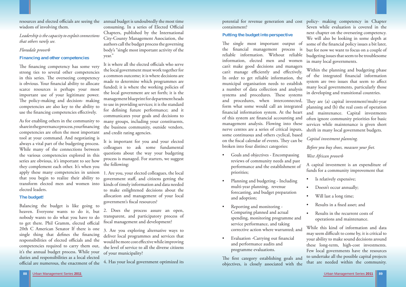

#### **Putting the budget into perspective**

The first category establishing goals and objectives, is closely associated with the

potential for revenue generation and cost policy- making competency in Chapter containment? The single most important output of Seven while evaluation is covered in the next chapter on the overseeing competency. We will also be looking in some depth at some of the financial policy issues a bit later, but for now we want to focus on a couple of budgeting issues that seem to be troublesome in many local governments.

- Goals and objectives Encompassing reviews of community needs and past performance and the establishment of priorities;
- Planning and budgeting Including multi-year planning, revenue forecasting, and budget preparation and adoption;
- Reporting and monitoring Comparing planned and actual spending, monitoring programme and service performance, and taking corrective action where warranted; and
- Evaluation -Carrying out financial and performance audits and programme evaluations.

the financial management process is reliable information. Without reliable information, elected men and women can't make good decisions and managers can't manage efficiently and effectively. In order to get reliable information, the municipal organisation needs to establish a number of data collection and analysis systems and procedures. These systems and procedures, when interconnected, form what some would call an integrated financial information system. At the heart of this system are financial accounting and management analysis. Flowing into these nerve centres are a series of critical inputs, some continuous and others cyclical, based on the fiscal calendar of events. They can be broken into four distinct categories: Within the planning and budgeting phase of the integrated financial information system are two issues that seem to affect many local governments, particularly those in developing and transitional countries. They are (a) capital investment/multi-year <sup>p</sup>lanning and (b) the real costs of operation and maintenance. Capital investments often ignore community priorities for basic services while maintenance is given short shrift in many local government budgets. *Capital investment planning. Before you buy shoes, measure your feet.* 

- Is relatively expensive;
- Doesn't occur annually;
- Will last a long time;
- Results in a fixed asset; and
- Results in the recurrent costs of operations and maintenance.

Balancing the budget is like going to heaven. Everyone wants to do it, but nobody wants to do what you have to do to get there. Phil Gramm, elected official 20th C American Senator If there is one single thing that defines the financing responsibilities of elected officials and the competencies required to carry them out, it's the annual budget process. While your duties and responsibilities as a local elected official are numerous, the enactment of the *West African proverb* 

resources and elected officials are seeing the annual budget is undoubtedly the most time consuming. In a series of Elected Official Chapters, published by the International City-County Management Association, the authors call the budget process the governing body's "single most important activity of the year."

> A capital investment is an expenditure of funds for a community improvement that

It is where all the elected officials who serve the local government must work together for a common outcome; it is where decisions are made to determine which programmes are funded; it is where the working policies of the local government are set forth; it is the management blueprint for department heads to use in providing services; it is the standard for defining future performance; and it communicates your goals and decisions to many groups, including your constituents, the business community, outside vendors, and credit rating agencies.

1. Are you, your elected colleagues, the local government staff, and citizens getting the kinds of timely information and data needed to make enlightened decisions about the allocation and management of your local government's fiscal resources?

> While this kind of information and data may seem difficult to come by, it is critical to your ability to make sound decisions around these long-term, high-cost investments. Few local governments have the resources to undertake all the possible capital projects that are needed within the community.

2. Does the process assure an open, transparent, and participatory process of fiscal management and development?

wisdom of involving them.

*Leadership is the capacity to exploit connections that others rarely see.* 

# *Floradale proverb*

### **Financing and other competencies**

The financing competency has some very strong ties to several other competencies in this series. The overseeing competency is obvious. Your financial ability to allocate scarce resources is perhaps your most important use of your legitimate power. The policy-making and decision- making competencies are also key to the ability to use the financing competencies effectively.

As for enabling others in the community to share in the governance process, your financing competencies are often the most important tool at your command. And negotiating is always a vital part of the budgeting process. While many of the connections between the various competencies explored in this series are obvious, it's important to see how they complement each other. It's when you apply these many competencies in unison that you begin to realize their ability to transform elected men and women into elected leaders.

#### **The budget!**

It is important for you and your elected colleagues to ask some fundamental questions about the way your budgeting process is managed. For starters, we suggest the following:

3. Are you exploring alternative ways to deliver local programmes and services that would be more cost effective while improving the level of service to all the diverse citizens of your municipality?

4. Has your local government optimized its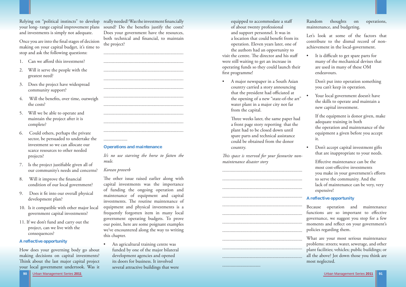# Relying on "political instincts" to develop really needed? Was the investment financially your long- range capital improvement plans sound? Do the benefits justify the costs? and investments is simply not adequate.

Once you are into the final stages of decision making on your capital budget, it's time to stop and ask the following questions:

- 1. Can we afford this investment?
- 2. Will it serve the people with the greatest need?
- 3. Does the project have widespread community support?
- 4. Will the benefits, over time, outweigh the costs?
- 5. Will we be able to operate and maintain the project after it is complete?
- 6. Could others, perhaps the private sector, be persuaded to undertake the investment so we can allocate our scarce resources to other needed projects?
- 7. Is the project justifiable given all of our community's needs and concerns?
- 8. Will it improve the financial condition of our local government?
- 9. Does it fit into our overall physical development plan?
- 10. Is it compatible with other major local government capital investments?
- 11. If we don't fund and carry out the project, can we live with the consequences?

# **A reflective opportunity**

How does your governing body go about making decisions on capital investments? Think about the last major capital project your local government undertook. Was it

The other issue raised earlier along with capital investments was the importance of funding the ongoing operation and maintenance of equipment and capital investments. The routine maintenance of equipment and physical investments is a frequently forgotten item in many local government operating budgets. To prove our point, here are some poignant examples we've encountered along the way to writing this chapter.

 equipped to accommodate a staff of about twenty professional and support personnel. It was in a location that could benefit from its operation. Eleven years later, one of the authors had an opportunity to visit the centre. The director and his staff were still waiting to get an increase in operating funds so they could launch their first programme!

Does your government have the resources, both technical and financial, to maintain the project?

> Three weeks later, the same paper had a front page story reporting that the plant had to be closed down until spare parts and technical assistance could be obtained from the donor country.

This space is reserved for your favourite non*maintenance disaster story* 

# **Operations and maintenance**

*It's no use starving the horse to fatten the mule.* 

# *Korean proverb*

• It is difficult to get spare parts for many of the mechanical devises that are used in many of these OM endeavours.

Your local government doesn't have the skills to operate and maintain a new capital investment.

Effective maintenance can be the most cost-effective investments you make in your government's efforts to serve the community. And the lack of maintenance can be very, very expensive!

• An agricultural training centre was funded by one of the major bilateral development agencies and opened its doors for business. It involved several attractive buildings that were • A major newspaper in a South Asian country carried a story announcing that the president had officiated at the opening of a new "state-of-the art" water plant in a major city not far from the capital.



Random thoughts on operations, maintenance, and budgeting.

Let's look at some of the factors that contribute to the dismal record of nonachievement in the local-government.

> Don't put into operation something you can't keep in operation.

 If the equipment is donor given, make adequate training in both the operation and maintenance of the equipment a given before you accept it.

• Don't accept capital investment gifts that are inappropriate to your needs.

# **A reflective opportunity**

Because operation and maintenance functions are so important to effective governance, we suggest you stop for a few moments and reflect on your government's policies regarding them.

What are your most serious maintenance problems: streets; water, sewerage, and other <sup>p</sup>lant facilities; vehicles; public buildings; or all the above? Jot down those you think are most neglected.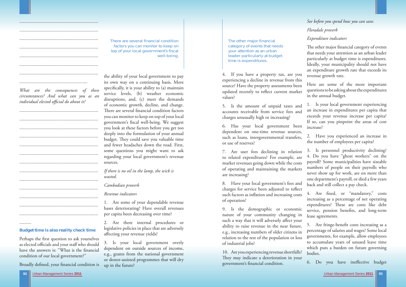Perhaps the first question to ask yourselves as elected officials and your staff who should have the answers is: "What is the financial condition of our local government?"

Broadly defined, your financial condition is

charges for service been adjusted to reflect such factors as inflation and increasing costs of operation?

10. Are you experiencing revenue shortfalls? They may indicate a deterioration in your government's financial condition.

## **Budget time is also reality check time**

|                                                                                                                         | There are s                                                             |
|-------------------------------------------------------------------------------------------------------------------------|-------------------------------------------------------------------------|
|                                                                                                                         | factors yo<br>top of your                                               |
|                                                                                                                         |                                                                         |
|                                                                                                                         |                                                                         |
|                                                                                                                         | the ability of y                                                        |
|                                                                                                                         | its own way o                                                           |
| What are the consequences of these<br>circumstances? And what can you as an<br>individual elected official do about it? | specifically, it i<br>service levels<br>disruptions, a<br>of economic g |
|                                                                                                                         | There are sever                                                         |
|                                                                                                                         | you can monit<br>government's                                           |
|                                                                                                                         | you look at the                                                         |
|                                                                                                                         | deeply into the<br>budget. They                                         |
|                                                                                                                         | and fewer hea                                                           |
|                                                                                                                         | some question<br>regarding you                                          |
|                                                                                                                         | sources.                                                                |
|                                                                                                                         | If there is no oi                                                       |
|                                                                                                                         | wasted.                                                                 |
|                                                                                                                         | Cambodian pr                                                            |
|                                                                                                                         | Revenue indica                                                          |
|                                                                                                                         | Are some<br>1.<br>bases deteriora                                       |
|                                                                                                                         | per capita been                                                         |
|                                                                                                                         | Are ther<br>2.                                                          |

6. Has your local government been dependent on one-time revenue sources, such as loans, intergovernmental transfers, or use of reserves?

The other major financial category of events that needs your attention as an urban leader particularly at budget time is expenditures. Ideally, your municipality should not have an expenditure growth rate that exceeds its

4. Are fixed, or "mandatory," costs increasing as a percentage of net operating expenditures? These are costs like debt service, pension benefits, and long-term lease agreements.

9. Is the demographic or economic nature of your community changing in such a way that it will adversely affect your ability to raise revenue in the near future, e.g., increasing numbers of older citizens in relation to the rest of the population or loss of industrial jobs?

5. Are fringe-benefit costs increasing as a percentage of salaries and wages? Some local governments, for example, allow employees to accumulate years of unused leave time which puts a burden on future governing bodies.

6. Do you have ineffective budget

several financial condition fou can monitor to keep on r local government's fiscal well-being.

your local government to pay on a continuing basis. More is your ability to  $(a)$  maintain s, (b) weather economic and, (c) meet the demands growth, decline, and change. ral financial condition factors tor to keep on top of your local fiscal well-being. We suggest ese factors before you get too e formulation of your annual could save you valuable time daches down the road. First, ns you might want to ask r local government's revenue

4. If you have a property tax, are you experiencing a decline in revenue from this source? Have the property assessments been updated recently to reflect current market values? revenue growth rate. Here are some of the more important questions to be asking about the expenditures in the annual budget.

5. Is the amount of unpaid taxes and accounts receivable from service fees and charges unusually high or increasing? 1. Is your local government experiencing an increase in expenditures per capita that exceeds your revenue increase per capita? If so, can you pinpoint the areas of cost increase?

*If there is no oil in the lamp, the wick is* 

7. Are user fees declining in relation to related expenditures? For example, are market revenues going down while the costs of operating and maintaining the markets are increasing? 8. Have your local government's fees and 3. Is personnel productivity declining? 4. Do you have "ghost workers" on the payroll? Some municipalities have sizeable numbers of people on their payrolls who never show up for work, are on more than one department's payroll, or died a few years back and still collect a pay check.

# *Cambodian proverb*

# *ators*

of your dependable revenue ating? Have overall revenues n decreasing over time?

re internal procedures or legislative policies in place that are adversely affecting your revenue yields?

3. Is your local government overly dependent on outside sources of income, e.g., grants from the national government or donor-assisted programmes that will dry up in the future?

*See before you spend how you can save.* 

*Floradale proverb* 

*Expenditure indicators* 

2. Have you experienced an increase in the number of employees per capita?

The other major financial category of events that needs your attention as an urban leader particularly at budget time is expenditures.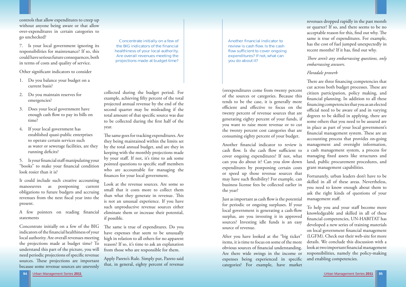

controls that allow expenditures to creep up without anyone being aware or that allow over-expenditures in certain categories to go unchecked?

- 1. Do you balance your budget on a current basis?
- 2. Do you maintain reserves for emergencies?
- 3. Does your local government have enough cash flow to pay its bills on time?
- 4. If your local government has established quasi-public enterprises to operate certain services such as water or sewerage facilities, are they running deficits?

7. Is your local government ignoring its responsibilities for maintenance? If so, this could have serious future consequences, both in terms of costs and quality of service.

Other significant indicators to consider

5. Is your financial staff manipulating your "books" to make your financial condition look rosier than it is?

A few pointers on reading financial statements

It could include such creative accounting manoeuvres as postponing current obligations to future budgets and accruing revenues from the next fiscal year into the present.

Just as important as cash flow is the potential for periodic or ongoing surpluses. If your local government is generating a cash-flow surplus, are you investing it in approved sources? Investing idle funds is an easy source of revenue.

Concentrate initially on a few of the BIG indicators of the financial healthiness of your local authority. Are overall revenues meeting the projections made at budget time? To understand this part of the picture, you will need periodic projections of specific revenue sources. These projections are important because some revenue sources are unevenly

The same is true of expenditures. Do you have expenses that seem to be unusually high in relation to all others for no apparent reason? If so, it's time to ask an explanation from those who are responsible for them.

revenues dropped rapidly in the past month or quarter? If so, and there seems to be no acceptable reason for this, find out why. The same is true of expenditures. For example, has the cost of fuel jumped unexpectedly in recent months? If it has, find out why.

*There aren't any embarrassing questions, only embarrassing answers.* 

or speed up those revenue sources that may have such flexibility? For example, can business license fees be collected earlier in the year?

Fortunately, urban leaders don't have to be skilled in all of these areas. Nevertheless, you need to know enough about them to ask the right kinds of questions of your management staff.

After you have looked at the "big ticket" items, it is time to focus on some of the more obvious sources of financial understanding. Are there wide swings in the income or expenses being experienced in specific categories? For example, have market

collected during the budget period. For example, achieving fifty percent of the total projected annual revenue by the end of the second quarter may be misleading if the total amount of that specific source was due to be collected during the first half of the year.

The same goes for tracking expenditures. Are they being maintained within the limits set by the total annual budget, and are they in keeping with the monthly projections made by your staff. If not, it's time to ask some pointed questions to specific staff members who are accountable for managing the finances for your local government.

(orexpenditures come from twenty percent of the sources or categories. Because this tends to be the case, it is generally more efficient and effective to focus on the twenty percent of revenue sources that are generating eighty percent of your funds, if you want to raise more revenue or to cut the twenty percent cost categories that are consuming eighty percent of your budget. Another financial indicator to review is cash flow. Is the cash flow sufficient to cover ongoing expenditures? If not, what can you do about it? Can you slow down expenditures by postponing certain costs There are three financing competencies that cut across both budget processes. These are citizen participation, policy making, and financial planning. In addition to all these financing competencies that you as an elected official need to be aware of and in varying degrees to be skilled in applying, there are some others that you need to be assured are in place as part of your local government's financial management system. These are an accounting process that provides on-going management and oversight information, a cash management system, a process for managing fixed assets like structures and land, public procurement procedures, and grant management capabilities.

Look at the revenue sources. Are some so small that it costs more to collect them than what they generate in revenue. This is not an unusual experience. If you have such unproductive revenue sources either eliminate them or increase their potential, if possible.

Apply Pareto's Rule. Simply put, Pareto said that, in general, eighty percent of revenue

# *Floradale proverb*

To help you and your staff become more knowledgeable and skilled in all of these financial competencies, UN-HABITAT has developed a new series of training materials on local government financial management (LGFM). Check out their web-site for more details. We conclude this discussion with a look at two important financial management responsibilities, namely the policy-making and enabling competencies.

Another financial indicator to review is cash flow. Is the cash flow sufficient to cover ongoing expenditures? If not, what can you do about it?

Concentrate initially on a few of the BIG indicators of the financial healthiness of your local authority. Are overall revenues meeting the projections made at budget time?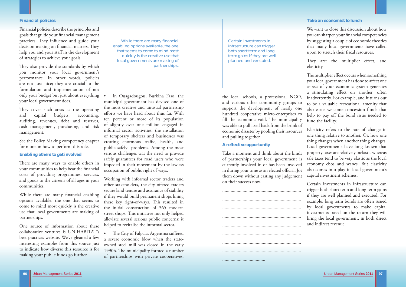

### **Financial policies**

Financial policies describe the principles and goals that guide your financial management practices. They influence and guide your decision making on financial matters. They help you and your staff in the development of strategies to achieve your goals.

They also provide the standards by which you monitor your local government's performance. In other words, policies are not just nice; they are crucial to the formulation and implementation of not only your budget but just about everything your local government does.

They cover such areas as the operating and capital budgets, accounting, auditing, revenues, debt and reserves, cash management, purchasing, and risk management.

There are many ways to enable others in your communities to help bear the financial costs of providing programmes, services, and goods to the citizens of all ages in your communities.

While there are many financial enabling options available, the one that seems to come to mind most quickly is the creative use that local governments are making of partnerships.

See the Policy Making competency chapter for more on how to perform this role.

# **Enabling others to get involved**

One source of information about these collaborative ventures is UN-HABITAT's best practices website. We've gleaned a few interesting examples from this source just to indicate how diverse this resource is for making your public funds go further.

the local schools, a professional NGO, and various other community groups to support the development of nearly one hundred cooperative micro-enterprises to fill the economic void. The municipality was able to pull itself back from the brink of economic disaster by pooling their resources and pulling together.

# **A reflective opportunity**

• The City of Palpala, Argentina suffered a severe economic blow when the stateowned steel mill was closed in the early 1990's. The municipality formed a number of partnerships with private cooperatives,

We want to close this discussion about how you can sharpen your financial competencies by suggesting a couple of economic theories that many local governments have called upon to stretch their fiscal resources.

Take a moment and think about the kinds of partnerships your local government is currently involved in or has been involved in during your time as an elected official. Jot them down without casting any judgement on their success now.

They are: the multiplier effect, and elasticity.

The multiplier effect occurs when something your local government has done to affect one aspect of your economic system generates a stimulating effect on another, often inadvertently. For example, and it turns out to be a valuable recreational amenity that also earns welcome concession funds that help to pay off the bond issue needed to fund the facility.



• In Ouagadougou, Burkina Faso, the municipal government has devised one of the most creative and unusual partnership efforts we have head about thus far. With ten percent or more of its population of slightly over one million engaged in informal sector activities, the installation of temporary shelters and businesses was creating enormous traffic, health, and public safely problems. Among the most serious challenges was the need to provide safely guarantees for road users who were impeded in their movement by the lawless occupation of public right of ways.

Working with informal sector traders and other stakeholders, the city offered traders secure land tenure and assurance of stability if they would build permanent shops lining these key right-of-ways. This resulted in the initial construction of 365 modern street shops. This initiative not only helped alleviate several serious public concerns; it helped to revitalise the informal sector.

# **Take an economist to lunch**

Elasticity refers to the rate of change in one thing relative to another. Or, how one thing changes when another thing changes. Local governments have long known that property taxes are relatively inelastic whereas sale taxes tend to be very elastic as the local economy ebbs and wanes. But elasticity also comes into play in local government's capital investment schemes.

Certain investments in infrastructure can trigger both short term and long term gains if they are well planned and executed. For example, long term bonds are often issued by local governments to make capital investments based on the return they will bring the local government, in both direct and indirect revenue.

Certain investments in infrastructure can trigger both short term and long term gains if they are well planned and executed.

While there are many financial enabling options available, the one that seems to come to mind most quickly is the creative use that local governments are making of partnerships.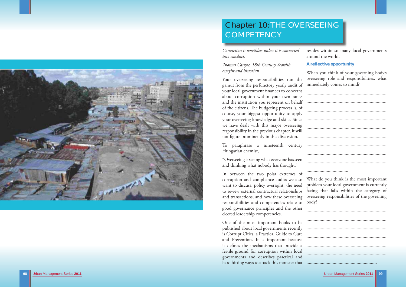



# Chapter 10: THE OVERSEEING **COMPETENCY**

Urban Management Series **2011** Urban Management Series **2011 99**

*Conviction is worthless unless it is converted into conduct.* 

# *Th omas Carlyle, 18th Century Scottish essayist and historian*

Your overseeing responsibilities run the gamut from the perfunctory yearly audit of your local government finances to concerns

One of the most important books to be published about local governments recently is Corrupt Cities, a Practical Guide to Cure and Prevention. It is important because it defines the mechanisms that provide a fertile ground for corruption within local governments and describes practical and hard hitting ways to attack this monster that

about corruption within your own ranks and the institution you represent on behalf of the citizens. The budgeting process is, of course, your biggest opportunity to apply your overseeing knowledge and skills. Since we have dealt with this major overseeing responsibility in the previous chapter, it will not figure prominently in this discussion. To paraphrase a nineteenth century Hungarian chemist, "Overseeing is seeing what everyone has seen and thinking what nobody has thought." ...................................................................................................................................... ............................................................................................................................................................................................................................................................................................................................................... .........................................................................................................................................................................

resides within so many local governments around the world.

**A reflective opportunity** 

When you think of your governing body's overseeing role and responsibilities, what immediately comes to mind?

In between the two polar extremes of corruption and compliance audits we also want to discuss, policy oversight, the need to review external contractual relationships and transactions, and how these overseeing responsibilities and competencies relate to body? good governance principles and the other elected leadership competencies. What do you think is the most important problem your local government is currently facing that falls within the category of overseeing responsibilities of the governing ...................................................................

|  |  |  |  |  |  |  |  |  |  |  |  |  |  |  |  |  |  |  |  |  |  |  |  |  | <u> 1980 - John Barn Barn, mars Maria B</u> |  |
|--|--|--|--|--|--|--|--|--|--|--|--|--|--|--|--|--|--|--|--|--|--|--|--|--|---------------------------------------------|--|
|  |  |  |  |  |  |  |  |  |  |  |  |  |  |  |  |  |  |  |  |  |  |  |  |  |                                             |  |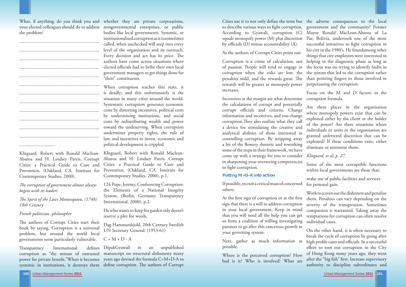

increases.

At the first sign of corruption or at the first sign that there is a will to address corruption in your local government. Keep in mind that you will need all the help you can get so form a coalition of willing investigating partners to go after this cancerous growth in your governing system.

Cities use it to not only define the term but the adverse consequences to the local to describe various ways to fi ght corruption. government and the community? Former According to Gyawali, corruption (C) Mayor Ronald MacLean-Abaroa of La equals monopoly power (M) plus discretion Paz, Bolivia, undertook one of the most by officials  $(D)$  minus accountability  $(A)$ . As the authors of Corrupt Cities point out: Corruption is a crime of calculation, not helping in the diagnostic phase as long as of passion. People will tend to engage in the focus was on trying to identify faults in corruption when the risks are low, the the system that led to the corruption rather penalties mild, and the rewards great. The than pointing fingers to those involved in rewards will be greater as monopoly power successful initiatives to fight corruption in his city in the 1980's. He foundamong other things that city employees were interested in perpetuating the corruption.

# **Putting M+D-A into action**

If possible, recruit a critical mass of concerned others.

Next, gather as much information as possible.

Where is the perceived corruption? How bad is it? Who is involved? What are

Incentives at the margin are what determine corruption formula. the calculations of corrupt and potentially corrupt officials and citizens. Change information and incentives, and you change corruption. They also outline what they call a device for stimulating the creative and analytical abilities of those interested in controlling corruption. By stripping away a bit of the flowery rhetoric and reworking some of the steps in their framework, we have come up with a strategy for you to consider in sharpening your overseeing competencies to fight corruption. Are there places in the organisation where monopoly powers exist that can be exploited either by the client or the holder of the power? Are there situations where individuals or units in the organisation are granted unfettered discretion that can be exploited? If these conditions exist, either eliminate or minimize them. *Klitgaard, et al, p. 27.* Some of the most corruptible functions within local governments are those that:

Focus on the M and D factors in the

*The corruption of government almost always begins with its leaders.* 

*The Spirit of the Laws Montesquieu, (1748) 18th Century* 

The authors of Corrupt Cities start their book by saying, Corruption is a universal problem, but around the world local governments seem particularly vulnerable.

Transparency International defines corruption as "the misuse of entrusted power for private benefit."When it becomes years ago devised the formula C=M+D-A to systemic in institutions, it destroys them define corruption. The authors of Corrupt

make use of public facilities and services for personal gain.

Work to screen out the dishonest and penalize them. Penalties can vary depending on the severity of the transgression. Sometimes compassion is warranted. Taking away the temptations for corruption can often resolve individual cases.

On the other hand, it is often necessary to break the cycle of corruption by going after high profile cases and officials. In a successful effort to root out corruption in the City of Hong Kong many years ago, they went after the "big fish" first. Increase supervisory authority to discipline subordinates and

What, if anything, do you think you and whether they are private corporations, the problem?

...................................................................

...................................................................

...................................................................

...................................................................

...................................................................

...................................................................

...................................................................

..............................

your elected colleagues should do to address nongovernmental enterprises, or public ...................................................................................................................................... ................................................................... ................................................................... ................................................................... bodies like local governments. Systemic, or institutionalised corruption as it is sometimes called, when unchecked will seep into every level of the organisation and its outreach. Every decision and act has its price. The authors have come across situations where elected officials had to bribe their own local government managers to get things done for "their" constituents.

Cities: a Practical Guide to Cure and Prevention, (Oakland, CA. Institute for Contemporary Studies, 2000).

# *French politician -philosopher*

Klitgaard, Robert with Ronald Maclean-Klitgaard, Robert with Ronald Maclean-Abaroa and H. Lindsey Parris, Corrupt Abaroa and H. Lindsey Parris, Corrupt Cities: a Practical Guide to Cure and Prevention, (Oakland, CA. Institute for Contemporary Studies, 2000), p.1.

When corruption reaches this state, it is deadly; and this unfortunately is the situation in many cities around the world. Systematic corruption generates economic costs by distorting incentives, political costs by undermining institutions, and social costs by redistributing wealth and power toward the undeserving. When corruption undermines property rights, the rule of law, and incentives to invest, economic and political development is crippled.

124 Pope, Jeremy, Confronting Corruption: the Elements of a National Integrity System, (Berlin, Germany, Transparency International, 2000), p.2.

He who wants to keep his garden tidy doesn't reserve a plot for weeds.

Dag Hammarskjold, 20th Century Swedish UN Secretary General: (1953-61)

 $C = M + D - A$ 

DipakGyawali in an unpublished manuscript on structural dishonesty many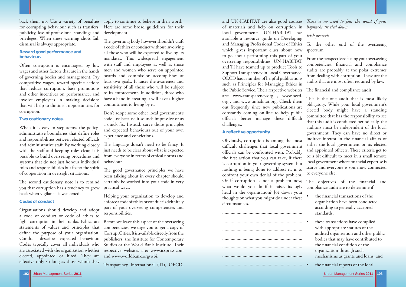

Urban Management Series **2011** Urban Management Series **2011 103**

for corrupting behaviour such as transfers, publicity, loss of professional standings and privileges. When these warning shots fail, dismissal is always appropriate.

# **Reward good performance and behaviour.**

Often corruption is encouraged by low wages and other factors that are in the hands of governing bodies and management. Pay competitive wages, reward specific actions that reduce corruption, base promotions and other incentives on performance, and involve employees in making decisions that will help to diminish opportunities for corruption.

The second cautionary note is to remind you that corruption has a tendency to grow back when vigilance is weakened.

Organisations should develop and adopt a code of conduct or code of ethics to fight corruption in their ranks. Ethics are statements of values and principles that Conduct describes expected behaviour. Codes typically cover all individuals who elected, appointed or hired. They are effective only so long as those whom they

# **Two cautionary notes.**

When it is easy to step across the policyadministrative boundaries that define roles and responsibilities between elected officials and administrative staff. By working closely with the staff and keeping roles clear, it is possible to build overseeing procedures and systems that do not just honour individual roles and responsibilities but foster the spirit of cooperation in oversight situations.

back them up. Use a variety of penalties apply to continue to believe in their worth. Here are some broad guidelines for their development.

> The governing body however shouldn't craft a code of ethics or conduct without involving all those who will be expected to live by its mandates. This widespread engagement with staff and employees as well as those men and women who serve on appointed boards and commission accomplishes at least two goals. It raises the awareness and sensitivity of all those who will be subject to its enforcement. In addition, those who have a hand in creating it will have a higher commitment to living by it.

### **Codes of conduct**

The language doesn't need to be fancy. It just needs to be clear about what is expected from everyone in terms of ethical norms and behaviour.

The good governance principles we have been talking about in every chapter should certainly be worked into your code in very practical ways.

define the purpose of your organisation. CorruptCities.Itisavailabledirectlyfromthe are associated with the organisation whether respective websites are: www.icspress.com Before we leave this aspect of the overseeing competencies, we urge you to get a copy of publishers, the Institute for Contemporary Studies or the World Bank Institute. Their and www.worldbank.org/wbi.

Don't adopt some other local government's code just because it sounds impressive or as a quick fix. Instead, carve those principles and expected behaviours out of your own experience and convictions.

and UN-HABITAT are also good sources *There is no need to fear the wind if your* of materials and help on corruption in *haystacks are tied down.*  local governments. UN-HABITAT has available a resource guide on Developing and Managing Professional Codes of Ethics which gives important clues about how to go about performing this part of your overseeing responsibilities. UN-HABITAT and TI have teamed up to produce Tools to Support Transparency in Local Governance. OECD has a number of helpful publications such as Principles for Managing Ethics in the Public Service. Their respective websites are: www.transparency.org , www.oecd. org , and www.unhabitat.org. Check them out frequently since new publications are constantly coming on-line to help public officials better manage these difficult challenges. *Irish proverb* To the other end of the overseeing spectrum From the perspective of using your overseeing competencies, financial and compliance audits are probably at the polar extremes from dealing with corruption. These are the audits that are most often required by law. The financial and compliance audit This is the one audit that is most likely obligatory. While your local government's elected body might have a standing committee that has the responsibility to see that this audit is conducted periodically, the

auditors must be independent of the local government. They can have no direct or indirect interest in the financial affairs of

Helping your organisation to develop and enforce a code of ethics or conduct is definitely part of your overseeing competencies and responsibilities.

- according to generally accepted standards;
- these transactions have complied with appropriate statutes of the audited organisation and other public bodies that may have contributed to the financial condition of the organization through such mechanisms as grants and loans; and
- the financial reports of the local

Transparency International (TI), OECD,

# **A reflective opportunity**



Obviously, corruption is among the most difficult challenges that local government officials can be confronted with. Probably the first action that you can take, if there is corruption in your governing system but nothing is being done to address it, is to confront your own denial of the problem. Or if corruption is not a problem now, what would you do if it raises its ugly head in the organisation? Jot down your thoughts on what you might do under these circumstances. either the local government or its elected and appointed officers. These criteria get to be a bit difficult to meet in a small remote local government where financial expertise is scarce and everyone is somehow connected to everyone else. The objectives of the financial and compliance audit are to determine if:  $\bullet$  the financial transactions of the organisation have been conducted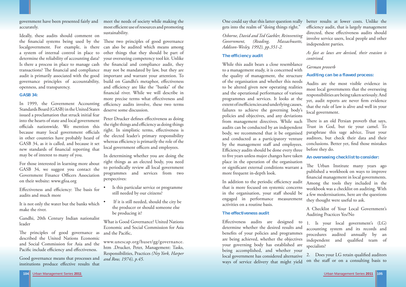

government have been presented fairly and accurately.

Ideally, these audits should comment on the financial systems being used by the These two principles of good governance localgovernment. For example, is there can also be audited which means among a system of internal control in place to other things that they should be part of determine the reliability of accounting data? Is there a process in place to manage cash the financial and compliance audit, they transactions? The financial and compliance may not be mandated by law, but they are audit is primarily associated with the good governance principles of accountability, openness, and transparency.

#### **GASB 34:**

Effectiveness and efficiency: The basis for audits and much more

Good governance means that processes and institutions produce effective results that

In 1999, the Government Accounting Standards Board (GASB) in the United States issued a proclamation that struck initial fear into the hearts of state and local government officials nationwide. We mention this because many local government officials in other countries have probably heard of GASB 34, as it is called, and because it set new standards of financial reporting that may be of interest to many of you.

For those interested in learning more about GASB 34, we suggest you contact the Government Finance Officers Association on their website: www.gfoa.org

It is not only the water but the banks which make the river.

Gandhi, 20th Century Indian nationalist leader

The principles of good governance as described the United Nations Economic and Social Commission for Asia and the Pacific include efficiency and effectiveness.

- Is this particular service or programme still needed by our citizens?
- If it is still needed, should the city be the producer or should someone else be producing it?

What is Good Governance? United Nations Economic and Social Commission for Asia and the Pacific.

meet the needs of society while making the most efficient use of resources and promoting sustainability.

your overseeing competency tool kit. Unlike important and warrant your attention. To build on Gandhi's metaphor, effectiveness and efficiency are like the "banks" of the financial river. While we will describe in more precise terms what effectiveness and efficiency audits involve, these two terms deserve some discussion.

Peter Drucker defines effectiveness as doing the right things and efficiency as doing things right. In simplistic terms, effectiveness is the elected leader's primary responsibility whereas efficiency is primarily the role of the local government officers and employees.

> In addition to the periodic efficiency audit that is more focused on systemic concerns in the organisation, your staff should be engaged in performance measurement activities on a routine basis.

In determining whether you are doing the right things as an elected body, you need to periodically review all local government programmes and services from two perspectives:

financial management in local governments. Among the tools they included in the workbook was a checklist on auditing. With a few modernisations, here are the questions they thought were useful to ask.

www.unescap.org/huset/gg/governance. htm .Drucker, Peter, Management: Tasks, Responsibilities, Practices *(Ney York, Harper and Row, 1974), p.45.* 

Effectiveness audits are designed to determine whether the desired results and benefits of your policies and programmes are being achieved, whether the objectives your governing body has established are being accomplished, and whether your local government has considered alternative ways of service delivery that might yield 1. Is your local government's (LG) accounting system and its records and procedures audited annually by an independent and qualified team of specialists? 2. Does your LG retain qualified auditors on the staff or on a consulting basis to

gets into the realm of "doing things right."

*Osborne, David and Ted Gaebler, Reinventing Government, (Reading, Massachusetts, Addison-Wesley, 1992), pp.351-2.*

## **The efficiency audit**

One could say that this latter question really better results at lower costs. Unlike the efficiency audit, that is largely management directed, these effectiveness audits should involve service users, local people and other independent parties.

### **The effectiveness audit**

While this audit bears a close resemblance to a management study, it is concerned with the quality of management, the structure of the organisation and whether this needs to be altered given new operating realities and the operational performance of various programmes and services. It looks at the extent of inefficiencies and underlying causes, failures to achieve the governing body's policies and objectives, and any deviations from management directives. While such audits can be conducted by an independent body, we recommend that it be organised and conducted as a participatory venture by the management staff and employees. Efficiency audits should be done every three to five years unless major changes have taken <sup>p</sup>lace in the operation of the organisation or significant external conditions warrant a more frequent in-depth look. *German proverb*  **Auditing can be a flawed process:**  Audits are the most visible evidence in most local governments that the overseeing responsibilities are being taken seriously. And yet, audit reports are never firm evidence that the rule of law is alive and well in your local government. There is an old Persian proverb that says, Trust in God, but tie your camel. To paraphrase this sage advice, Trust your auditors, but check their data and their conclusions. Better yet, find those mistakes before they do. **An overseeing checklist to consider:**  The Urban Institute many years ago published a workbook on ways to improve

*As fast as laws are devised, their evasion is contrived.* 

A Checklist of Your Local Government's Auditing Practices Yes/No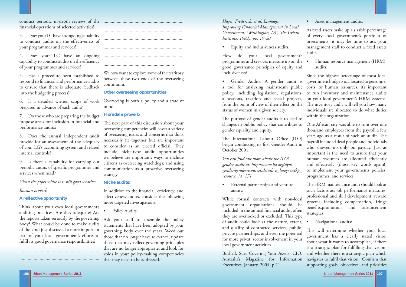

# • Asset management audits:

conduct periodic in-depth reviews of the ................................................................... financial operations of selected activities?

3. Does your LG have an ongoing capability to conduct audits on the effectiveness of your programmes and services?

4. Does your LG have an ongoing capability to conduct audits on the efficiency of your programmes and services?

5. Has a procedure been established to respond to financial and performance audits to ensure that there is adequate feedback into the budgeting process?

6. Is a detailed written scope of work prepared in advance of each audit?

7. Do those who are preparing the budget propose areas for inclusion in financial and performance audits?

8. Does the annual independent audit provide for an assessment of the adequacy of your LG's accounting system and related internal controls?

9. Is there a capability for carrying out periodic audits of specific programmes and services when need?

We now want to explore some of the territory between these two ends of the overseeing continuum.

*Clean the pipes while it is still good weather.* 

*Russian proverb* 

# **A reflective opportunity**

Think about your own local government's auditing practices. Are they adequate? Are the reports taken seriously by the governing Ask your staff to assemble the policy body? What could be done to make audits of the kind just discussed a more important part of your local government's efforts to fulfil its good governance responsibilities?

The next part of this discussion about your overseeing competencies will cover a variety of overseeing issues and concerns that don't necessarily fit together but are important to consider as an elected official. They include niche-type audit opportunities we believe are important; ways to include citizens as overseeing watchdogs; and using communication as a proactive overseeing strategy

In addition to the financial, efficiency, and effectiveness audits, consider the following more targeted investigations:

Policy Audits:

...................................................................

...................................................................

................................................................... ................................................................... ...................................................................

...................................................................

The purpose of gender audits is to lead to changes in public policy that contribute to gender equality and equity.

...........................................................

The International Labour Office (ILO) began conducting its first Gender Audit in October 2001.

*You can find out more about the ILO's gender audit at: http://www.ilo.org/dyn/ gender/genderresources.details?p\_lang=en&p\_ resource\_id=171* 

External partnerships and venture audits:

# **Other overseeing opportunities**

Overseeing is both a policy and a state of mind.

# **Floradale proverb**

As fixed assets make up a sizable percentage of every local government's portfolio of investments, it may be time to ask your management staff to conduct a fixed assets audit.

# **Niche audits:**

Gender Audits: A gender audit is a tool for analyzing mainstream public policy, including legislation, regulations, allocations, taxation and social projects, from the point of view of their effect on the status of women in a given society. Since the highest percentage of most local government budgets is allocated to personnel costs, or human resources, it's important to run inventory and maintenance audits on your local government's HRM systems. The inventory audit will tell you how many individuals are allocated to do what duties within the organization.

> The HRM maintenance audit should look at such factors as: job performance measures; professional and skill development; reward systems including compensation, fringe benefits, promotion and advancement strategies;

statements that have been adopted by your governing body over the years. Weed out those that no longer have relevance, update those that may reflect governing principles that are no longer appropriate, and look for voids in your policy-making competencies that may need to be addressed.

*Hayes, Frederick, et al, Linkages: Improving Financial Management in Local Government, (Washington, DC, The Urban Institute, 1982), pp. 19-20.* 

• Equity and inclusiveness audits:

How do your local government's programmes and services measure up on the good governance principles of equity and inclusiveness?

While formal contracts with non-local government organisations should be included in the annual financial audit, often they are overlooked or excluded. This type of audit could look at the nature, extent, and quality of contracted services, public-

• Human resource management (HRM) audits:

private partnerships, and even the potential for more privat sector involvement in your local government activities. Bushell, Sue, Covering Your Assets, CIO, Australia's Magazine for Information Executives, January, 2004, p.21. This will determine whether your local government has a clearly stated vision about what it wants to accomplish, if there is a strategic plan for fulfilling that vision, and whether there is a strategic plan which navigates to fulfil that vision. Confirm that supporting goals, objectives, and priorities

One African city was able to trim over one thousand employees from the payroll a few years ago as a result of such an audit. The payroll included dead people and individuals who showed up only on payday. Just as important is the need to assure that your human resources are allocated efficiently and effectively (those key words again!) to implement your governments policies, programmes, and services.

• Navigational audits: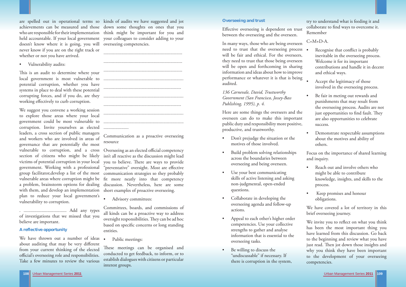# are spelled out in operational terms so kinds of audits we have suggested and jot achievements can be measured and those down some thoughts on ones that you who are responsible for their implementation think might be important for you and held accountable. If your local government your colleagues to consider adding to your doesn't know where it is going, you will overseeing competencies. never know if you are on the right track or whether or not you have arrived.

Vulnerability audits:

This is an audit to determine where your local government is most vulnerable to potential corruption, whether you have systems in place to deal with these potential corrupting forces, and if you do, are they ................................................................... working effectively to curb corruption.

We suggest you convene a working session to explore those areas where your local government could be most vulnerable to corruption. Invite yourselves as elected leaders, a cross section of public managers and workers who are involved in areas of governance that are potentially the most vulnerable to corruption, and a cross section of citizens who might be likely victims of potential corruption in your local government. Working with a professional group facilitator,develop a list of the most vulnerable areas where corruption might be fit more neatly into that competency a problem, brainstorm options for dealing discussion. Nevertheless, here are some with them, and develop an implementation <sup>p</sup>lan to reduce your local government's vulnerability to corruption.

. .................................... Add any types of investigations that we missed that you believe are important.

Overseeing as an elected official competency isn't all reactive as the discussion might lead you to believe. There are ways to provide "preventative" oversight. Most are effective communication strategies so they probably short examples of proactive overseeing.

# **A reflective opportunity**

We have thrown out a number of ideas about auditing that may be very different from your current thinking of the elected official's overseeing role and responsibilities. Take a few minutes to review the various

These meetings can be organised and conducted to get feedback, to inform, or to establish dialogues with citizens or particular interest groups.

Effective overseeing is dependent on trust between the overseeing and the overseen.



Communication as a proactive overseeing resource

- Recognise that conflict is probably inevitable in the overseeing process. Welcome it for its important contributions and handle it in decent and ethical ways.
- Accept the legitimacy of those involved in the overseeing process.
- Be fair in meting out rewards and punishments that may result from the overseeing process. Audits are not just opportunities to find fault. They are also opportunities to celebrate success.
- Demonstrate respectable assumptions about the motives and ability of others.

- Reach out and involve others who might be able to contribute knowledge, insights, and skills to the process.
- Keep promises and honour obligations.

• Advisory committees:

We invite you to reflect on what you think has been the most important thing you have learned from this discussion. Go back to the beginning and review what you have just read. Then jot down those insights and why you think they have been important to the development of your overseeing competencies.

Committees, boards, and commissions of all kinds can be a proactive way to address oversight responsibilities. They can be ad hoc based on specific concerns or long standing entities.

Public meetings:

# **Overseeing and trust**

In many ways, those who are being overseen need to trust that the overseeing process will be fair and ethical. For the overseers, they need to trust that those being overseen will be open and forthcoming in sharing information and ideas about how to improve performance or whatever it is that is being audited.

# *136 Carnevale, David, Trustworthy Government (San Francisco, Jossey-Bass Publishing, 1995), p. 4.*

Here are some things the overseers and the overseen can do to make this important public duty and responsibility more positive, productive, and trustworthy.

- Don't prejudge the situation or the motives of those involved.
- Build problem solving relationships across the boundaries between overseeing and being overseen.
- Use your best communicating skills of active listening and asking non-judgmental, open-ended questions.
- Collaborate in developing the overseeing agenda and follow-up actions.
- Appeal to each other's higher order competencies. Use your collective strengths to gather and analyse information that is essential to the overseeing tasks.
- Be willing to discuss the "undiscussable" if necessary. If there is corruption in the system,

try to understand what is feeding it and collaborate to find ways to overcome it. Remember

 $C=M+D-A$ .

Focus on the importance of shared learning and inquiry.

We have covered a lot of territory in this brief overseeing journey.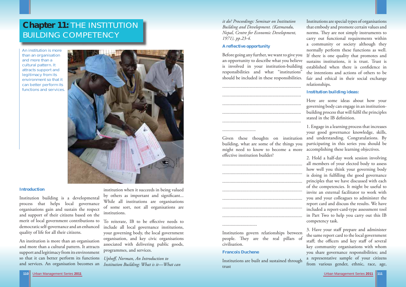

# **Chapter 11:** THE INSTITUTION BUILDING COMPETENCY

*it do? Proceedings: Seminar on Institution Building and Development. (Katmandu, Nepal, Centre for Economic Development, 1971), pp.23-4.*

# **A reflective opportunity**

an opportunity to describe what you believe is involved in your institution-building responsibilities and what "institutions" should be included in these responsibilities.

building, what are some of the things you might need to know to become a more accomplishing these learning objectives. effective institution builder?

............................

Here are some ideas about how your governing body can engage in an institutionbuilding process that will fulfil the principles stated in the IB definition.

Before going any further, we want to give you If there is one quality that promotes and Institutions are special types of organisations that embody and promote certain values and norms. They are not simply instruments to carry out functional requirements within a community or society although they normally perform these functions as well. sustains institutions, it is trust. Trust is established when there is confidence in the intentions and actions of others to be fair and ethical in their social exchange relationships.

#### .............................

Institutions govern relationships between people. They are the real pillars of civilisation.

# **Francois Duchene**

Institutions are built and sustained through trust

Given these thoughts on institution and understanding. Congratulations. By 1. Engage in a learning process that increases your good governance knowledge, skills, participating in this series you should be

To reiterate, IB to be effective needs to include all local governance institutions, your governing body, the local government organisation, and key civic organisations associated with delivering public goods, programmes, and services.

# **Institution building ideas:**

2. Hold a half-day work session involving all members of your elected body to assess how well you think your governing body is doing in fulfilling the good governance principles that we have discussed with each of the competencies. It might be useful to invite an external facilitator to work with you and your colleagues to administer the report card and discuss the results. We have included a report-card-type assessment tool in Part Two to help you carry out this IB competency task.

3. Have your staff prepare and administer the same report card to the local government staff; the officers and key staff of several key community organisations with whom you share governance responsibilities; and a representative sample of your citizens from various gender, ethnic, race, age,

#### **Introduction**

Institution building is a developmental process that helps local governance organisations gain and sustain the respect and support of their citizens based on the merit of local government contributions to democratic self-governance and an enhanced quality of life for all their citizens.

institution when it succeeds in being valued by others as important and significant... While all institutions are organisations of some sort, not all organisations are institutions.

An institution is more than an organisation and more than a cultural pattern. It attracts support and legitimacy from its environment so that it can better perform its functions and services. An organisation becomes an *Institution Building: What is it—What can* 

*Uphoff , Norman, An Introduction to* 

An institution is more than an organisation and more than a cultural pattern. It attracts support and legitimacy from its environment so that it can better perform its functions and services.

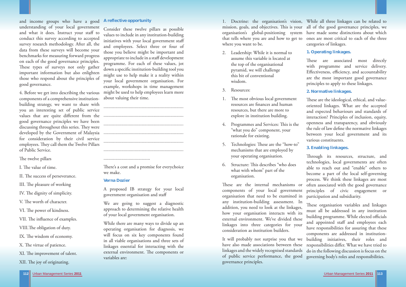

and income groups who have a good **A reflective opportunity**  understanding of your local government and what it does. Instruct your staff to conduct this survey according to accepted survey research methodology. After all, the data from these surveys will become your benchmarks for measuring forward progress on each of the good governance principles. These types of surveys not only gather important information but also enlighten those who respond about the principles of good governance.

4. Before we get into describing the various components of a comprehensive institutionbuilding strategy, we want to share with you an interesting set of public service values that are quite diff erent from the ................................................................... good governance principles we have been discussing throughout this series. They were developed by the Government of Malaysia for consideration by their civil service employees. They call them the Twelve Pillars of Public Service.

The twelve pillars

I. The value of time.

II. The success of perseverance.

III. The pleasure of working

IV. The dignity of simplicity.

V. The worth of character.

VI. The power of kindness.

VII. The influence of examples.

VIII. The obligation of duty.

IX. The wisdom of economy.

X. The virtue of patience.

XI. The improvement of talent.

XII. The joy of originating.

There's a cost and a promise for everychoice we make.

We are going to suggest a diagnostic approach to determining the relative health of your local government organisation.

Consider these twelve pillars as possible values to include in any institution-building initiatives with your local government staff and employees. Select three or four of those you believe might be important and appropriate to include in a staff development programme. For each of these values, jot down a specific institution-building tool you might use to help make it a reality within your local government organisation. For example, workshops in time management might be used to help employees learn more about valuing their time.

> These are the internal mechanisms or components of your local government organisation that need to be examined in participation and subsidiarity. any institution-building assessment. In addition, you need to look at the linkages, how your organisation interacts with its external environment. We've divided these linkages into three categories for your consideration as institution builders.

................................................................... ................................................................... ................................................................... ......................................................................................................................................

.......................................

These are associated most directly with programme and service delivery. Effectiveness, efficiency, and accountability are the most important good governance principles to apply to these linkages.

### **Verna Dozier**

A proposed IB strategy for your local government organisation and staff

These are the ideological, ethical, and valueoriented linkages. What are the accepted and expected behaviours and standards of interaction? Principles of inclusion, equity, openness and transparency, and obviously the rule of law define the normative linkages between your local government and its various constituents.

Through its resources, structure, and technologies, local governments are often able to reach out and "enable" others to become a part of the local self-governing process. We think these linkages are most often associated with the good governance principles of civic engagement or

These organisation variables and linkages must all be addressed in any institution building programme. While elected officials and appointed staff and employees each have responsibilities for assuring that these components are addressed in institutionresponsibilities differ. What we have tried to

While there are many ways to divide up an operating organisation for diagnosis, we will focus on six key components found in all viable organisations and three sets of linkages essential for interacting with the external environment. The components or variables are:

- 2. Leadership: While it is normal to assume this variable is located at the top of the organisational pyramid, we will challenge this bit of conventional wisdom.
- 3. Resources:
- 1. The most obvious local government resources are finances and human resources, but there are more to explore in institution building.
- 4. Programmes and Services: This is the "what you do" component, your rationale for existing.
- 5. Technologies: These are the "how-to" mechanisms that are employed by your operating organisation.
- 6. Structure: This describes "who does what with whom" part of the organisation.

1. Doctrine: the organisation's vision, While all three linkages can be related to mission, goals, and objectives. This is your all of the good governance principles, we organisation's global-positioning system have made some distinctions about which that tells where you are and how to get to ones are most critical to each of the three where you want to be. categories of linkages.

It will probably not surprise you that we building initiatives, their roles and have also made associations between these linkages and the widely recognised standards do in the following discussion is focus on the of public service performance, the good governing body's roles and responsibilities. governance principles.

# **1. Operating linkages.**

# **2. Normative linkages.**

# **3. Enabling linkages.**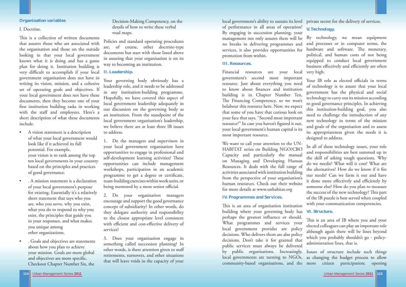

### **Organisation variables**

### I. Doctrine.

This is a collection of written documents that assures those who are associated with the organisation and those on the outside looking in that your local government knows what it is doing and has a game <sup>p</sup>lan for doing it. Institution building is very difficult to accomplish if your local **II. Leadership.** government organisation does not have in writing its vision, mission, and a cohesive set of operating goals and objectives. If your local government does not have these documents, then they become one of your first institution building tasks in working with the staff and employees. Here's a short description of what these documents include.

Your governing body obviously has a leadership role, and it needs to be addressed in any institution-building programme. Hopefully, we have covered this aspect of local government leadership adequately in our discussion on the governing body as an institution. From the standpoint of the local government organisation's leadership, we believe there are at least three IB issues to address.

1. Do the managers and supervisors in your local government organisation have opportunities to engage in professional and self-development learning activities? These opportunities can include management workshops, participation in an academic programme to get a degree or certificate, team-building exercises within work units, or being mentored by a more senior official.

- A vision statement is a description of what your local government would look like if it achieved its full potential. For example, your vision is to rank among the top ten local governments in your country based on the principles and practices of good governance.
- . A mission statement is a declaration of your local government's purpose for existing. Essentially it's a relatively short statement that says who you are, who you serve, why you exist, what you do to respond to why you exist, the principles that guide you in your responses, and what makes you unique among other organizations.
- . Goals and objectives are statements about how you plan to achieve your mission. Goals are more global and objectives are more specific. Checkout Chapter Number Six, the

# Decision-Making Competency, on the details of how to write these verbal road maps.

Policies and standard operating procedures are, of course, other doctrine-type documents but start with those listed above in assuring that your organisation is on its way to becoming an institution.

and processes or in computer terms, the hardware and software. The monetary, political, and human costs of not being equipped to conduct local government business effectively and efficiently are often

2. Do your organisation managers encourage and support the good governance concept of subsidiarity? In other words, do they delegate authority and responsibility to the closest appropriate level consistent with efficient and cost-effective delivery of services?

3. Does your organisation engage in something called succession planning? In other words, is there attention given to staff retirements, turnovers, and other situations that will leave voids in the capacity of your This is an area of organisation institution building where your governing body has perhaps the greatest influence or should. What programmes and services your local government provides are policy decisions. Who delivers them are also policy decisions. Don't take it for granted that public services must always be delivered by public organisations. Increasingly, local governments are turning to NGOs, as changing the budget process to allow community-based organisations, and the more citizen participation; opening **VI. Structure.** This is an area of IB where you and your elected colleagues can play an important role although again there will be lines beyond which you probably shouldn't go - policyadministration lines, that is. Issues of structure include such things

local government's ability to sustain its level private sector for the delivery of services. of performance in all areas of operation? By engaging in succession planning, your management not only assures there will be By technology, we mean equipment no breaks in delivering programmes and services, it also provides opportunities for promotion from within.

#### **III. Resources.**

We want to call your attention to the UN-HABITAT series on Building NGO/CBO Capacity and particularly the manual on Managing and Developing Human Resources. It deals with the full range of activities associated with institution building from the perspective of your organisation's human resources. Check out their website for more details at www.unhabitat.org

# **IV. Programmes and Services.**

Financial resources are your local government's second most important resource. Just about everything you need to know about finances and institution building is in Chapter Number Ten, The Financing Competency, so we won't belabour this resource here. Now, we expect that some of you have that curious look on your face that says, "Second most important resource?" In case you haven't figured it out, your local government's human capital is its most important resource. very high. Your IB role as elected officials in terms of technology is to assure that your local government has the physical and social technology to carry out its mission according to good governance principles. In achieving this institution-building goal, you also need to challenge the introduction of any new technology in terms of the mission and goals of the organisation and to assess its appropriateness given the needs it is designed to address.

# **V. Technology.**

In all of these technology issues, your role and responsibilities are best summed up in the skill of asking tough questions. Why do we needit? What will it cost? What are the alternatives? How do we know if it fits our needs? Can we farm it out and have it done more effectively and efficiently by someone else? How do you plan to measure the success of the new technology? This part of the IB puzzle is best served when coupled with your communication competencies.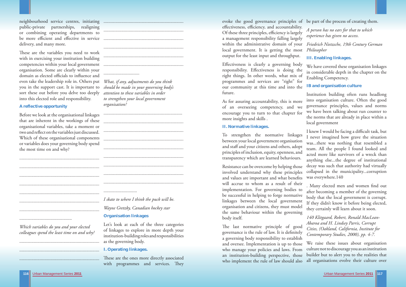

neighbourhood service centres, initiating ................................................................... public-private partnerships, realigning or combining operating departments to be more efficient and effective in service delivery, and many more.

These are the variables you need to work with in exercising your institution building competencies within your local government organisation. Some are clearly within your domain as elected officials to influence and even take the leadership role in. Others put *What, if any, adjustments do you think*  you in the support cast. It is important to sort these out before you delve too deeply into this elected role and responsibility.

# **A reflective opportunity**

Before we look at the organisational linkages that are inherent in the workings of these organisational variables, take a moment or two and reflect on the variables just discussed. Which of these organisational components or variables does your governing body spend the most time on and why?

| I skate |  |
|---------|--|
| Wayn    |  |

............................................

*Which variables do you and your elected colleagues spend the least time on and why?*

...................................................................

...................................................................

...................................................................

...................................................................................................................................... .........................................................................................................................................................................................................

..............................

*should be made in your governing body's attention to these variables in order to strengthen your local government organisation?* 

Effectiveness is clearly a governing body responsibility. Effectiveness is doing the right things. In other words, what mix of programmes and services are "right" for our community at this time and into the future. We have covered these organisation linkages in considerable depth in the chapter on the Enabling Competency. **IB and organisation culture** 

| I skate to where I think the puck will be. |
|--------------------------------------------|
| Wayne Gretzky, Canadian hockey star        |
| <b>Organisation linkages</b>               |

Let's look at each of the three categories of linkages to explore in more depth your institution-building roles and responsibilities as the governing body.

The last normative principle of good governance is the rule of law. It is definitely a governing body responsibility to establish and oversee. Implementation is up to those who manage your policies and laws. From an institution-building perspective, those who implement the rule of law should also *Cities, (Oakland, California, Institute for Contemporary Studies, 2000), pp. 4-7.*  We raise these issues about organisation culture not to discourage you as an institution builder but to alert you to the realities that all organisations evolve their culture over

# **I. Operating linkages.**

These are the ones more directly associated with programmes and services. They

## **II. Normative linkages.**

evoke the good governance principles of be part of the process of creating them. effectiveness, efficiency, and accountability. Of these three principles, efficiency is largely a management responsibility falling largely within the administrative domain of your *Friedrich Nietzsche, 19th Century German*  local government. It is getting the most output for the least input and throughput. *A person has no ears for that to which experience has given no access. Philosopher* 

As for assuring accountability, this is more of an overseeing competency, and we encourage you to turn to that chapter for more insights and skills . Institution building often runs headlong into organisation culture. Often the good governance principles, values and norms we have been talking about run counter to the norms that are already in place within a local government

To strengthen the normative linkages between your local government organisation and staff and your citizens and others, adopt principles of inclusion, equity, openness, and transparency which are learned behaviours. I knew I would be facing a difficult task, but I never imagined how grave the situation was...there was nothing that resembled a team. All the people I found looked and acted more like survivors of a wreck than anything else...the degree of institutional decay was such that authority had virtually collapsed in the municipality...corruption was everywhere.140

# **III. Enabling linkages.**

Resistance can be overcome by helping those involved understand why these principles and values are important and what benefits will accrue to whom as a result of their implementation. For governing bodies to be successful in helping to forge normative linkages between the local government organisation and citizens, they must model the same behaviour within the governing body itself. . Many elected men and women find out after becoming a member of the governing body that the local government is corrupt. If they didn't know it before being elected, they certainly will learn about it soon. *140 Klitgaard, Robert, Ronald MacLean-*

*Abaroa and H. Lindsey Parris, Corrupt*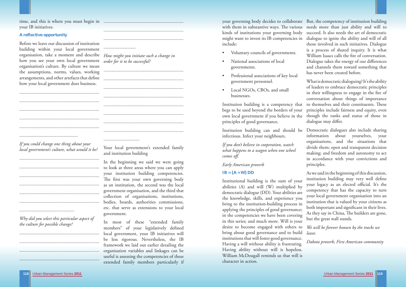

time, and this is where you must begin in ................................................................... your IB initiatives.

## **A reflective opportunity**

Before we leave our discussion of institution building within your local government organisation, take a moment and describe *How might you initiate such a change in*  how you see your own local government organisation's culture. By culture we mean the assumptions, norms, values, working arrangements, and other artefacts that define how your local government does business.

...................................................................

...................................................................

...................................................................

...................................................................

...................................................................

.................................................

...................................................................

...................................................................

...................................................................

...................................................................

...................................................................

...................................................................

..............................................

*Why did you select this particular aspect of* 

*the culture for possible change?* 

...................................................................

...................................................................

...................................................................

...................................................................

*If you could change one thing about your local government's culture, what would it be?*  Your local government's extended family and institution building

...................................................................

Institution building is a competency that begs to be used beyond the borders of your own local government if you believe in the principles of good governance. What is democratic dialoguing? It's the ability of leaders to embrace democratic principles in their willingness to engage in the fire of conversation about things of importance to themselves and their constituents. These principles include fairness and equity, even though the ranks and status of those in dialogue may differ.

...................................................................

...........................

*order for it to be successful?* 

...................................................................

...................................................................

...................................................................

...................................................................

...................................................................

...................................................................

...................................................................

...................................................................

..............................

In the beginning we said we were going to look at three areas where you can apply your institution building competencies. The first was your own governing body as an institution, the second was the local government organisation, and the third that collection of organisations, institutions, bodies, boards, authorities commissions, etc. that serve as extensions to your local government.

 $IB = [A + W]$   $DD$ Institutional building is the sum of your abilities (A) and will (W) multiplied by democratic dialogue (DD). Your abilities are the knowledge, skills, and experience you bring to the institution-building process in applying the principles of good governance; in the competencies we have been covering in this series; and much more. Will is your desire to become engaged with others to bring about good governance and to build institutions that will foster good governance. Having a will without ability is frustrating. Having ability without will is hopeless. William McDougall reminds us that will is character in action. As we said in the beginning of this discussion, institution building may very well define your legacy as an elected official. It's the competency that has the capacity to turn your local government organisation into an institution that is valued by your citizens as both important and significant in their lives. As they say in China, The builders are gone, but the great wall stands. *We will be forever known by the tracks we leave. Dakota proverb, First American community* 

In most of these "extended family members" of your legislatively defined local government, your IB initiatives will be less rigorous. Nevertheless, the IB framework we laid out earlier detailing the organisation variables and linkages can be useful is assessing the competencies of these extended family members particularly if

- 
- 
- Professional associations of key local government personnel.
- Local NGOs, CBOs, and small businesses.

your governing body decides to collaborate But, the competency of institution building with them in substantive ways. The various needs more than just ability and will to kinds of institutions your governing body might want to invest its IB competencies in include: • Voluntary councils of governments. • National associations of local governments. succeed. It also needs the art of democratic dialogue to ignite the ability and will of all those involved in such initiatives. Dialogue is a process of shared inquiry. It is what William Isaacs calls the fire of conversation. Dialogue takes the energy of our differences and channels them toward something that has never been created before.

Institution building can and should be Democratic dialogues also include sharing infectious. Infect your neighbours. *If you don't believe in cooperation, watch what happens to a wagon when one wheel comes off. Early American proverb*  information about yourselves, your organisations, and the situations that divide them; open and transparent decision making; and freedom and autonomy to act in accordance with your convictions and principles.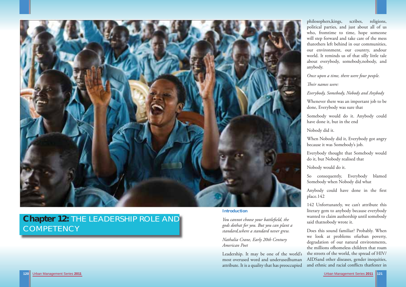



# **Chapter 12:** THE LEADERSHIP ROLE AND **COMPETENCY**

**Introduction**

*You cannot choose your battlefield, the gods dothat for you. But you can plant a standard,where a standard never grew.*

*Nathalia Crane, Early 20th Century American Poet*

Leadership. It may be one of the world's most overused word and underusedhuman attribute. It is a quality that has preoccupied

<sup>p</sup>hilosophers,kings, scribes, religions, political parties, and just about all of us who, fromtime to time, hope someone will step forward and take care of the mess thatothers left behind in our communities, our environment, our country, andour world. It reminds us of that silly little tale about everybody, somebody,nobody, and anybody.

Anybody could have done in the first place.142

Does this sound familiar? Probably. When we look at problems ofurban poverty, degradation of our natural environments, the millions ofhomeless children that roam the streets of the world, the spread of HIV/ AIDSand other diseases, gender inequities, and ethnic and racial conflicts thatfester in

*Once upon a time, there were four people.*

*Their names were:* 

*Everybody, Somebody, Nobody and Anybody*

Whenever there was an important job to be done, Everybody was sure that

Somebody would do it. Anybody could have done it, but in the end

Nobody did it.

When Nobody did it, Everybody got angry because it was Somebody's job.

Everybody thought that Somebody would do it, but Nobody realised that

Nobody would do it.

So consequently, Everybody blamed Somebody when Nobody did what

142 Unfortunately, we can't attribute this literary gem to anybody because everybody wanted to claim authorship until somebody said thatnobody wrote it.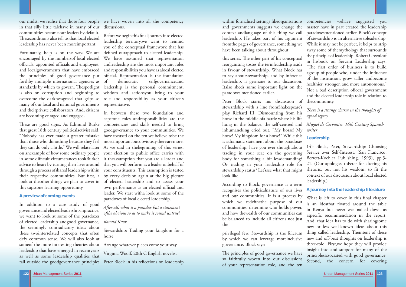in that silly little talehave in many of our discussions. communities become our leaders by default. Theseconditions also tell us that local elected leadership has never been moreimportant.

encouraged by the numbersof local elected officials, appointed officials and employees, andleadership are the most important roles and localgovernments that have embraced and responsibilities you have as alocal elected the principles of good governance put official. Representation is the foundation forthby multiple international agencies as standards by which to govern. Thespotlight leadership is the personal commitment, is also on corruption and beginning to overcome the darknessgreed that grips so role and responsibility as your citizen's many of our local and national governments representative. and theirprivate collaborators. And, citizens are becoming enraged and engaged.

These are good signs. As Edmund Burke competencies and skills needed to bring that great 18th century politicalactivist said, goodgovernance to your communities. We than those who donothing because they feel most important but obviously there are more. they can do only a little." We will relate later As we said in thebeginning of this series, on anexample of how some ordinary people your election to public office carries with in some difficult circumstances tookBurke's it theassumption that you are a leader and advice to heart by turning their lives around that you will perform as a leader onbehalf of through a process ofshared leadership within your constituents. This assumption is tested  $\,$ their respective communities. But first, a by every decision again at the big picture look at theother things we plan to cover in of elected leadership and to assess your this capstone learning opportunity.

our midst, we realise that those four people we have woven into all the competency

Fortunately, help is on the way. We are defined ourapproach to elected leadership. Before we begin this final journey into elected leadership territory,we want to remind you of the conceptual framework that has We have assumed that representation democratic selfgovernance,and wisdom and actionsyou bring to your

### **A preview of coming events**

In addition to a case study of good governance and elected leadership inpractice, we want to look at some of the paradoxes of elected leadership andgood governance, *Ronald Knox* the seemingly contradictory ideas about these twointerrelated concepts that often defy common sense. We will also look at someof the more interesting theories about Arrange whatever pieces come your way. leadership that have emerged in recentyears as well as some leadership qualities that

"Nobody has ever made a greater mistake have focused on the ten we believe tobe the In between these two foundation and capstone roles andresponsibilities are the own performance as an elected official and leader. We start witha look at some of the paradoxes of local elected leadership.

> The principles of good governance we have so faithfully woven into our discussions of your representation role, and the ten

*After all, what is a paradox but a statement ofthe obvious so as to make it sound untrue?*

Stewardship: Trading your kingdom for a horse

What is left to cover in this final chapter is an ideathat floated around the table in Kenya but never was nailed down as aspecific recommendation in the report. And, that idea has to do with sharingsome new or less well-known ideas about this thing called leadership. Theintent of these new and off -beat thoughts on leadership is three-fold. First,we hope they will provide insight into and support for many of the principlesassociated with good governance. Second, the concern for covering

Virginia Woolf, 20th C English novelist

fall outside the goodgovernance principles Peter Block in his reflections on leadership

within formalised settings likeorganisations competencies wehave suggested you fromthe pages of governance, something we have been talking about throughout this series. The other part of his conceptual reorganising tosses the termleadership aside in favour of stewardship. What Block has to say aboutstewardship, and by inference leadership, is germane to our discussion. Italso sheds some important light on the paradoxes mentioned earlier. Peter Block starts his discussion of

and governments suggests we change the master have in part created the leadership context andlanguage of this thing we call paradoxesmentioned earlier. Block's concept leadership. He takes part of his argument of stewardship is an alternative toleadership. While it may not be perfect, it helps to strip away some of themythology that surrounds the principle of leadership. Robert Greenleaf in hisbook on Servant Leadership says, "The first order of business is to build agroup of people who, under the influence of the institution, grow taller andbecome healthier, stronger, and more autonomous." Not a bad description oflocal government and the elected leadership role in relation to thecommunity.

According to Block, governance as a term recognises the politicalnature of our lives and our communities. It is a process by which we redefinethe purpose of our communities, determine who holds power, and how thewealth of our communities can be balanced to include all citizens not just the

privileged few. Stewardship is the fulcrum by which we can leverage moreinclusive governance. Block says:

stewardship with a line fromShakespeare's <sup>p</sup>lay Richard III. Dismounting from his horse in the middle ofa battle where his life hung in the balance, the self-centred and *Miguel de Cervantes, 16th Century Spanish*  inhumaneking cried out, "My horse! My horse! My kingdom for a horse!" While this is adramatic statement about the paradoxes of leadership, have you ever thoughtabout trading in your seat on the governing body for something a bit lessdemanding? Or trading in your leadership role for stewardship status? Let'ssee what that might look like. *Th ere is a strange charm in the thoughts of agood legacy. writer* **Leadership** 145 Block, Peter, Stewardship: Choosing Service over Self-Interest, (San Francisco, Berrett-Koehler Publishing, 1993), pp.3- 21. (Our apologies toPeter for altering his rhetoric, but not his wisdom, to fit the context of our discussion about local elected leadership.)

# **A journey into the leadership literature**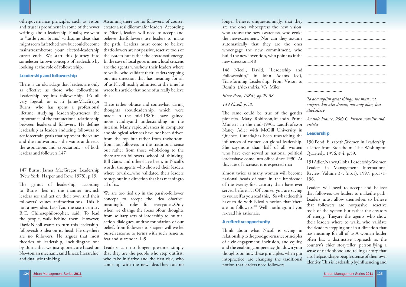othergovernance principles such as vision Assuming there are no followers, of course, and trust is prominent in some of thenewer creates a real dilemmafor leaders. According writings about leadership. Finally, we want to Nicoll, leaders will need to accept and to "rattle your brains" withsome ideas that believe thatfollowers use leaders to make might seem farfetched now but could become the path. Leaders must come to believe mainstreambefore your elected-leadership thatfollowers are not passive, reactive tools of career ends. We start this journey into the system but rather the creatorsof energy. somelesser known concepts of leadership by In the case of local government, local citizens looking at the role of followership.

# **Leadership and followership**

There is an old adage that leaders are only of us.Nicoll readily admitted at the time he as eff ective as those who followthem. Leadership requires followership. It's all this. very logical, or is it? JamesMacGregor Burns, who has spent a professional lifetime studying leadership,stresses the importance of the transactional relationship between leadersand followers. He defines leadership as leaders inducing followers to act forcertain goals that represent the values and the motivations - the wants andneeds, the aspirations and expectations - of both leaders and followers.147

The genius of leadership, according to Burns, lies in the manner inwhich leaders see and act on their own and their followers' values andmotivations. This is not a new idea. Lao-Tzu, the sixth century B.C. Chinesephilosopher, said, To lead the people, walk behind them. However, DavidNicoll wants to turn this leadershipfollowership idea on its head. He saysthere are no followers. He argues that most theories of leadership, includingthe one by Burns that we just quoted, are based on Leaders can no longer presume simply Newtonian mechanicsand linear, hierarchic, that they are the people who step outfi rst, and dualistic thinking.

147 Burns, James MacGregor, Leadership (New York, Harper and Row, 1978), p.19.

These rather obtuse and somewhat jarring thoughts aboutleadership, which were made in the mid-1980s, have gained more validityand understanding in the interim. Many rapid advances in computer andbiological sciences have not been driven from the top but rather from thebottom, from not followers in the traditional sense but rather from those whobelong to the there-are-no-followers school of thinking. Bill Gates and othershave been, in Nicoll's words, the agents who showed their leaders where towalk...who validated their leaders to step out in a direction that has meaningto all of us.

are the agents whoshow their leaders where to walk...who validate their leaders stepping out ina direction that has meaning for all wrote his article that none ofus really believe

> **A reflective opportunity** Think about what Nicoll is saying in relationship to the good governanceprinciples of civic engagement, inclusion, and equity, and the enablingcompetency. Jot down your thoughts on how these principles, when put intopractice, are changing the traditional notion that leaders need followers. Leaders will need to accept and believe that followers use leaders to makethe path. Leaders must allow themselves to believe that followers are notpassive, reactive tools of the system but rather the creators of energy. Theyare the agents who show their leaders where to walk...who validate theirleaders stepping out in a direction that has meaning for all of us.A woman leader often has a distinctive approach as the country's chief storyteller, personifying a sense of nationhood and telling a story that also helpsto shape people's sense of their own identity. This is leadership byinfluencing and

> The same could be true of the gender pioneers. Mary Robinson,Ireland's Prime *Anatole France, 20th C. French novelist and*  Minister in the mid-1990s, said:Professor Nancy Adler with McGill University in Quebec, Canada,has been researching the infl uences of women on global leadership. 150 Pond, Elizabeth,Women in Leadership: She saysmore than half of all women a letter from Stockholm, The Washington who have ever served as national political leadershave come into office since 1990. At this rate of increase, it is expected that *satirist***Leadership** Quarterly, 1996: # 4: p.59. 151 Adler, Nancy, Global Leadership:Women

We are too tied up in the passive-follower concept to accept the idea ofactive, meaningful roles for everyone...Only when we change the focus ofour thoughts from solitary acts of leadership to mutual action-dialogues, andthe foundation of our beliefs from followers to shapers will we let ourselvescome to terms with such issues as fear and surrender. 149

who take initiative and the first risk, who come up with the new idea.They can no are the ones whoexpress the new vision, who arouse the new awareness, who evoke automatically that they are the ones whoengage the new commitment, who build the new invention, who point us inthe new direction.148

148 Nicoll, David, "Leadership and Followership," in John Adams (ed), Transforming Leadership: From Vision to Results, (Alexandria, VA, Miles

### *River Press, 1986), pp.29-38.*

# *149 Nicoll, p.38.*



almost twice as many women will become national heads of state in the firstdecade of the twenty-first century than have ever served before.151Of course, you are saying to yourself as you read this, "So what doesthis have to do with Nicoll's notion that 'there are no followers?'" Well, nothinguntil you re-read his rationale.

*To accomplish great things, we must not onlyact, but also dream; not only plan, but alsobelieve.*

Leaders in Management International Review, Volume 37, (no.1), 1997, pp.171- 196.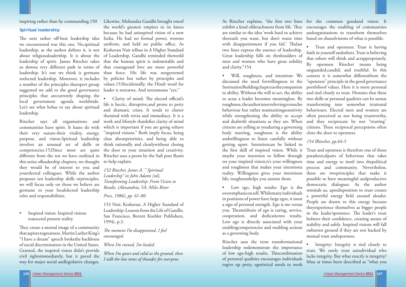inspiring rather than by commanding.150

### **Spiritual leadership**

The next rather off-beat leadership idea India. He had no formal power, woreno we encountered was this one. No,spiritual uniform, and held no public office. As leadership, as the author defines it, is not Keshavan Nair tellsus in A Higher Standard about religiousleadership. It is about the of Leadership, Gandhi reminded theworld leadership of spirit. James Ritscher takes that the human spirit is indomitable and us downa very different path in terms of that courageand love are more powerful leadership. It's one we think is germane than force. His life was notgoverned toelected leadership. Moreover, it includes by policies but rather by principles and a number of the principles theexpert group values.153Incidentally, the Hindi word for suggested we add to the good governance leader is netratwa. And netrameans "eye." principles that arecurrently shaping the local government agenda worldwide. Let's see what hehas to say about spiritual leadership.

They create a mental image of a community that aspires togreatness. Martin Luther King's "I have a dream" speech brokethe backbone of racial discrimination in the United States. Granted, the inspired vision didn't provide civil rightsimmediately, but it paved the way for major social andlegislative changes.

Ritscher says all organisations and communities have spirit. It hasto do with their very nature-their vitality, energy, purpose, and vision.Spiritual leadership involves an unusual set of skills or competencies.152Since most are quite this series ofleadership chapters, we thought they would be of interest to you and yourelected colleagues. While the author proposes ten leadership skills orprinciples, we will focus only on those we believe are germane to your localelected leadership roles and responsibilities.

• Inspired vision: Inspired visions transcend present reality.

different from the ten we have outlined in Ritscher uses a poem by the Sufi poet Rumi Clarity of mind: The elected official's life is hectic, disruptive,and prone to petty and dramatic crises. It tends to clutter themind with trivia and immediacy. It is a work and lifestyle thatdefies clarity of mind which is important if you are going to have "inspired visions." Both imply focus, being clear aboutpriorities, and being able to think rationally and clearlywithout closing the door to your intuition and creativity. to help explain.

> *The moment I'm disappointed, I feel encouraged.*

Likewise, Mohandas Gandhi brought oneof the world's greatest empires to its knees because he had aninspired vision of a new

As Ritscher explains, "the first two lines for the common goodand vision. It exhibit a kind ofdetachment from life. They encourages the enabling of communities are similar to the idea 'work hard to achieve andorganisations to transform themselves theresult you want, but don't waste time based on sharedvisions of what is possible. with disappointment if you fail.' Thelast • Will, toughness, and intention: We context it is somewhat differentfrom the to ability. Without the will to act, the ability and tied closely to trust. Hestates that these to actas a leader becomes meaningless. By two skills or personal qualities can be seenas toughness, the authorisnot referring to macho transforming into somewhat irrational behaviour but rather maintainingsensitivity behaviours. Elected men and women are while strengthening the ability to accept often perceived as not being trustworthy, and dealwith situations as they are. When and they reciprocate by not "trusting" citizens are yelling at youduring a governing citizens. Th ese reciprocal perceptions often • Trust and openness: Trust is having faith in yourself andothers. Trust is believing that others will think and actappropriately. By openness Ritscher means being unguarded,candid, and truthful. In this "openness" principle in the good governance portfolioof values. Here it is more personal

*152 Ritscher, James A. " Spiritual Leadership" in John Adams (ed), Transforming Leadership: From Vision to Results, (Alexandria, VA, Miles River*

*Press, 1986), pp. 61-80.*

153 Nair, Keshavan, A Higher Standard of Leadership: Lessons from the Life of Gandhi, San Francisco, Berrett Koehler Publishers, 1994), p.3.

*When I'm ruined, I'm healed.*

*When I'm quiet and solid as the ground, then I talk the low tones of thunder for everyone.*

two lines express the essence of leadership. Great leadership falls on theshoulders of men and women who have great solidity and clarity."154 discussed the need forwillingness in the Institution Building chapter as thecompanion body meeting, toughness is the ability close the door to openness. andwillingness to listen carefully without getting upset. Intentioncan be linked to the first skill of inspired vision. While it maybe your intention to follow through on your inspired vision,it's your willingness and toughness that makes your intentiona reality. Willingness gives your intentions *154 lRitscher, pp.64-5* Trust and openness is therefore one of those paradoxicalpairs of behaviour that takes time and energy to instil into thepolitical process and community. Nevertheless, these are twoprinciples that make it possible to have meaningful andproductive

life; toughnesshelps you sustain them. • Low ego, high results: Ego is the overemphasis on self. Whilemany individuals in positions of power have large egos, it isnot a sign of personal strength. Ego is me versus you. Theantithesis of ego is caring, service, cooperation, and dedicationto results. Low ego is directly associated with your enablingcompetencies and enabling actions as a governing body. democratic dialogues. As the author reminds us, apredisposition to trust creates a powerful energy field around aleader. People are drawn to this energy because theyexperience themselves as bigger people in the leader'spresence. The leader's trust bolsters their confidence, creating asense of stability and safely. Inspired visions will fall onbarren ground if they are not backed by mutual trust andopenness.

Ritscher uses the term transformational leadership todemonstrate the importance of low ego-high results. This combination of personal qualities encourages individuals togive up petty, egotistical needs to work Integrity: Integrity is tied closely to trust. We rarely trust anindividual who lacks integrity. But what exactly is integrity? Ithas at times been described as "what you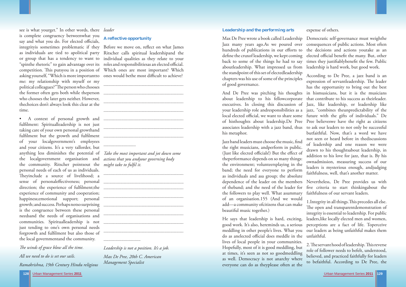**128**

see is what yourget." In other words, there *leader* is complete congruency betweenwhat you say and what you do. For elected officials, integrityis sometimes problematic if they as individuals are tied to apolitical party Ritscher calls spiritual leadershipand the or group that has a tendency to want to individual qualities as they relate to your  $\lq$ spinthe rhetoric" to gain advantage over its  $\lq$  roles and responsibilitiesas an elected official. competition. This putsyou in a position of Which ones are most important? Which asking yourself, "Which is more importantto me: my relationship with myself or my political colleagues?"The person who chooses the former often gets both while theperson who chooses the later gets neither. However, thechoices don't always look this clear at the time.

fulfilment: Spiritualleadership is not just taking care of your own personal growthand of your localgovernment's employees and your citizens. It's a very tallorder, but anything less diminishes the potential of *Take the most important and jot down some*  the localgovernment organisation and *actions that you andyour governing body*  the community. Ritscher pointsout the *might take to fulfi l it.* personal needs of each of us as individuals. Theyinclude a source of livelihood; a sense of personaleffectiveness; personal direction; the experience of fulfilment;the experience of community and cooperation; happiness;emotional support; personal growth; and success. Perhaps notso surprising is the congruence between these personal needsand the needs of organisations and communities. Spiritualleadership is not just tending to one's own personal needs forgrowth and fulfilment but also those of the local governmentand the community.

The winds of grace blow all the time. *All we need to do is set our sails.Ramakrishna, 19th Century Hindu religious* 

• A context of personal growth and ................................................................... fulfi lment but the growth and fulfi lment ................................................................... ...................................................................................................................................... ................................................................... .................................................................................................................................................................

Max De Pree wrote a book called Leadership Democratic self-governance must weighthe Jazz many years ago.As we poured over consequences of public actions. Most often hundreds of publications in our efforts to define the cruxof leadership, we kept coming back to some of the things he had to say aboutleadership. What impressed us from leadership is hard work, but good work. the standpoint of this set of electedleadership the decisions and actions youtake as an elected official benefit the many. But, other times they justifiablybenefit the few. Public According to De Pree, a jazz band is an expression of servantleadership. The leader

#### **A reflective opportunity**

Before we move on, reflect on what James ones would bethe most difficult to achieve?

> as individuals and asa group; the absolute dependence of the leader on the members of theband; and the need of the leader for the followers to play well. What asummary of an organisation.155 (And we would add—a community ofcitizens that can make beautiful music together.) Nevertheless, De Pree provides us with five criteria to start thinkingabout the faithfulness of our servant leaders. 1. Integrity in all things. This precedes all else. The open and transparentdemonstration of

*Leadership is not a position. It's a job. Max De Pree, 20th C. American Management Specialist*

#### **Leadership and the performing arts**

chapters was his use of some of the principles of good governance. And De Pree was pitching his thoughts about leadership to his fellowcorporate executives. In closing this discussion of your leadership role andresponsibilities as a jazz, "combines theunpredictability of the local elected official, we want to share some future with the gifts of individuals." De of histhoughts about leadership.De Pree Pree believeswe have the right as citizens associates leadership with a jazz band, thus to ask our leaders to not only be successful his metaphor. Jazz band leaders must choose the music, find the right musicians, andperform in public. (Just like elected officials!) But the effect of theperformance depends on so many things: the environment; volunteersplaying in the band; the need for everyone to perform has the opportunity to bring out the best in hismusicians, but it is the musicians that contribute to his success as theirleader. Jazz, like leadership, or leadership like butfaithful. Now, that's a word we have not seen or heard before in thediscussions of leadership and one reason we were drawn to his thoughtsabout leadership, in addition to his love for jazz, that is. By his ownadmission, measuring success of our leaders is mysterious enough, andjudging faithfulness, well, that's another matter.

expense of others.

He says that leadership is hard, exciting, good work. It's also, hereminds us, a serious meddling in other people's lives. What you do as anelected official does meddle in theµunfaithful. lives of local people in your communities. Hopefully, most of it is good meddling, but at times, it's seen as not so goodmeddling as well. Democracy is not anarchy where everyone can do as theyplease often at the perceptions are a fact of life. Toperceive our leaders as being unfaithful makes them 2. The servant hood of leadership. This reverse role of follower needs to befelt, understood, believed, and practiced faithfully for leaders to befaithful. According to De Pree, the

integrity is essential to leadership. For public leaders,like locally elected men and women,